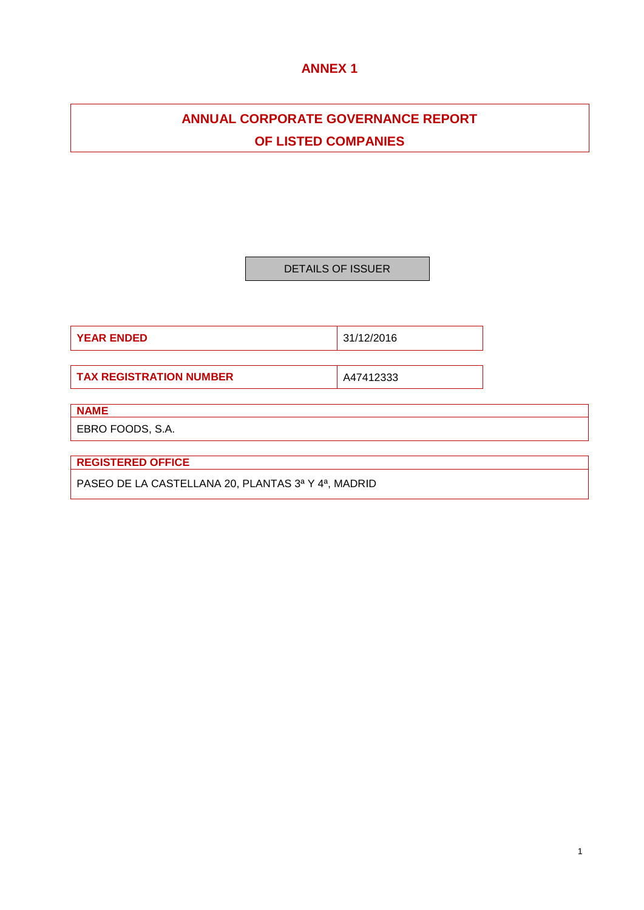# **ANNEX 1**

# **ANNUAL CORPORATE GOVERNANCE REPORT OF LISTED COMPANIES**

DETAILS OF ISSUER

**YEAR ENDED** 31/12/2016

**TAX REGISTRATION NUMBER A47412333** 

**NAME**

EBRO FOODS, S.A.

**REGISTERED OFFICE**

PASEO DE LA CASTELLANA 20, PLANTAS 3ª Y 4ª, MADRID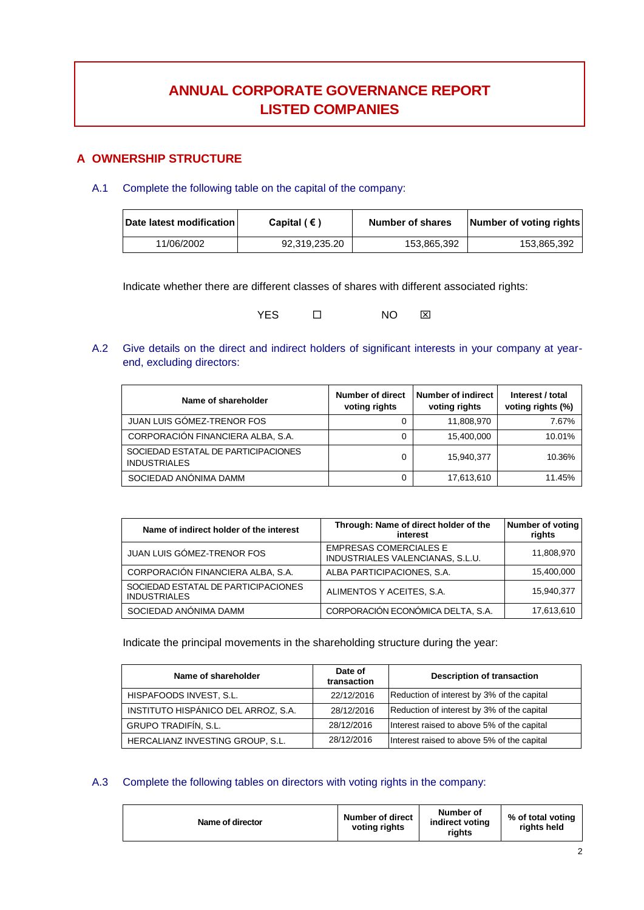# **ANNUAL CORPORATE GOVERNANCE REPORT LISTED COMPANIES**

# **A OWNERSHIP STRUCTURE**

A.1 Complete the following table on the capital of the company:

| Date latest modification | Capital $( \in )$ | <b>Number of shares</b> | Number of voting rights |
|--------------------------|-------------------|-------------------------|-------------------------|
| 11/06/2002               | 92.319.235.20     | 153.865.392             | 153,865,392             |

Indicate whether there are different classes of shares with different associated rights:

YES **O NO EXI** 

A.2 Give details on the direct and indirect holders of significant interests in your company at yearend, excluding directors:

| Name of shareholder                                        | Number of direct<br>voting rights | Number of indirect<br>voting rights | Interest / total<br>voting rights (%) |
|------------------------------------------------------------|-----------------------------------|-------------------------------------|---------------------------------------|
| <b>JUAN LUIS GOMEZ-TRENOR FOS</b>                          |                                   | 11,808,970                          | 7.67%                                 |
| CORPORACIÓN FINANCIERA ALBA, S.A.                          |                                   | 15.400.000                          | 10.01%                                |
| SOCIEDAD ESTATAL DE PARTICIPACIONES<br><b>INDUSTRIALES</b> |                                   | 15,940,377                          | 10.36%                                |
| SOCIEDAD ANONIMA DAMM                                      |                                   | 17,613,610                          | 11.45%                                |

| Name of indirect holder of the interest                    | Through: Name of direct holder of the<br>interest                 | Number of voting<br>rights |
|------------------------------------------------------------|-------------------------------------------------------------------|----------------------------|
| JUAN LUIS GÓMEZ-TRENOR FOS                                 | <b>EMPRESAS COMERCIALES E</b><br>INDUSTRIALES VALENCIANAS, S.L.U. | 11,808,970                 |
| CORPORACIÓN FINANCIERA ALBA, S.A.                          | ALBA PARTICIPACIONES, S.A.                                        | 15,400,000                 |
| SOCIEDAD ESTATAL DE PARTICIPACIONES<br><b>INDUSTRIALES</b> | ALIMENTOS Y ACEITES, S.A.                                         | 15.940.377                 |
| SOCIEDAD ANÓNIMA DAMM                                      | CORPORACIÓN ECONÓMICA DELTA, S.A.                                 | 17,613,610                 |

Indicate the principal movements in the shareholding structure during the year:

| Name of shareholder                 | Date of<br>transaction | <b>Description of transaction</b>          |
|-------------------------------------|------------------------|--------------------------------------------|
| HISPAFOODS INVEST, S.L.             | 22/12/2016             | Reduction of interest by 3% of the capital |
| INSTITUTO HISPÁNICO DEL ARROZ, S.A. | 28/12/2016             | Reduction of interest by 3% of the capital |
| GRUPO TRADIFÍN, S.L.                | 28/12/2016             | Interest raised to above 5% of the capital |
| HERCALIANZ INVESTING GROUP, S.L.    | 28/12/2016             | Interest raised to above 5% of the capital |

# A.3 Complete the following tables on directors with voting rights in the company:

| Name of director | <b>Number of direct</b><br>voting rights | Number of<br>indirect voting<br>riahts | % of total voting<br>rights held |
|------------------|------------------------------------------|----------------------------------------|----------------------------------|
|------------------|------------------------------------------|----------------------------------------|----------------------------------|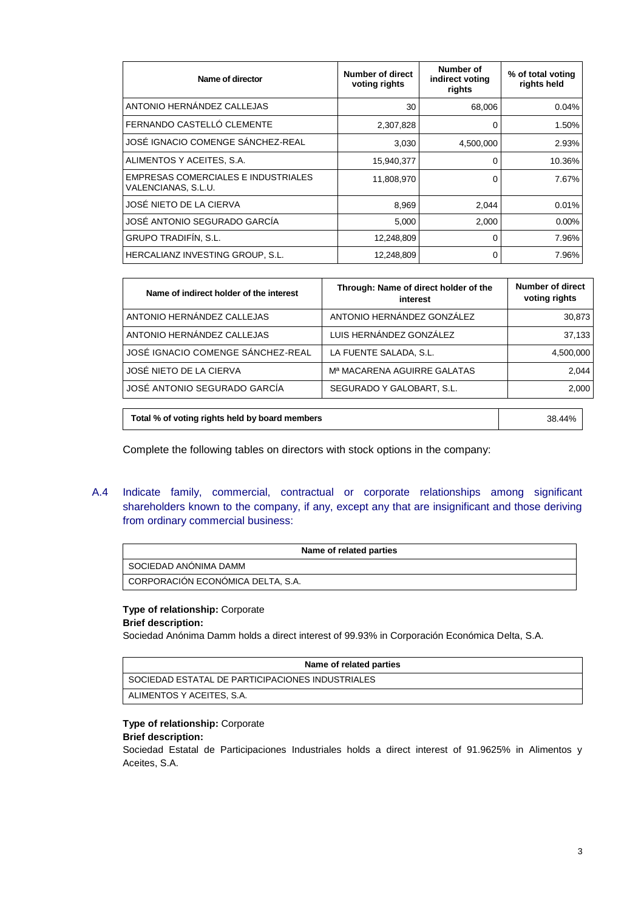| Name of director                                           | Number of direct<br>voting rights | Number of<br>indirect voting<br>rights | % of total voting<br>rights held |
|------------------------------------------------------------|-----------------------------------|----------------------------------------|----------------------------------|
| ANTONIO HERNÁNDEZ CALLEJAS                                 | 30                                | 68,006                                 | 0.04%                            |
| FERNANDO CASTELLÓ CLEMENTE                                 | 2,307,828                         | 0                                      | 1.50%                            |
| JOSÉ IGNACIO COMENGE SÁNCHEZ-REAL                          | 3,030                             | 4,500,000                              | 2.93%                            |
| ALIMENTOS Y ACEITES, S.A.                                  | 15,940,377                        | 0                                      | 10.36%                           |
| EMPRESAS COMERCIALES E INDUSTRIALES<br>VALENCIANAS, S.L.U. | 11,808,970                        | 0                                      | 7.67%                            |
| JOSÉ NIETO DE LA CIERVA                                    | 8,969                             | 2.044                                  | 0.01%                            |
| JOSÉ ANTONIO SEGURADO GARCÍA                               | 5,000                             | 2,000                                  | 0.00%                            |
| <b>GRUPO TRADIFÍN, S.L.</b>                                | 12,248,809                        | 0                                      | 7.96%                            |
| HERCALIANZ INVESTING GROUP, S.L.                           | 12,248,809                        | 0                                      | 7.96%                            |

| Name of indirect holder of the interest | Through: Name of direct holder of the<br>interest | <b>Number of direct</b><br>voting rights |
|-----------------------------------------|---------------------------------------------------|------------------------------------------|
| ANTONIO HERNÁNDEZ CALLEJAS              | ANTONIO HERNÁNDEZ GONZÁLEZ                        | 30,873                                   |
| ANTONIO HERNÁNDEZ CALLEJAS              | LUIS HERNÁNDEZ GONZÁLEZ                           | 37,133                                   |
| JOSÉ IGNACIO COMENGE SÁNCHEZ-REAL       | LA FUENTE SALADA, S.L.                            | 4,500,000                                |
| JOSÉ NIETO DE LA CIERVA                 | M <sup>a</sup> MACARENA AGUIRRE GALATAS           | 2.044                                    |
| JOSÉ ANTONIO SEGURADO GARCÍA            | SEGURADO Y GALOBART, S.L.                         | 2,000                                    |
|                                         |                                                   |                                          |

**Total % of voting rights held by board members** 38.44%

Complete the following tables on directors with stock options in the company:

A.4 Indicate family, commercial, contractual or corporate relationships among significant shareholders known to the company, if any, except any that are insignificant and those deriving from ordinary commercial business:

| Name of related parties           |  |
|-----------------------------------|--|
| SOCIEDAD ANONIMA DAMM             |  |
| CORPORACIÓN ECONÓMICA DELTA, S.A. |  |

# **Type of relationship:** Corporate

# **Brief description:**

Sociedad Anónima Damm holds a direct interest of 99.93% in Corporación Económica Delta, S.A.

| Name of related parties                          |
|--------------------------------------------------|
| SOCIEDAD ESTATAL DE PARTICIPACIONES INDUSTRIALES |
| ALIMENTOS Y ACEITES, S.A.                        |

### **Type of relationship:** Corporate

### **Brief description:**

Sociedad Estatal de Participaciones Industriales holds a direct interest of 91.9625% in Alimentos y Aceites, S.A.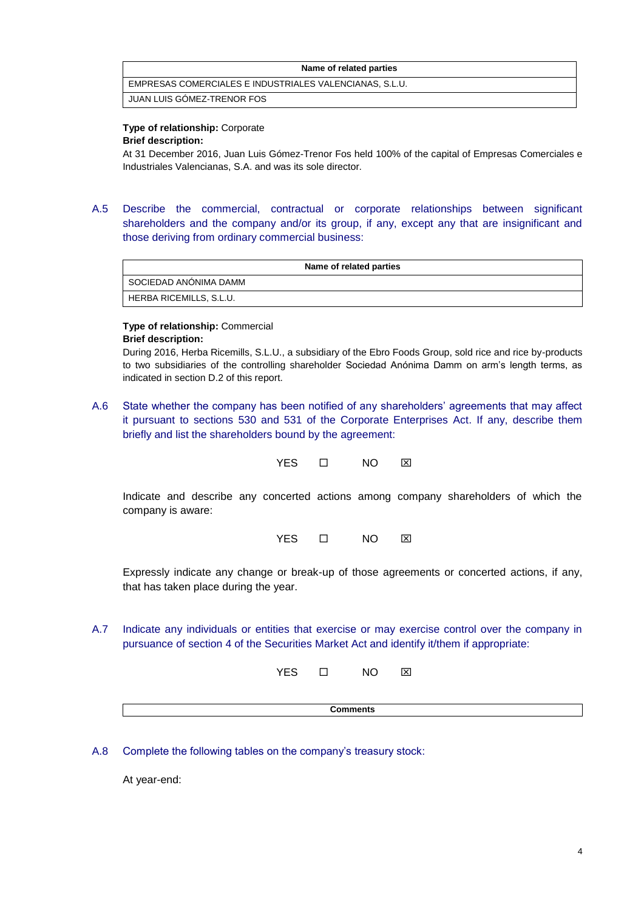### **Name of related parties**

EMPRESAS COMERCIALES E INDUSTRIALES VALENCIANAS, S.L.U.

JUAN LUIS GÓMEZ-TRENOR FOS

# **Type of relationship:** Corporate

# **Brief description:**

At 31 December 2016, Juan Luis Gómez-Trenor Fos held 100% of the capital of Empresas Comerciales e Industriales Valencianas, S.A. and was its sole director.

A.5 Describe the commercial, contractual or corporate relationships between significant shareholders and the company and/or its group, if any, except any that are insignificant and those deriving from ordinary commercial business:

| Name of related parties |
|-------------------------|
| I SOCIEDAD ANÓNIMA DAMM |
| HERBA RICEMILLS, S.L.U. |

# **Type of relationship:** Commercial

### **Brief description:**

During 2016, Herba Ricemills, S.L.U., a subsidiary of the Ebro Foods Group, sold rice and rice by-products to two subsidiaries of the controlling shareholder Sociedad Anónima Damm on arm's length terms, as indicated in section D.2 of this report.

A.6 State whether the company has been notified of any shareholders' agreements that may affect it pursuant to sections 530 and 531 of the Corporate Enterprises Act. If any, describe them briefly and list the shareholders bound by the agreement:



Indicate and describe any concerted actions among company shareholders of which the company is aware:

YES O NO **X** 

Expressly indicate any change or break-up of those agreements or concerted actions, if any, that has taken place during the year.

A.7 Indicate any individuals or entities that exercise or may exercise control over the company in pursuance of section 4 of the Securities Market Act and identify it/them if appropriate:

YES O NO **X** 

**Comments**

A.8 Complete the following tables on the company's treasury stock:

At year-end: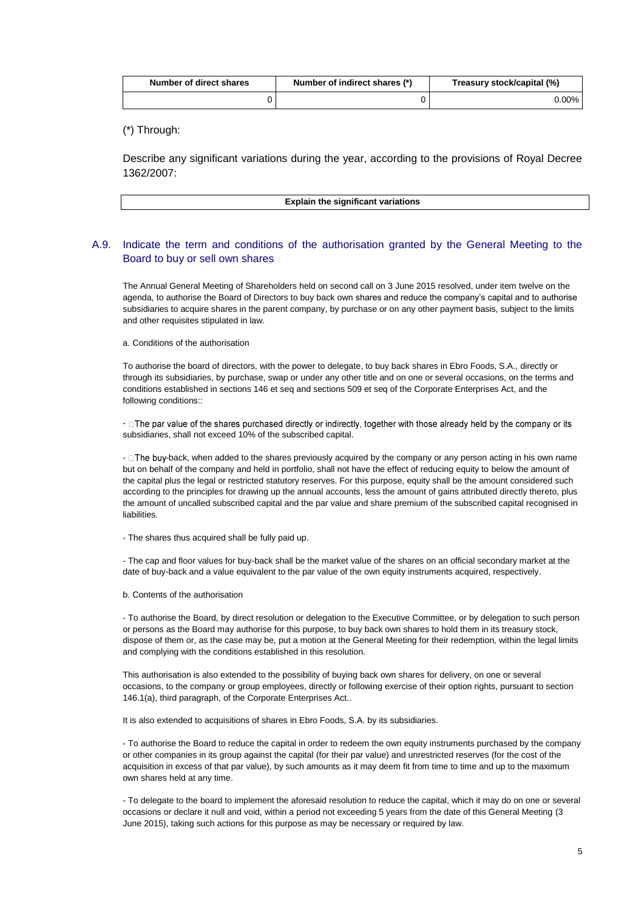| Number of direct shares | Number of indirect shares (*) | Treasury stock/capital (%) |
|-------------------------|-------------------------------|----------------------------|
|                         |                               | $0.00\%$                   |

(\*) Through:

Describe any significant variations during the year, according to the provisions of Royal Decree 1362/2007:

| <b>Explain the significant variations</b> |
|-------------------------------------------|
|                                           |

# A.9. Indicate the term and conditions of the authorisation granted by the General Meeting to the Board to buy or sell own shares

The Annual General Meeting of Shareholders held on second call on 3 June 2015 resolved, under item twelve on the agenda, to authorise the Board of Directors to buy back own shares and reduce the company's capital and to authorise subsidiaries to acquire shares in the parent company, by purchase or on any other payment basis, subject to the limits and other requisites stipulated in law.

a. Conditions of the authorisation

To authorise the board of directors, with the power to delegate, to buy back shares in Ebro Foods, S.A., directly or through its subsidiaries, by purchase, swap or under any other title and on one or several occasions, on the terms and conditions established in sections 146 et seq and sections 509 et seq of the Corporate Enterprises Act, and the following conditions::

-  $\square$  The par value of the shares purchased directly or indirectly, together with those already held by the company or its subsidiaries, shall not exceed 10% of the subscribed capital.

-  $\square$  The buy-back, when added to the shares previously acquired by the company or any person acting in his own name but on behalf of the company and held in portfolio, shall not have the effect of reducing equity to below the amount of the capital plus the legal or restricted statutory reserves. For this purpose, equity shall be the amount considered such according to the principles for drawing up the annual accounts, less the amount of gains attributed directly thereto, plus the amount of uncalled subscribed capital and the par value and share premium of the subscribed capital recognised in liabilities.

- The shares thus acquired shall be fully paid up.

- The cap and floor values for buy-back shall be the market value of the shares on an official secondary market at the date of buy-back and a value equivalent to the par value of the own equity instruments acquired, respectively.

b. Contents of the authorisation

- To authorise the Board, by direct resolution or delegation to the Executive Committee, or by delegation to such person or persons as the Board may authorise for this purpose, to buy back own shares to hold them in its treasury stock, dispose of them or, as the case may be, put a motion at the General Meeting for their redemption, within the legal limits and complying with the conditions established in this resolution.

This authorisation is also extended to the possibility of buying back own shares for delivery, on one or several occasions, to the company or group employees, directly or following exercise of their option rights, pursuant to section 146.1(a), third paragraph, of the Corporate Enterprises Act..

It is also extended to acquisitions of shares in Ebro Foods, S.A. by its subsidiaries.

- To authorise the Board to reduce the capital in order to redeem the own equity instruments purchased by the company or other companies in its group against the capital (for their par value) and unrestricted reserves (for the cost of the acquisition in excess of that par value), by such amounts as it may deem fit from time to time and up to the maximum own shares held at any time.

- To delegate to the board to implement the aforesaid resolution to reduce the capital, which it may do on one or several occasions or declare it null and void, within a period not exceeding 5 years from the date of this General Meeting (3 June 2015), taking such actions for this purpose as may be necessary or required by law.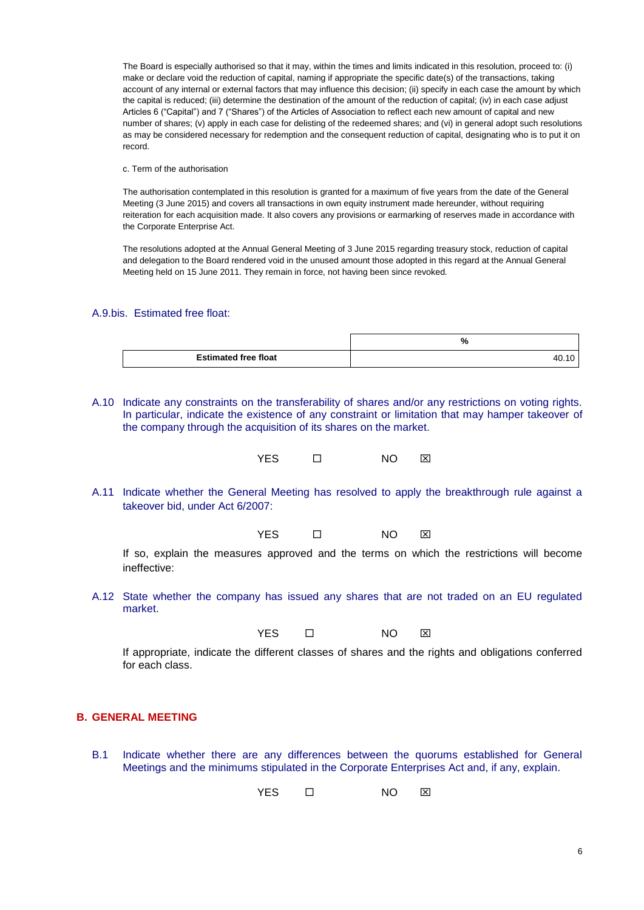The Board is especially authorised so that it may, within the times and limits indicated in this resolution, proceed to: (i) make or declare void the reduction of capital, naming if appropriate the specific date(s) of the transactions, taking account of any internal or external factors that may influence this decision; (ii) specify in each case the amount by which the capital is reduced; (iii) determine the destination of the amount of the reduction of capital; (iv) in each case adjust Articles 6 ("Capital") and 7 ("Shares") of the Articles of Association to reflect each new amount of capital and new number of shares; (v) apply in each case for delisting of the redeemed shares; and (vi) in general adopt such resolutions as may be considered necessary for redemption and the consequent reduction of capital, designating who is to put it on record.

c. Term of the authorisation

The authorisation contemplated in this resolution is granted for a maximum of five years from the date of the General Meeting (3 June 2015) and covers all transactions in own equity instrument made hereunder, without requiring reiteration for each acquisition made. It also covers any provisions or earmarking of reserves made in accordance with the Corporate Enterprise Act.

The resolutions adopted at the Annual General Meeting of 3 June 2015 regarding treasury stock, reduction of capital and delegation to the Board rendered void in the unused amount those adopted in this regard at the Annual General Meeting held on 15 June 2011. They remain in force, not having been since revoked.

### A.9.bis. Estimated free float:

|                             | <br>7٥ |
|-----------------------------|--------|
| <b>Estimated free float</b> |        |

A.10 Indicate any constraints on the transferability of shares and/or any restrictions on voting rights. In particular, indicate the existence of any constraint or limitation that may hamper takeover of the company through the acquisition of its shares on the market.

YES  $\Box$  NO  $\boxtimes$ 

A.11 Indicate whether the General Meeting has resolved to apply the breakthrough rule against a takeover bid, under Act 6/2007:

YES □ NO ⊠

If so, explain the measures approved and the terms on which the restrictions will become ineffective:

A.12 State whether the company has issued any shares that are not traded on an EU regulated market.

YES O NO XI

If appropriate, indicate the different classes of shares and the rights and obligations conferred for each class.

# **B. GENERAL MEETING**

B.1 Indicate whether there are any differences between the quorums established for General Meetings and the minimums stipulated in the Corporate Enterprises Act and, if any, explain.

YES **D** NO **X**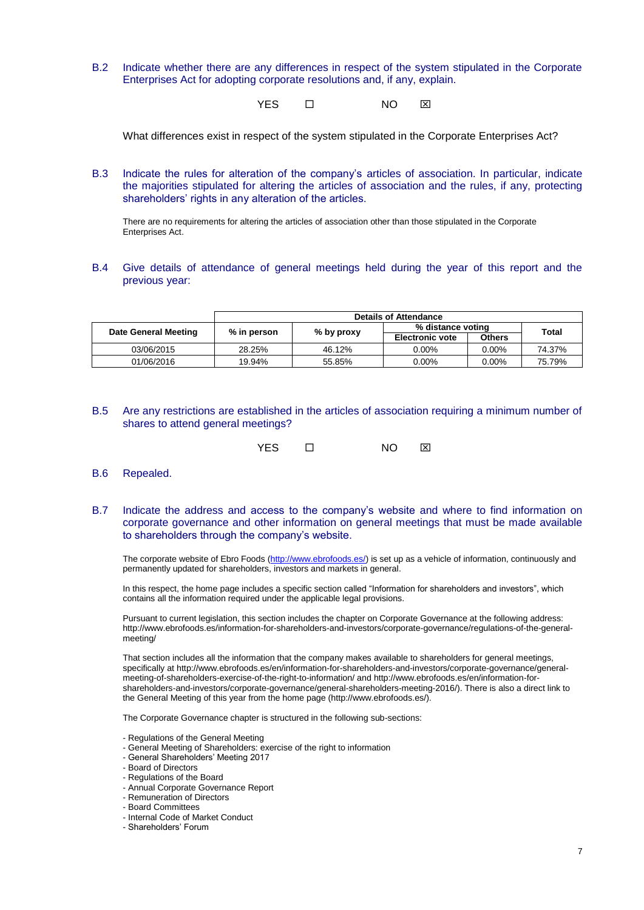B.2 Indicate whether there are any differences in respect of the system stipulated in the Corporate Enterprises Act for adopting corporate resolutions and, if any, explain.

YES □ NO ⊠

What differences exist in respect of the system stipulated in the Corporate Enterprises Act?

B.3 Indicate the rules for alteration of the company's articles of association. In particular, indicate the majorities stipulated for altering the articles of association and the rules, if any, protecting shareholders' rights in any alteration of the articles.

There are no requirements for altering the articles of association other than those stipulated in the Corporate Enterprises Act.

B.4 Give details of attendance of general meetings held during the year of this report and the previous year:

|                      | <b>Details of Attendance</b> |            |                        |               |        |
|----------------------|------------------------------|------------|------------------------|---------------|--------|
| Date General Meeting | % in person                  |            | % distance voting      |               | Total  |
|                      |                              | % by proxy | <b>Electronic vote</b> | <b>Others</b> |        |
| 03/06/2015           | 28.25%                       | 46.12%     | 0.00%                  | $0.00\%$      | 74.37% |
| 01/06/2016           | 19.94%                       | 55.85%     | $0.00\%$               | $0.00\%$      | 75.79% |

B.5 Are any restrictions are established in the articles of association requiring a minimum number of shares to attend general meetings?

| YES.<br>NO<br>⊠ |
|-----------------|
|                 |

- B.6 Repealed.
- B.7 Indicate the address and access to the company's website and where to find information on corporate governance and other information on general meetings that must be made available to shareholders through the company's website.

The corporate website of Ebro Foods [\(http://www.ebrofoods.es/\)](http://www.ebrofoods.es/) is set up as a vehicle of information, continuously and permanently updated for shareholders, investors and markets in general.

In this respect, the home page includes a specific section called "Information for shareholders and investors", which contains all the information required under the applicable legal provisions.

Pursuant to current legislation, this section includes the chapter on Corporate Governance at the following address: http://www.ebrofoods.es/information-for-shareholders-and-investors/corporate-governance/regulations-of-the-generalmeeting/

That section includes all the information that the company makes available to shareholders for general meetings, specifically at http://www.ebrofoods.es/en/information-for-shareholders-and-investors/corporate-governance/generalmeeting-of-shareholders-exercise-of-the-right-to-information/ and http://www.ebrofoods.es/en/information-forshareholders-and-investors/corporate-governance/general-shareholders-meeting-2016/). There is also a direct link to the General Meeting of this year from the home page (http://www.ebrofoods.es/).

The Corporate Governance chapter is structured in the following sub-sections:

- Regulations of the General Meeting
- General Meeting of Shareholders: exercise of the right to information
- General Shareholders' Meeting 2017
- Board of Directors
- Regulations of the Board
- Annual Corporate Governance Report
- Remuneration of Directors
- Board Committees
- Internal Code of Market Conduct
- Shareholders' Forum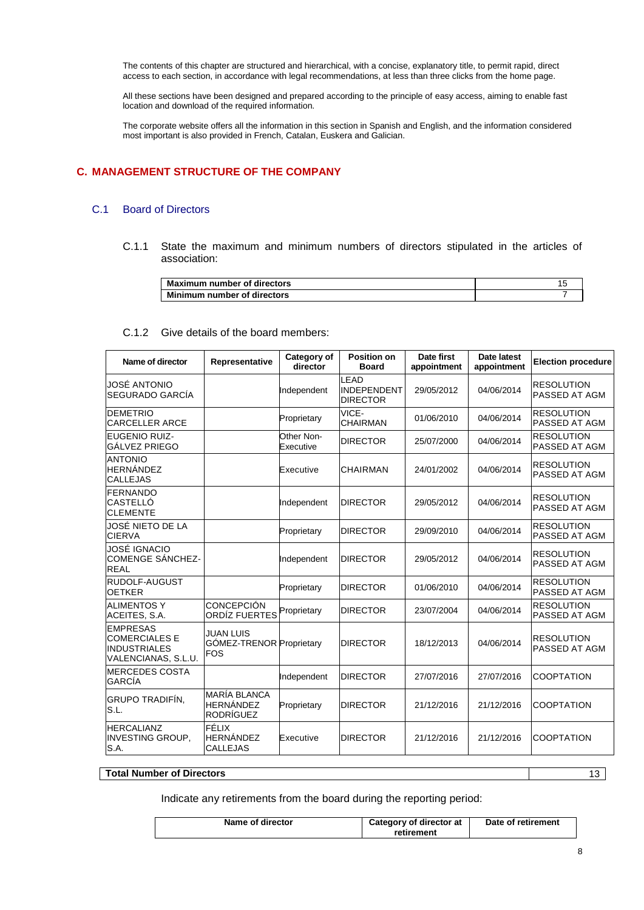The contents of this chapter are structured and hierarchical, with a concise, explanatory title, to permit rapid, direct access to each section, in accordance with legal recommendations, at less than three clicks from the home page.

All these sections have been designed and prepared according to the principle of easy access, aiming to enable fast location and download of the required information.

The corporate website offers all the information in this section in Spanish and English, and the information considered most important is also provided in French, Catalan, Euskera and Galician.

# **C. MANAGEMENT STRUCTURE OF THE COMPANY**

# C.1 Board of Directors

C.1.1 State the maximum and minimum numbers of directors stipulated in the articles of association:

| <b>Maximum number of directors</b> |  |
|------------------------------------|--|
| Minimum number of directors        |  |

# C.1.2 Give details of the board members:

| Name of director                                                                      | Representative                                              | Category of<br>director | <b>Position on</b><br><b>Board</b>            | Date first<br>appointment | <b>Date latest</b><br>appointment | <b>Election procedure</b>          |
|---------------------------------------------------------------------------------------|-------------------------------------------------------------|-------------------------|-----------------------------------------------|---------------------------|-----------------------------------|------------------------------------|
| JOSÉ ANTONIO<br>SEGURADO GARCÍA                                                       |                                                             | Independent             | LEAD<br><b>INDEPENDENT</b><br><b>DIRECTOR</b> | 29/05/2012                | 04/06/2014                        | <b>RESOLUTION</b><br>PASSED AT AGM |
| <b>DEMETRIO</b><br><b>CARCELLER ARCE</b>                                              |                                                             | Proprietary             | VICE-<br><b>CHAIRMAN</b>                      | 01/06/2010                | 04/06/2014                        | <b>RESOLUTION</b><br>PASSED AT AGM |
| <b>EUGENIO RUIZ-</b><br>GÁLVEZ PRIEGO                                                 |                                                             | Other Non-<br>Executive | <b>DIRECTOR</b>                               | 25/07/2000                | 04/06/2014                        | <b>RESOLUTION</b><br>PASSED AT AGM |
| <b>ANTONIO</b><br><b>HERNÁNDEZ</b><br><b>CALLEJAS</b>                                 |                                                             | Executive               | <b>CHAIRMAN</b>                               | 24/01/2002                | 04/06/2014                        | <b>RESOLUTION</b><br>PASSED AT AGM |
| <b>FERNANDO</b><br>CASTELLÓ<br><b>CLEMENTE</b>                                        |                                                             | Independent             | <b>DIRECTOR</b>                               | 29/05/2012                | 04/06/2014                        | <b>RESOLUTION</b><br>PASSED AT AGM |
| JOSÉ NIETO DE LA<br><b>CIERVA</b>                                                     |                                                             | Proprietary             | <b>DIRECTOR</b>                               | 29/09/2010                | 04/06/2014                        | <b>RESOLUTION</b><br>PASSED AT AGM |
| <b>JOSÉ IGNACIO</b><br><b>COMENGE SÁNCHEZ-</b><br><b>REAL</b>                         |                                                             | Independent             | <b>DIRECTOR</b>                               | 29/05/2012                | 04/06/2014                        | <b>RESOLUTION</b><br>PASSED AT AGM |
| <b>RUDOLF-AUGUST</b><br><b>OETKER</b>                                                 |                                                             | Proprietary             | <b>DIRECTOR</b>                               | 01/06/2010                | 04/06/2014                        | <b>RESOLUTION</b><br>PASSED AT AGM |
| <b>ALIMENTOS Y</b><br>ACEITES, S.A.                                                   | <b>CONCEPCIÓN</b><br>ORDÍZ FUERTES                          | Proprietary             | <b>DIRECTOR</b>                               | 23/07/2004                | 04/06/2014                        | <b>RESOLUTION</b><br>PASSED AT AGM |
| <b>EMPRESAS</b><br><b>COMERCIALES E</b><br><b>INDUSTRIALES</b><br>VALENCIANAS, S.L.U. | <b>JUAN LUIS</b><br>GÓMEZ-TRENOR Proprietary<br><b>FOS</b>  |                         | <b>DIRECTOR</b>                               | 18/12/2013                | 04/06/2014                        | <b>RESOLUTION</b><br>PASSED AT AGM |
| <b>MERCEDES COSTA</b><br>GARCÍA                                                       |                                                             | Independent             | <b>DIRECTOR</b>                               | 27/07/2016                | 27/07/2016                        | <b>COOPTATION</b>                  |
| <b>GRUPO TRADIFÍN,</b><br>S.L.                                                        | <b>MARÍA BLANCA</b><br><b>HERNÁNDEZ</b><br><b>RODRÍGUEZ</b> | Proprietary             | <b>DIRECTOR</b>                               | 21/12/2016                | 21/12/2016                        | <b>COOPTATION</b>                  |
| <b>HERCALIANZ</b><br><b>INVESTING GROUP.</b><br>S.A.                                  | FÉLIX<br><b>HERNÁNDEZ</b><br><b>CALLEJAS</b>                | Executive               | <b>DIRECTOR</b>                               | 21/12/2016                | 21/12/2016                        | <b>COOPTATION</b>                  |

# **Total Number of Directors** 13

Indicate any retirements from the board during the reporting period:

| Name of director | Category of director at | Date of retirement |
|------------------|-------------------------|--------------------|
|                  | retirement              |                    |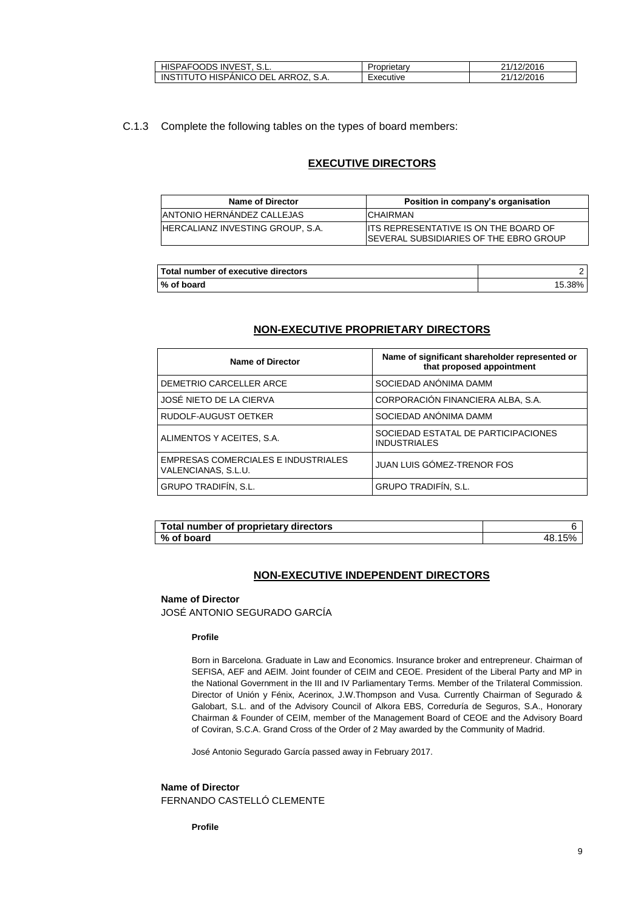| HISPAFOODS INVEST.                  | Proprietarv | 21/12/2016 |
|-------------------------------------|-------------|------------|
| INSTITUTO HISPANICO DEL ARROZ. S.A. | Executive   | 21/12/2016 |

# C.1.3 Complete the following tables on the types of board members:

# **EXECUTIVE DIRECTORS**

| <b>Name of Director</b>                  | Position in company's organisation                                                             |
|------------------------------------------|------------------------------------------------------------------------------------------------|
| <b>ANTONIO HERNANDEZ CALLEJAS</b>        | <b>ICHAIRMAN</b>                                                                               |
| <b>IHERCALIANZ INVESTING GROUP, S.A.</b> | <b>ITS REPRESENTATIVE IS ON THE BOARD OF</b><br><b>ISEVERAL SUBSIDIARIES OF THE EBRO GROUP</b> |

| Total number of executive directors |        |
|-------------------------------------|--------|
| % of board                          | 15.38% |

# **NON-EXECUTIVE PROPRIETARY DIRECTORS**

| <b>Name of Director</b>                                    | Name of significant shareholder represented or<br>that proposed appointment |
|------------------------------------------------------------|-----------------------------------------------------------------------------|
| DEMETRIO CARCELLER ARCE                                    | SOCIEDAD ANÓNIMA DAMM                                                       |
| JOSÉ NIETO DE LA CIERVA                                    | CORPORACIÓN FINANCIERA ALBA, S.A.                                           |
| RUDOLF-AUGUST OETKER                                       | SOCIEDAD ANÓNIMA DAMM                                                       |
| ALIMENTOS Y ACEITES, S.A.                                  | SOCIEDAD ESTATAL DE PARTICIPACIONES<br><b>INDUSTRIALES</b>                  |
| EMPRESAS COMERCIALES E INDUSTRIALES<br>VALENCIANAS, S.L.U. | JUAN LUIS GÓMEZ-TRENOR FOS                                                  |
| <b>GRUPO TRADIFÍN, S.L.</b>                                | <b>GRUPO TRADIFÍN, S.L.</b>                                                 |

| Total number of proprietary directors |    |
|---------------------------------------|----|
| % of board                            | 48 |

# **NON-EXECUTIVE INDEPENDENT DIRECTORS**

### **Name of Director**

JOSÉ ANTONIO SEGURADO GARCÍA

#### **Profile**

Born in Barcelona. Graduate in Law and Economics. Insurance broker and entrepreneur. Chairman of SEFISA, AEF and AEIM. Joint founder of CEIM and CEOE. President of the Liberal Party and MP in the National Government in the III and IV Parliamentary Terms. Member of the Trilateral Commission. Director of Unión y Fénix, Acerinox, J.W.Thompson and Vusa. Currently Chairman of Segurado & Galobart, S.L. and of the Advisory Council of Alkora EBS, Correduría de Seguros, S.A., Honorary Chairman & Founder of CEIM, member of the Management Board of CEOE and the Advisory Board of Coviran, S.C.A. Grand Cross of the Order of 2 May awarded by the Community of Madrid.

José Antonio Segurado García passed away in February 2017.

# **Name of Director** FERNANDO CASTELLÓ CLEMENTE

**Profile**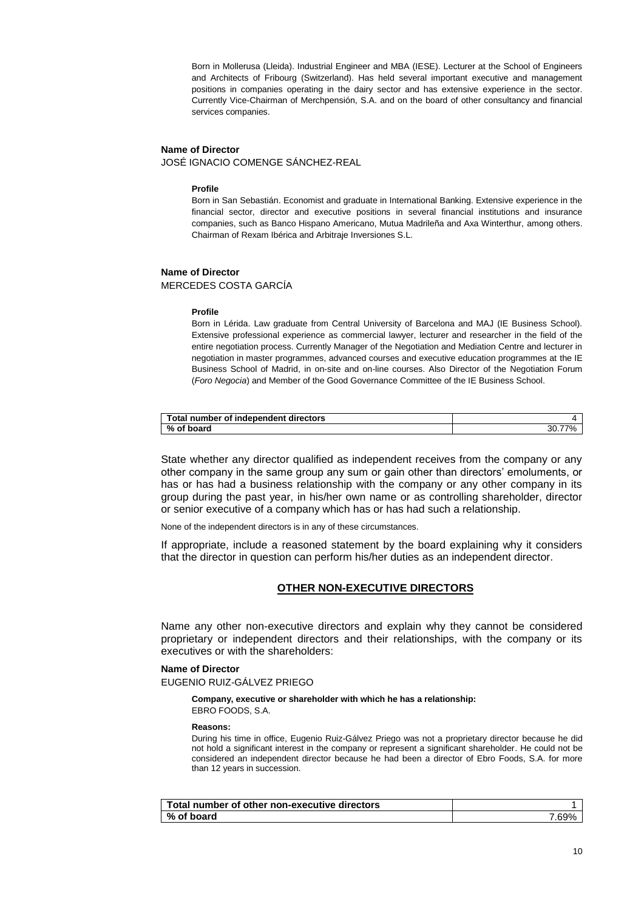Born in Mollerusa (Lleida). Industrial Engineer and MBA (IESE). Lecturer at the School of Engineers and Architects of Fribourg (Switzerland). Has held several important executive and management positions in companies operating in the dairy sector and has extensive experience in the sector. Currently Vice-Chairman of Merchpensión, S.A. and on the board of other consultancy and financial services companies.

### **Name of Director**

JOSÉ IGNACIO COMENGE SÁNCHEZ-REAL

#### **Profile**

Born in San Sebastián. Economist and graduate in International Banking. Extensive experience in the financial sector, director and executive positions in several financial institutions and insurance companies, such as Banco Hispano Americano, Mutua Madrileña and Axa Winterthur, among others. Chairman of Rexam Ibérica and Arbitraje Inversiones S.L.

#### **Name of Director**

MERCEDES COSTA GARCÍA

#### **Profile**

Born in Lérida. Law graduate from Central University of Barcelona and MAJ (IE Business School). Extensive professional experience as commercial lawyer, lecturer and researcher in the field of the entire negotiation process. Currently Manager of the Negotiation and Mediation Centre and lecturer in negotiation in master programmes, advanced courses and executive education programmes at the IE Business School of Madrid, in on-site and on-line courses. Also Director of the Negotiation Forum (*Foro Negocia*) and Member of the Good Governance Committee of the IE Business School.

| Total number of independent directors |        |
|---------------------------------------|--------|
| % of board                            | - 2U., |

State whether any director qualified as independent receives from the company or any other company in the same group any sum or gain other than directors' emoluments, or has or has had a business relationship with the company or any other company in its group during the past year, in his/her own name or as controlling shareholder, director or senior executive of a company which has or has had such a relationship.

None of the independent directors is in any of these circumstances.

If appropriate, include a reasoned statement by the board explaining why it considers that the director in question can perform his/her duties as an independent director.

# **OTHER NON-EXECUTIVE DIRECTORS**

Name any other non-executive directors and explain why they cannot be considered proprietary or independent directors and their relationships, with the company or its executives or with the shareholders:

### **Name of Director**

EUGENIO RUIZ-GÁLVEZ PRIEGO

#### **Company, executive or shareholder with which he has a relationship:** EBRO FOODS, S.A.

#### **Reasons:**

During his time in office, Eugenio Ruiz-Gálvez Priego was not a proprietary director because he did not hold a significant interest in the company or represent a significant shareholder. He could not be considered an independent director because he had been a director of Ebro Foods, S.A. for more than 12 years in succession.

| Total number of other non-executive directors |      |
|-----------------------------------------------|------|
| % of board                                    | .69% |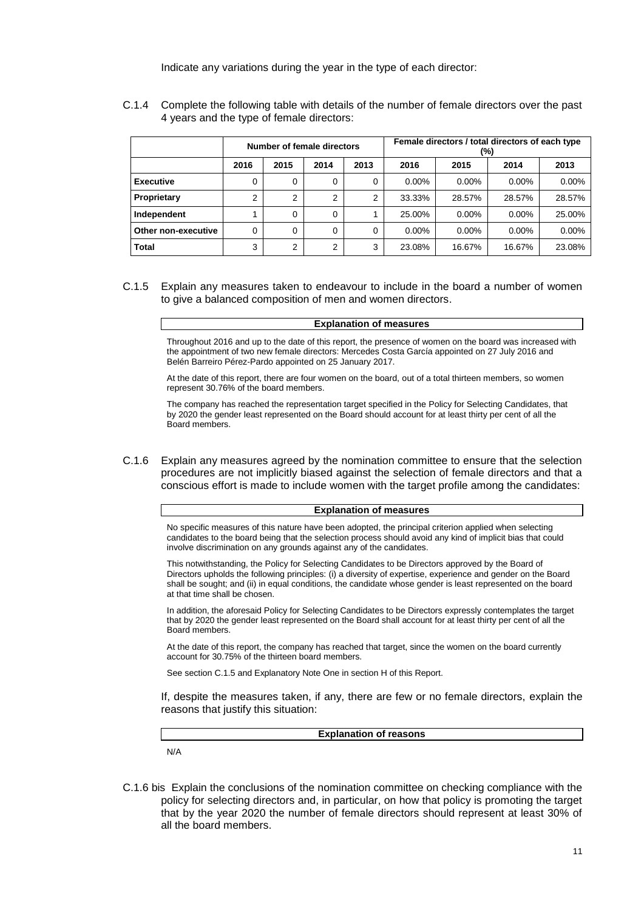Indicate any variations during the year in the type of each director:

C.1.4 Complete the following table with details of the number of female directors over the past 4 years and the type of female directors:

|                     | Number of female directors |                |          |          |          | Female directors / total directors of each type<br>(%) |          |          |
|---------------------|----------------------------|----------------|----------|----------|----------|--------------------------------------------------------|----------|----------|
|                     | 2016                       | 2015           | 2014     | 2013     | 2016     | 2015                                                   | 2014     | 2013     |
| <b>Executive</b>    | $\Omega$                   | 0              | 0        | $\Omega$ | $0.00\%$ | $0.00\%$                                               | $0.00\%$ | $0.00\%$ |
| Proprietary         | $\overline{2}$             | $\overline{2}$ | ົ        | 2        | 33.33%   | 28.57%                                                 | 28.57%   | 28.57%   |
| Independent         |                            | $\Omega$       | $\Omega$ |          | 25.00%   | $0.00\%$                                               | $0.00\%$ | 25.00%   |
| Other non-executive | $\Omega$                   | $\Omega$       | $\Omega$ | $\Omega$ | $0.00\%$ | $0.00\%$                                               | $0.00\%$ | 0.00%    |
| Total               | 3                          | $\overline{2}$ | ◠        | 3        | 23.08%   | 16.67%                                                 | 16.67%   | 23.08%   |

### C.1.5 Explain any measures taken to endeavour to include in the board a number of women to give a balanced composition of men and women directors.

#### **Explanation of measures**

Throughout 2016 and up to the date of this report, the presence of women on the board was increased with the appointment of two new female directors: Mercedes Costa García appointed on 27 July 2016 and Belén Barreiro Pérez-Pardo appointed on 25 January 2017.

At the date of this report, there are four women on the board, out of a total thirteen members, so women represent 30.76% of the board members.

The company has reached the representation target specified in the Policy for Selecting Candidates, that by 2020 the gender least represented on the Board should account for at least thirty per cent of all the Board members.

C.1.6 Explain any measures agreed by the nomination committee to ensure that the selection procedures are not implicitly biased against the selection of female directors and that a conscious effort is made to include women with the target profile among the candidates:

#### **Explanation of measures**

No specific measures of this nature have been adopted, the principal criterion applied when selecting candidates to the board being that the selection process should avoid any kind of implicit bias that could involve discrimination on any grounds against any of the candidates.

This notwithstanding, the Policy for Selecting Candidates to be Directors approved by the Board of Directors upholds the following principles: (i) a diversity of expertise, experience and gender on the Board shall be sought; and (ii) in equal conditions, the candidate whose gender is least represented on the board at that time shall be chosen.

In addition, the aforesaid Policy for Selecting Candidates to be Directors expressly contemplates the target that by 2020 the gender least represented on the Board shall account for at least thirty per cent of all the Board members.

At the date of this report, the company has reached that target, since the women on the board currently account for 30.75% of the thirteen board members.

See section C.1.5 and Explanatory Note One in section H of this Report.

If, despite the measures taken, if any, there are few or no female directors, explain the reasons that justify this situation:

**Explanation of reasons**

N/A

C.1.6 bis Explain the conclusions of the nomination committee on checking compliance with the policy for selecting directors and, in particular, on how that policy is promoting the target that by the year 2020 the number of female directors should represent at least 30% of all the board members.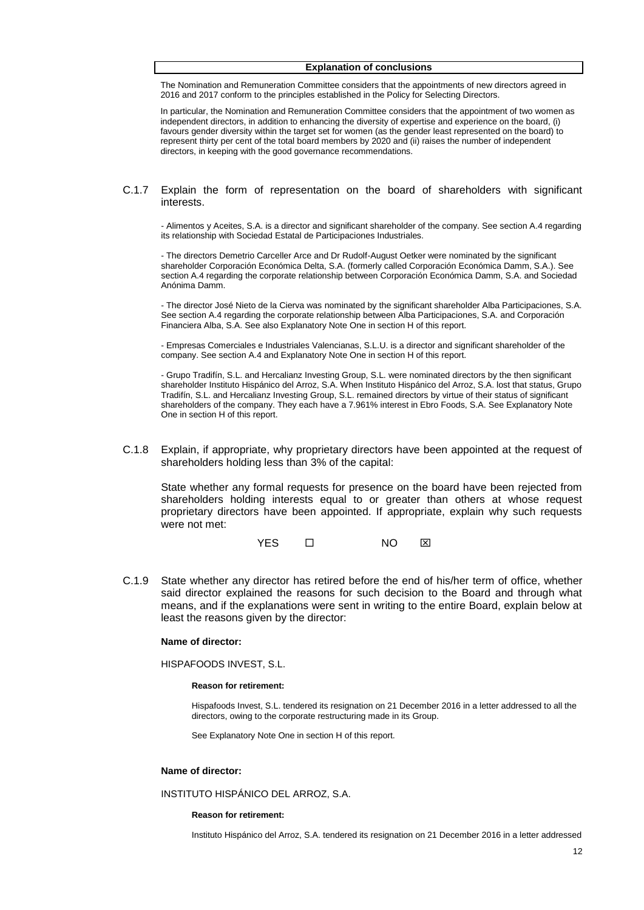### **Explanation of conclusions**

The Nomination and Remuneration Committee considers that the appointments of new directors agreed in 2016 and 2017 conform to the principles established in the Policy for Selecting Directors.

In particular, the Nomination and Remuneration Committee considers that the appointment of two women as independent directors, in addition to enhancing the diversity of expertise and experience on the board, (i) favours gender diversity within the target set for women (as the gender least represented on the board) to represent thirty per cent of the total board members by 2020 and (ii) raises the number of independent directors, in keeping with the good governance recommendations.

### C.1.7 Explain the form of representation on the board of shareholders with significant interests.

- Alimentos y Aceites, S.A. is a director and significant shareholder of the company. See section A.4 regarding its relationship with Sociedad Estatal de Participaciones Industriales.

- The directors Demetrio Carceller Arce and Dr Rudolf-August Oetker were nominated by the significant shareholder Corporación Económica Delta, S.A. (formerly called Corporación Económica Damm, S.A.). See section A.4 regarding the corporate relationship between Corporación Económica Damm, S.A. and Sociedad Anónima Damm.

- The director José Nieto de la Cierva was nominated by the significant shareholder Alba Participaciones, S.A. See section A.4 regarding the corporate relationship between Alba Participaciones, S.A. and Corporación Financiera Alba, S.A. See also Explanatory Note One in section H of this report.

- Empresas Comerciales e Industriales Valencianas, S.L.U. is a director and significant shareholder of the company. See section A.4 and Explanatory Note One in section H of this report.

- Grupo Tradifín, S.L. and Hercalianz Investing Group, S.L. were nominated directors by the then significant shareholder Instituto Hispánico del Arroz, S.A. When Instituto Hispánico del Arroz, S.A. lost that status, Grupo Tradifín, S.L. and Hercalianz Investing Group, S.L. remained directors by virtue of their status of significant shareholders of the company. They each have a 7.961% interest in Ebro Foods, S.A. See Explanatory Note One in section H of this report.

C.1.8 Explain, if appropriate, why proprietary directors have been appointed at the request of shareholders holding less than 3% of the capital:

State whether any formal requests for presence on the board have been rejected from shareholders holding interests equal to or greater than others at whose request proprietary directors have been appointed. If appropriate, explain why such requests were not met:

YES □ NO ⊠

C.1.9 State whether any director has retired before the end of his/her term of office, whether said director explained the reasons for such decision to the Board and through what means, and if the explanations were sent in writing to the entire Board, explain below at least the reasons given by the director:

#### **Name of director:**

HISPAFOODS INVEST, S.L.

#### **Reason for retirement:**

Hispafoods Invest, S.L. tendered its resignation on 21 December 2016 in a letter addressed to all the directors, owing to the corporate restructuring made in its Group.

See Explanatory Note One in section H of this report.

#### **Name of director:**

INSTITUTO HISPÁNICO DEL ARROZ, S.A.

#### **Reason for retirement:**

Instituto Hispánico del Arroz, S.A. tendered its resignation on 21 December 2016 in a letter addressed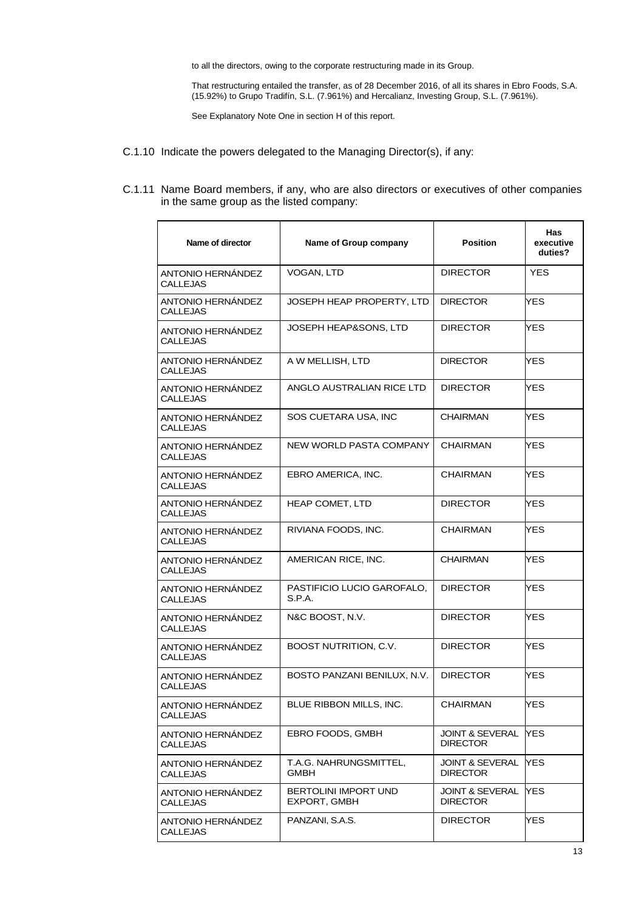to all the directors, owing to the corporate restructuring made in its Group.

That restructuring entailed the transfer, as of 28 December 2016, of all its shares in Ebro Foods, S.A. (15.92%) to Grupo Tradifín, S.L. (7.961%) and Hercalianz, Investing Group, S.L. (7.961%).

See Explanatory Note One in section H of this report.

- C.1.10 Indicate the powers delegated to the Managing Director(s), if any:
- C.1.11 Name Board members, if any, who are also directors or executives of other companies in the same group as the listed company:

| Name of Group company                 | <b>Position</b>                    | <b>Has</b><br>executive<br>duties? |
|---------------------------------------|------------------------------------|------------------------------------|
| VOGAN, LTD                            | <b>DIRECTOR</b>                    | <b>YES</b>                         |
| JOSEPH HEAP PROPERTY. LTD             | <b>DIRECTOR</b>                    | YES                                |
| JOSEPH HEAP&SONS, LTD                 | <b>DIRECTOR</b>                    | YES.                               |
| A W MELLISH, LTD                      | <b>DIRECTOR</b>                    | YES.                               |
| ANGLO AUSTRALIAN RICE LTD             | <b>DIRECTOR</b>                    | YES.                               |
| SOS CUETARA USA, INC                  | CHAIRMAN                           | YES.                               |
| NEW WORLD PASTA COMPANY               | <b>CHAIRMAN</b>                    | YES.                               |
| EBRO AMERICA, INC.                    | CHAIRMAN                           | YES.                               |
| <b>HEAP COMET, LTD</b>                | <b>DIRECTOR</b>                    | YES.                               |
| RIVIANA FOODS, INC.                   | <b>CHAIRMAN</b>                    | YES.                               |
| AMERICAN RICE, INC.                   | CHAIRMAN                           | YES.                               |
| PASTIFICIO LUCIO GAROFALO,<br>S.P.A.  | <b>DIRECTOR</b>                    | YES.                               |
| N&C BOOST, N.V.                       | <b>DIRECTOR</b>                    | YES                                |
| <b>BOOST NUTRITION, C.V.</b>          | <b>DIRECTOR</b>                    | YES                                |
| BOSTO PANZANI BENILUX, N.V.           | <b>DIRECTOR</b>                    | YES.                               |
| BLUE RIBBON MILLS, INC.               | CHAIRMAN                           | YES                                |
| EBRO FOODS, GMBH                      | JOINT & SEVERAL<br><b>DIRECTOR</b> | YES.                               |
| T.A.G. NAHRUNGSMITTEL.<br><b>GMBH</b> | JOINT & SEVERAL<br><b>DIRECTOR</b> | <b>YES</b>                         |
| BERTOLINI IMPORT UND<br>EXPORT, GMBH  | JOINT & SEVERAL<br><b>DIRECTOR</b> | YES.                               |
| PANZANI, S.A.S.                       | <b>DIRECTOR</b>                    | YES                                |
|                                       |                                    |                                    |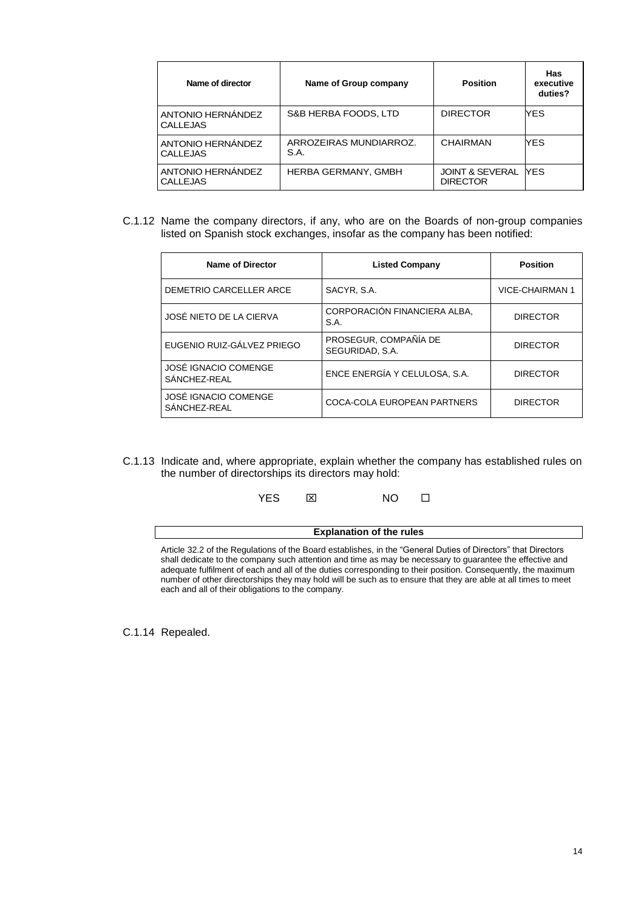| Name of director                     | Name of Group company          | <b>Position</b>                               | Has<br>executive<br>duties? |
|--------------------------------------|--------------------------------|-----------------------------------------------|-----------------------------|
| ANTONIO HERNÁNDEZ<br><b>CALLEJAS</b> | S&B HERBA FOODS, LTD           | <b>DIRECTOR</b>                               | YES.                        |
| ANTONIO HERNÁNDEZ<br><b>CALLEJAS</b> | ARROZEIRAS MUNDIARROZ.<br>S.A. | <b>CHAIRMAN</b>                               | YES.                        |
| ANTONIO HERNÁNDEZ<br><b>CALLEJAS</b> | <b>HERBA GERMANY, GMBH</b>     | <b>JOINT &amp; SEVERAL</b><br><b>DIRECTOR</b> | <b>NFS</b>                  |

C.1.12 Name the company directors, if any, who are on the Boards of non-group companies listed on Spanish stock exchanges, insofar as the company has been notified:

| <b>Name of Director</b>              | <b>Listed Company</b>                    | <b>Position</b> |
|--------------------------------------|------------------------------------------|-----------------|
| DEMETRIO CARCELLER ARCE              | SACYR, S.A.                              | VICE-CHAIRMAN 1 |
| JOSÉ NIETO DE LA CIERVA              | CORPORACIÓN FINANCIERA ALBA,<br>S.A.     | <b>DIRECTOR</b> |
| EUGENIO RUIZ-GÁLVEZ PRIEGO           | PROSEGUR, COMPAÑÍA DE<br>SEGURIDAD, S.A. | <b>DIRECTOR</b> |
| JOSÉ IGNACIO COMENGE<br>SÁNCHEZ-REAL | ENCE ENERGÍA Y CELULOSA, S.A.            | <b>DIRECTOR</b> |
| JOSÉ IGNACIO COMENGE<br>SÁNCHEZ-REAL | COCA-COLA EUROPEAN PARTNERS              | <b>DIRECTOR</b> |

C.1.13 Indicate and, where appropriate, explain whether the company has established rules on the number of directorships its directors may hold:

| NΟ<br>YES.<br>⊠ |  |
|-----------------|--|
|-----------------|--|

| <b>Explanation of the rules</b>                                                                                                                                                                                                                                                                                                                                                                                                                                                                                 |
|-----------------------------------------------------------------------------------------------------------------------------------------------------------------------------------------------------------------------------------------------------------------------------------------------------------------------------------------------------------------------------------------------------------------------------------------------------------------------------------------------------------------|
| Article 32.2 of the Regulations of the Board establishes, in the "General Duties of Directors" that Directors<br>shall dedicate to the company such attention and time as may be necessary to quarantee the effective and<br>adequate fulfilment of each and all of the duties corresponding to their position. Consequently, the maximum<br>number of other directorships they may hold will be such as to ensure that they are able at all times to meet<br>each and all of their obligations to the company. |

**Explanation of the rules**

C.1.14 Repealed.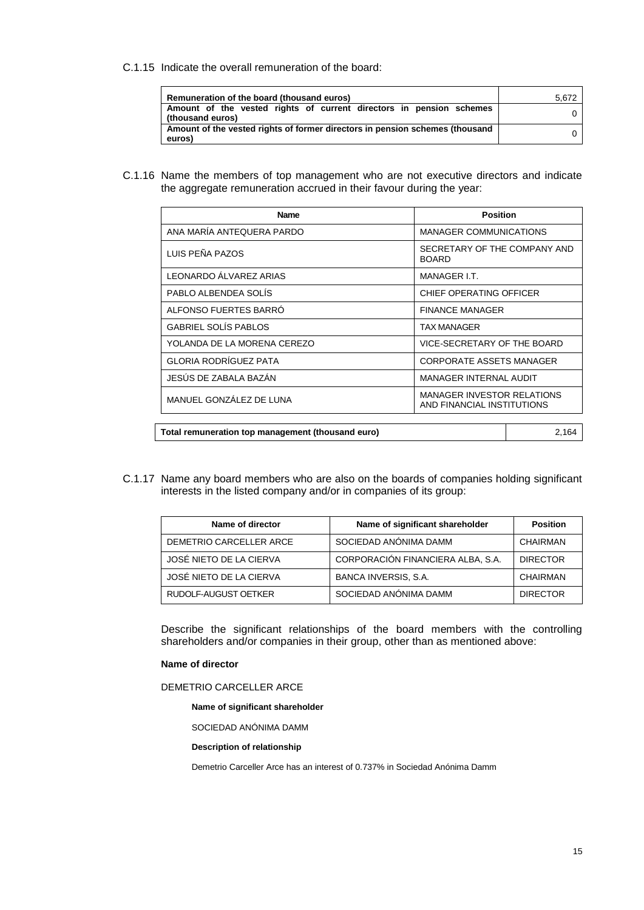C.1.15 Indicate the overall remuneration of the board:

| Remuneration of the board (thousand euros)                                              | 5,672 |
|-----------------------------------------------------------------------------------------|-------|
| Amount of the vested rights of current directors in pension schemes<br>(thousand euros) |       |
| Amount of the vested rights of former directors in pension schemes (thousand<br>euros)  |       |

C.1.16 Name the members of top management who are not executive directors and indicate the aggregate remuneration accrued in their favour during the year:

| <b>Name</b>                                       | <b>Position</b>                                                 |  |
|---------------------------------------------------|-----------------------------------------------------------------|--|
| ANA MARÍA ANTEQUERA PARDO                         | <b>MANAGER COMMUNICATIONS</b>                                   |  |
| LUIS PEÑA PAZOS                                   | SECRETARY OF THE COMPANY AND<br><b>BOARD</b>                    |  |
| LEONARDO ÁLVAREZ ARIAS                            | MANAGER I.T.                                                    |  |
| PABLO ALBENDEA SOLÍS                              | CHIEF OPERATING OFFICER                                         |  |
| ALFONSO FUERTES BARRO                             | <b>FINANCE MANAGER</b>                                          |  |
| <b>GABRIEL SOLÍS PABLOS</b>                       | <b>TAX MANAGER</b>                                              |  |
| YOLANDA DE LA MORENA CEREZO                       | VICE-SECRETARY OF THE BOARD                                     |  |
| <b>GLORIA RODRÍGUEZ PATA</b>                      | <b>CORPORATE ASSETS MANAGER</b>                                 |  |
| JESÚS DE ZABALA BAZÁN                             | <b>MANAGER INTERNAL AUDIT</b>                                   |  |
| MANUEL GONZÁLEZ DE LUNA                           | <b>MANAGER INVESTOR RELATIONS</b><br>AND FINANCIAL INSTITUTIONS |  |
|                                                   |                                                                 |  |
| Total remuneration top management (thousand euro) | 2,164                                                           |  |

C.1.17 Name any board members who are also on the boards of companies holding significant interests in the listed company and/or in companies of its group:

| Name of director        | Name of significant shareholder   | <b>Position</b> |
|-------------------------|-----------------------------------|-----------------|
| DEMETRIO CARCELLER ARCE | SOCIEDAD ANÓNIMA DAMM             | CHAIRMAN        |
| JOSÉ NIETO DE LA CIERVA | CORPORACIÓN FINANCIERA ALBA, S.A. | <b>DIRECTOR</b> |
| JOSÉ NIETO DE LA CIERVA | BANCA INVERSIS, S.A.              | CHAIRMAN        |
| RUDOLF-AUGUST OETKER    | SOCIEDAD ANÓNIMA DAMM             | <b>DIRECTOR</b> |

Describe the significant relationships of the board members with the controlling shareholders and/or companies in their group, other than as mentioned above:

### **Name of director**

### DEMETRIO CARCELLER ARCE

**Name of significant shareholder**

SOCIEDAD ANÓNIMA DAMM

### **Description of relationship**

Demetrio Carceller Arce has an interest of 0.737% in Sociedad Anónima Damm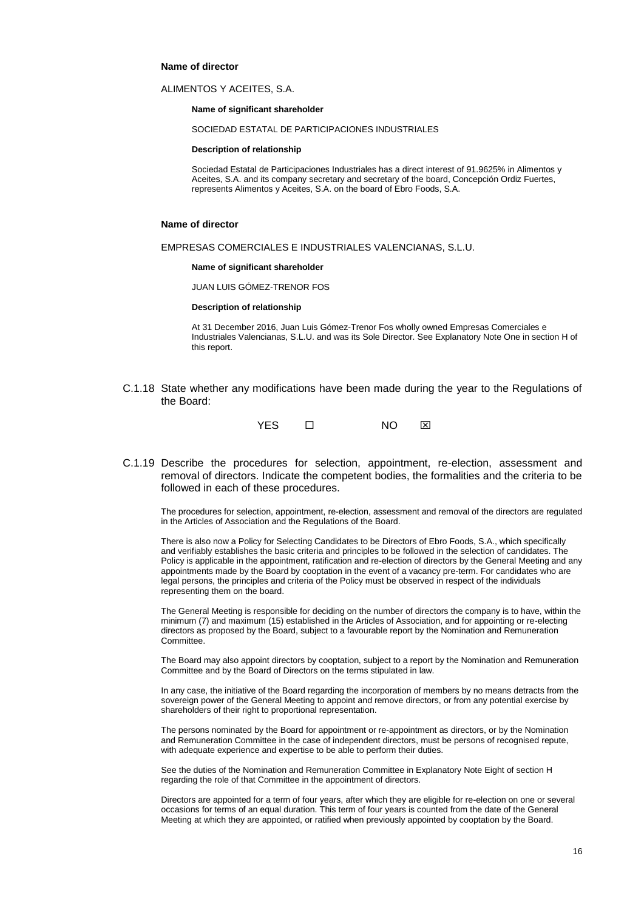### **Name of director**

### ALIMENTOS Y ACEITES, S.A.

**Name of significant shareholder**

SOCIEDAD ESTATAL DE PARTICIPACIONES INDUSTRIALES

**Description of relationship**

Sociedad Estatal de Participaciones Industriales has a direct interest of 91.9625% in Alimentos y Aceites, S.A. and its company secretary and secretary of the board, Concepción Ordiz Fuertes, represents Alimentos y Aceites, S.A. on the board of Ebro Foods, S.A.

#### **Name of director**

EMPRESAS COMERCIALES E INDUSTRIALES VALENCIANAS, S.L.U.

**Name of significant shareholder**

JUAN LUIS GÓMEZ-TRENOR FOS

#### **Description of relationship**

At 31 December 2016, Juan Luis Gómez-Trenor Fos wholly owned Empresas Comerciales e Industriales Valencianas, S.L.U. and was its Sole Director. See Explanatory Note One in section H of this report.

C.1.18 State whether any modifications have been made during the year to the Regulations of the Board:



C.1.19 Describe the procedures for selection, appointment, re-election, assessment and removal of directors. Indicate the competent bodies, the formalities and the criteria to be followed in each of these procedures.

The procedures for selection, appointment, re-election, assessment and removal of the directors are regulated in the Articles of Association and the Regulations of the Board.

There is also now a Policy for Selecting Candidates to be Directors of Ebro Foods, S.A., which specifically and verifiably establishes the basic criteria and principles to be followed in the selection of candidates. The Policy is applicable in the appointment, ratification and re-election of directors by the General Meeting and any appointments made by the Board by cooptation in the event of a vacancy pre-term. For candidates who are legal persons, the principles and criteria of the Policy must be observed in respect of the individuals representing them on the board.

The General Meeting is responsible for deciding on the number of directors the company is to have, within the minimum (7) and maximum (15) established in the Articles of Association, and for appointing or re-electing directors as proposed by the Board, subject to a favourable report by the Nomination and Remuneration Committee.

The Board may also appoint directors by cooptation, subject to a report by the Nomination and Remuneration Committee and by the Board of Directors on the terms stipulated in law.

In any case, the initiative of the Board regarding the incorporation of members by no means detracts from the sovereign power of the General Meeting to appoint and remove directors, or from any potential exercise by shareholders of their right to proportional representation.

The persons nominated by the Board for appointment or re-appointment as directors, or by the Nomination and Remuneration Committee in the case of independent directors, must be persons of recognised repute, with adequate experience and expertise to be able to perform their duties.

See the duties of the Nomination and Remuneration Committee in Explanatory Note Eight of section H regarding the role of that Committee in the appointment of directors.

Directors are appointed for a term of four years, after which they are eligible for re-election on one or several occasions for terms of an equal duration. This term of four years is counted from the date of the General Meeting at which they are appointed, or ratified when previously appointed by cooptation by the Board.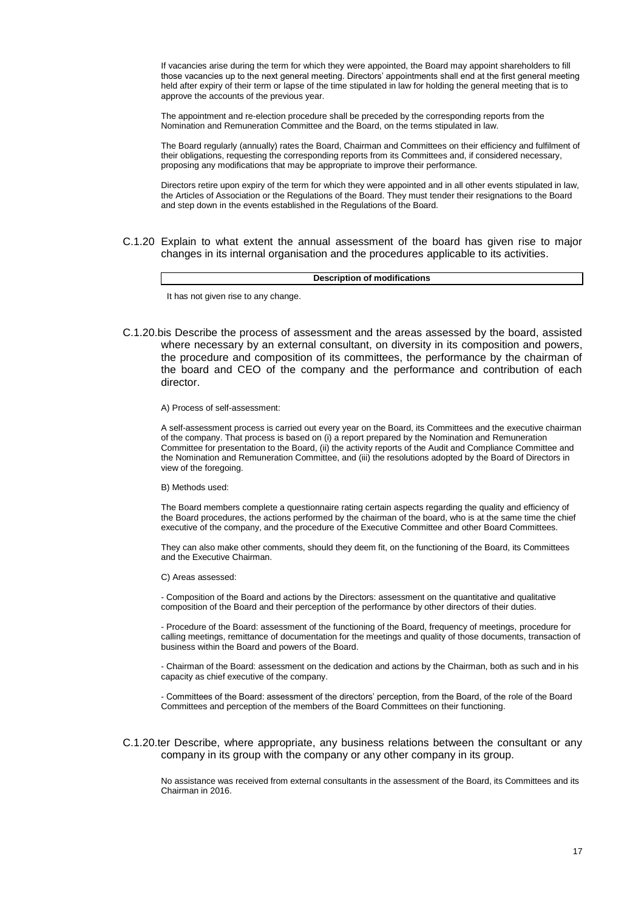If vacancies arise during the term for which they were appointed, the Board may appoint shareholders to fill those vacancies up to the next general meeting. Directors' appointments shall end at the first general meeting held after expiry of their term or lapse of the time stipulated in law for holding the general meeting that is to approve the accounts of the previous year.

The appointment and re-election procedure shall be preceded by the corresponding reports from the Nomination and Remuneration Committee and the Board, on the terms stipulated in law.

The Board regularly (annually) rates the Board, Chairman and Committees on their efficiency and fulfilment of their obligations, requesting the corresponding reports from its Committees and, if considered necessary, proposing any modifications that may be appropriate to improve their performance.

Directors retire upon expiry of the term for which they were appointed and in all other events stipulated in law, the Articles of Association or the Regulations of the Board. They must tender their resignations to the Board and step down in the events established in the Regulations of the Board.

C.1.20 Explain to what extent the annual assessment of the board has given rise to major changes in its internal organisation and the procedures applicable to its activities.

**Description of modifications**

It has not given rise to any change.

C.1.20.bis Describe the process of assessment and the areas assessed by the board, assisted where necessary by an external consultant, on diversity in its composition and powers, the procedure and composition of its committees, the performance by the chairman of the board and CEO of the company and the performance and contribution of each director.

### A) Process of self-assessment:

A self-assessment process is carried out every year on the Board, its Committees and the executive chairman of the company. That process is based on (i) a report prepared by the Nomination and Remuneration Committee for presentation to the Board, (ii) the activity reports of the Audit and Compliance Committee and the Nomination and Remuneration Committee, and (iii) the resolutions adopted by the Board of Directors in view of the foregoing.

#### B) Methods used:

The Board members complete a questionnaire rating certain aspects regarding the quality and efficiency of the Board procedures, the actions performed by the chairman of the board, who is at the same time the chief executive of the company, and the procedure of the Executive Committee and other Board Committees.

They can also make other comments, should they deem fit, on the functioning of the Board, its Committees and the Executive Chairman.

#### C) Areas assessed:

- Composition of the Board and actions by the Directors: assessment on the quantitative and qualitative composition of the Board and their perception of the performance by other directors of their duties.

- Procedure of the Board: assessment of the functioning of the Board, frequency of meetings, procedure for calling meetings, remittance of documentation for the meetings and quality of those documents, transaction of business within the Board and powers of the Board.

- Chairman of the Board: assessment on the dedication and actions by the Chairman, both as such and in his capacity as chief executive of the company.

- Committees of the Board: assessment of the directors' perception, from the Board, of the role of the Board Committees and perception of the members of the Board Committees on their functioning.

### C.1.20.ter Describe, where appropriate, any business relations between the consultant or any company in its group with the company or any other company in its group.

No assistance was received from external consultants in the assessment of the Board, its Committees and its Chairman in 2016.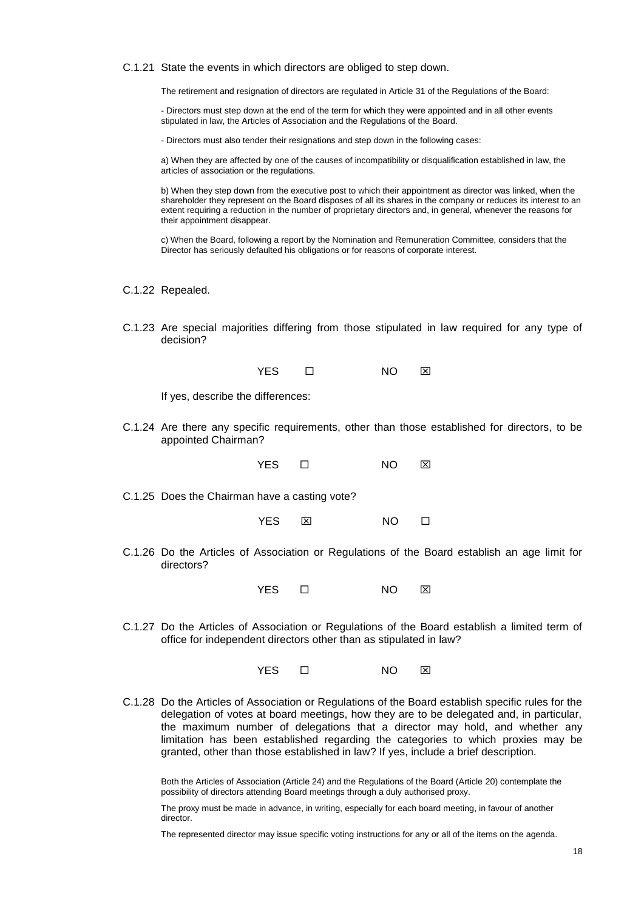C.1.21 State the events in which directors are obliged to step down.

The retirement and resignation of directors are regulated in Article 31 of the Regulations of the Board:

- Directors must step down at the end of the term for which they were appointed and in all other events stipulated in law, the Articles of Association and the Regulations of the Board.

- Directors must also tender their resignations and step down in the following cases:

a) When they are affected by one of the causes of incompatibility or disqualification established in law, the articles of association or the regulations.

b) When they step down from the executive post to which their appointment as director was linked, when the shareholder they represent on the Board disposes of all its shares in the company or reduces its interest to an extent requiring a reduction in the number of proprietary directors and, in general, whenever the reasons for their appointment disappear.

c) When the Board, following a report by the Nomination and Remuneration Committee, considers that the Director has seriously defaulted his obligations or for reasons of corporate interest.

C.1.22 Repealed.

C.1.23 Are special majorities differing from those stipulated in law required for any type of decision?

If yes, describe the differences:

C.1.24 Are there any specific requirements, other than those established for directors, to be appointed Chairman?

YES **D** NO **X** 

C.1.25 Does the Chairman have a casting vote?

| YES. | ⊠ | NΟ |  |
|------|---|----|--|
|      |   |    |  |

C.1.26 Do the Articles of Association or Regulations of the Board establish an age limit for directors?

YES □ NO ⊠

C.1.27 Do the Articles of Association or Regulations of the Board establish a limited term of office for independent directors other than as stipulated in law?

YES □ NO ⊠

C.1.28 Do the Articles of Association or Regulations of the Board establish specific rules for the delegation of votes at board meetings, how they are to be delegated and, in particular, the maximum number of delegations that a director may hold, and whether any limitation has been established regarding the categories to which proxies may be granted, other than those established in law? If yes, include a brief description.

Both the Articles of Association (Article 24) and the Regulations of the Board (Article 20) contemplate the possibility of directors attending Board meetings through a duly authorised proxy.

The proxy must be made in advance, in writing, especially for each board meeting, in favour of another director.

The represented director may issue specific voting instructions for any or all of the items on the agenda.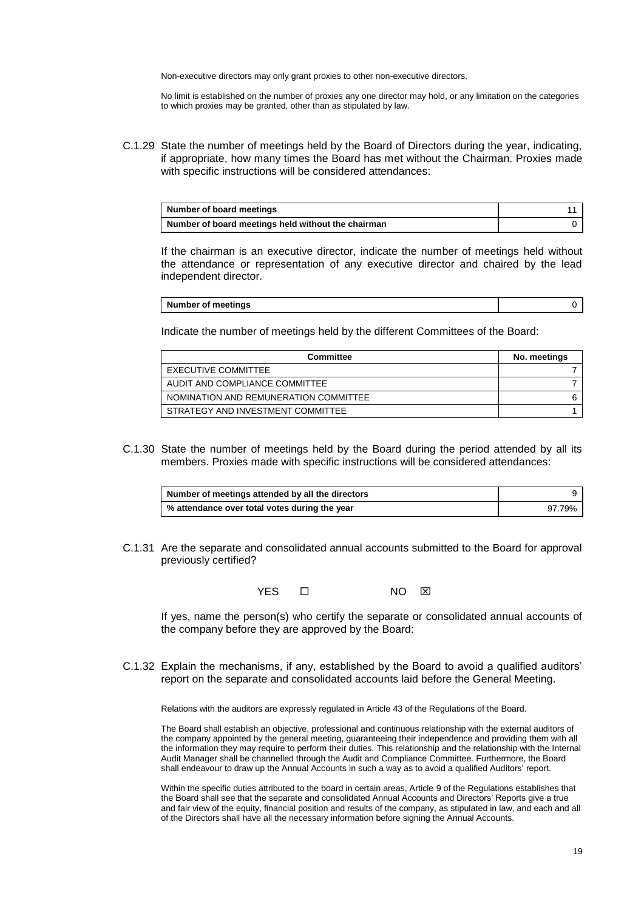Non-executive directors may only grant proxies to other non-executive directors.

No limit is established on the number of proxies any one director may hold, or any limitation on the categories to which proxies may be granted, other than as stipulated by law.

C.1.29 State the number of meetings held by the Board of Directors during the year, indicating, if appropriate, how many times the Board has met without the Chairman. Proxies made with specific instructions will be considered attendances:

| Number of board meetings                           |  |
|----------------------------------------------------|--|
| Number of board meetings held without the chairman |  |

If the chairman is an executive director, indicate the number of meetings held without the attendance or representation of any executive director and chaired by the lead independent director.

| <b>Number of meetings</b> |  |
|---------------------------|--|
|---------------------------|--|

Indicate the number of meetings held by the different Committees of the Board:

| Committee                             | No. meetings |
|---------------------------------------|--------------|
| EXECUTIVE COMMITTEE                   |              |
| AUDIT AND COMPLIANCE COMMITTEE        |              |
| NOMINATION AND REMUNERATION COMMITTEE |              |
| STRATEGY AND INVESTMENT COMMITTEE     |              |

C.1.30 State the number of meetings held by the Board during the period attended by all its members. Proxies made with specific instructions will be considered attendances:

| Number of meetings attended by all the directors |        |
|--------------------------------------------------|--------|
| % attendance over total votes during the year    | 97.79% |

C.1.31 Are the separate and consolidated annual accounts submitted to the Board for approval previously certified?

YES  $\Box$  NO  $\boxtimes$ 

If yes, name the person(s) who certify the separate or consolidated annual accounts of the company before they are approved by the Board:

C.1.32 Explain the mechanisms, if any, established by the Board to avoid a qualified auditors' report on the separate and consolidated accounts laid before the General Meeting.

Relations with the auditors are expressly regulated in Article 43 of the Regulations of the Board.

The Board shall establish an objective, professional and continuous relationship with the external auditors of the company appointed by the general meeting, guaranteeing their independence and providing them with all the information they may require to perform their duties. This relationship and the relationship with the Internal Audit Manager shall be channelled through the Audit and Compliance Committee. Furthermore, the Board shall endeavour to draw up the Annual Accounts in such a way as to avoid a qualified Auditors' report.

Within the specific duties attributed to the board in certain areas, Article 9 of the Regulations establishes that the Board shall see that the separate and consolidated Annual Accounts and Directors' Reports give a true and fair view of the equity, financial position and results of the company, as stipulated in law, and each and all of the Directors shall have all the necessary information before signing the Annual Accounts.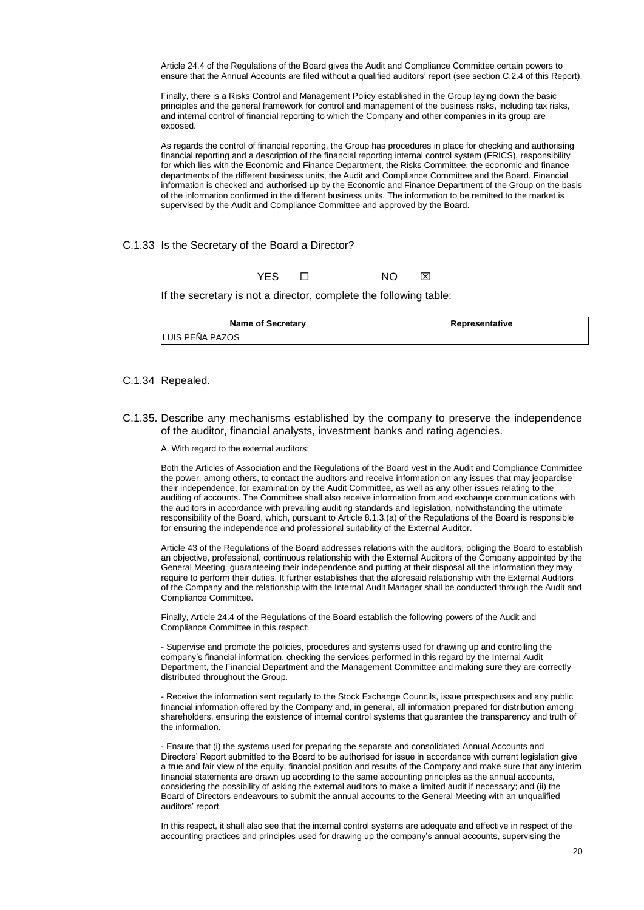Article 24.4 of the Regulations of the Board gives the Audit and Compliance Committee certain powers to ensure that the Annual Accounts are filed without a qualified auditors' report (see section C.2.4 of this Report).

Finally, there is a Risks Control and Management Policy established in the Group laying down the basic principles and the general framework for control and management of the business risks, including tax risks, and internal control of financial reporting to which the Company and other companies in its group are exposed.

As regards the control of financial reporting, the Group has procedures in place for checking and authorising financial reporting and a description of the financial reporting internal control system (FRICS), responsibility for which lies with the Economic and Finance Department, the Risks Committee, the economic and finance departments of the different business units, the Audit and Compliance Committee and the Board. Financial information is checked and authorised up by the Economic and Finance Department of the Group on the basis of the information confirmed in the different business units. The information to be remitted to the market is supervised by the Audit and Compliance Committee and approved by the Board.

### C.1.33 Is the Secretary of the Board a Director?

YES O NO **X** 

If the secretary is not a director, complete the following table:

| <b>Name of Secretary</b> | Representative |
|--------------------------|----------------|
| LUIS PEÑA PAZOS          |                |

### C.1.34 Repealed.

C.1.35. Describe any mechanisms established by the company to preserve the independence of the auditor, financial analysts, investment banks and rating agencies.

A. With regard to the external auditors:

Both the Articles of Association and the Regulations of the Board vest in the Audit and Compliance Committee the power, among others, to contact the auditors and receive information on any issues that may jeopardise their independence, for examination by the Audit Committee, as well as any other issues relating to the auditing of accounts. The Committee shall also receive information from and exchange communications with the auditors in accordance with prevailing auditing standards and legislation, notwithstanding the ultimate responsibility of the Board, which, pursuant to Article 8.1.3.(a) of the Regulations of the Board is responsible for ensuring the independence and professional suitability of the External Auditor.

Article 43 of the Regulations of the Board addresses relations with the auditors, obliging the Board to establish an objective, professional, continuous relationship with the External Auditors of the Company appointed by the General Meeting, guaranteeing their independence and putting at their disposal all the information they may require to perform their duties. It further establishes that the aforesaid relationship with the External Auditors of the Company and the relationship with the Internal Audit Manager shall be conducted through the Audit and Compliance Committee.

Finally, Article 24.4 of the Regulations of the Board establish the following powers of the Audit and Compliance Committee in this respect:

- Supervise and promote the policies, procedures and systems used for drawing up and controlling the company's financial information, checking the services performed in this regard by the Internal Audit Department, the Financial Department and the Management Committee and making sure they are correctly distributed throughout the Group.

- Receive the information sent regularly to the Stock Exchange Councils, issue prospectuses and any public financial information offered by the Company and, in general, all information prepared for distribution among shareholders, ensuring the existence of internal control systems that guarantee the transparency and truth of the information.

- Ensure that (i) the systems used for preparing the separate and consolidated Annual Accounts and Directors' Report submitted to the Board to be authorised for issue in accordance with current legislation give a true and fair view of the equity, financial position and results of the Company and make sure that any interim financial statements are drawn up according to the same accounting principles as the annual accounts, considering the possibility of asking the external auditors to make a limited audit if necessary; and (ii) the Board of Directors endeavours to submit the annual accounts to the General Meeting with an unqualified auditors' report.

In this respect, it shall also see that the internal control systems are adequate and effective in respect of the accounting practices and principles used for drawing up the company's annual accounts, supervising the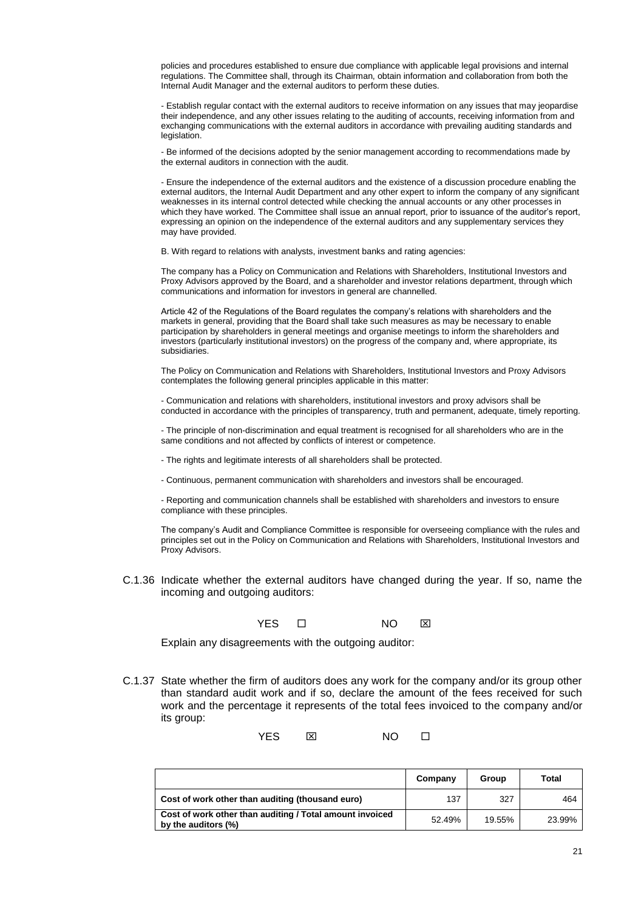policies and procedures established to ensure due compliance with applicable legal provisions and internal regulations. The Committee shall, through its Chairman, obtain information and collaboration from both the Internal Audit Manager and the external auditors to perform these duties.

- Establish regular contact with the external auditors to receive information on any issues that may jeopardise their independence, and any other issues relating to the auditing of accounts, receiving information from and exchanging communications with the external auditors in accordance with prevailing auditing standards and legislation.

- Be informed of the decisions adopted by the senior management according to recommendations made by the external auditors in connection with the audit.

- Ensure the independence of the external auditors and the existence of a discussion procedure enabling the external auditors, the Internal Audit Department and any other expert to inform the company of any significant weaknesses in its internal control detected while checking the annual accounts or any other processes in which they have worked. The Committee shall issue an annual report, prior to issuance of the auditor's report, expressing an opinion on the independence of the external auditors and any supplementary services they may have provided.

B. With regard to relations with analysts, investment banks and rating agencies:

The company has a Policy on Communication and Relations with Shareholders, Institutional Investors and Proxy Advisors approved by the Board, and a shareholder and investor relations department, through which communications and information for investors in general are channelled.

Article 42 of the Regulations of the Board regulates the company's relations with shareholders and the markets in general, providing that the Board shall take such measures as may be necessary to enable participation by shareholders in general meetings and organise meetings to inform the shareholders and investors (particularly institutional investors) on the progress of the company and, where appropriate, its subsidiaries.

The Policy on Communication and Relations with Shareholders, Institutional Investors and Proxy Advisors contemplates the following general principles applicable in this matter:

- Communication and relations with shareholders, institutional investors and proxy advisors shall be conducted in accordance with the principles of transparency, truth and permanent, adequate, timely reporting.

- The principle of non-discrimination and equal treatment is recognised for all shareholders who are in the same conditions and not affected by conflicts of interest or competence.

- The rights and legitimate interests of all shareholders shall be protected.

- Continuous, permanent communication with shareholders and investors shall be encouraged.

- Reporting and communication channels shall be established with shareholders and investors to ensure compliance with these principles.

The company's Audit and Compliance Committee is responsible for overseeing compliance with the rules and principles set out in the Policy on Communication and Relations with Shareholders, Institutional Investors and Proxy Advisors.

C.1.36 Indicate whether the external auditors have changed during the year. If so, name the incoming and outgoing auditors:

YES **O NO NO** 

Explain any disagreements with the outgoing auditor:

C.1.37 State whether the firm of auditors does any work for the company and/or its group other than standard audit work and if so, declare the amount of the fees received for such work and the percentage it represents of the total fees invoiced to the company and/or its group:

YES NO

|                                                                                 | Company | Group  | Total  |
|---------------------------------------------------------------------------------|---------|--------|--------|
| Cost of work other than auditing (thousand euro)                                | 137     | 327    | 464    |
| Cost of work other than auditing / Total amount invoiced<br>by the auditors (%) | 52.49%  | 19.55% | 23.99% |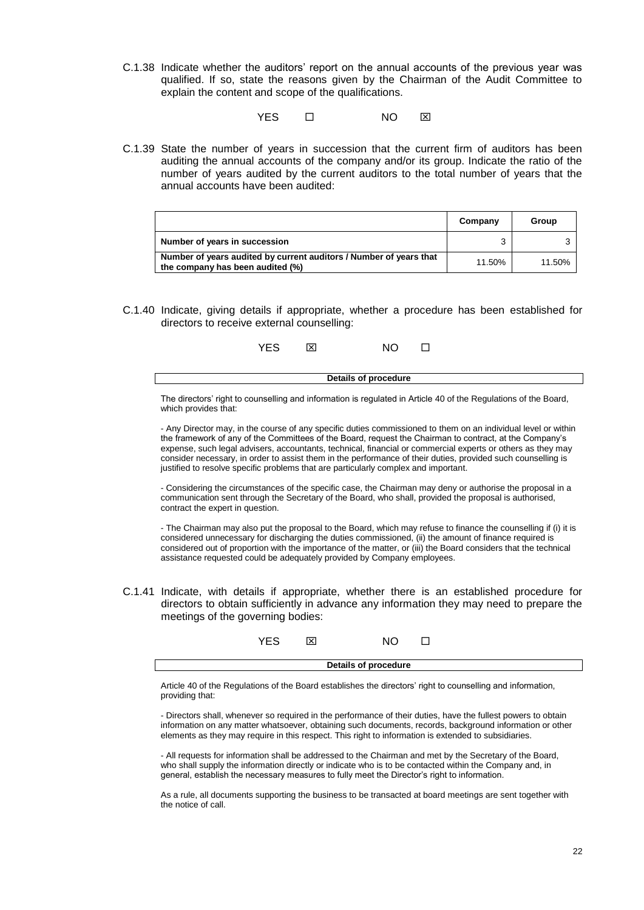C.1.38 Indicate whether the auditors' report on the annual accounts of the previous year was qualified. If so, state the reasons given by the Chairman of the Audit Committee to explain the content and scope of the qualifications.

YES ロ NO ⊠

C.1.39 State the number of years in succession that the current firm of auditors has been auditing the annual accounts of the company and/or its group. Indicate the ratio of the number of years audited by the current auditors to the total number of years that the annual accounts have been audited:

|                                                                                                        | Company | Group  |
|--------------------------------------------------------------------------------------------------------|---------|--------|
| Number of years in succession                                                                          |         |        |
| Number of years audited by current auditors / Number of years that<br>the company has been audited (%) | 11.50%  | 11.50% |

C.1.40 Indicate, giving details if appropriate, whether a procedure has been established for directors to receive external counselling:



The directors' right to counselling and information is regulated in Article 40 of the Regulations of the Board, which provides that:

- Any Director may, in the course of any specific duties commissioned to them on an individual level or within the framework of any of the Committees of the Board, request the Chairman to contract, at the Company's expense, such legal advisers, accountants, technical, financial or commercial experts or others as they may consider necessary, in order to assist them in the performance of their duties, provided such counselling is justified to resolve specific problems that are particularly complex and important.

- Considering the circumstances of the specific case, the Chairman may deny or authorise the proposal in a communication sent through the Secretary of the Board, who shall, provided the proposal is authorised, contract the expert in question.

- The Chairman may also put the proposal to the Board, which may refuse to finance the counselling if (i) it is considered unnecessary for discharging the duties commissioned, (ii) the amount of finance required is considered out of proportion with the importance of the matter, or (iii) the Board considers that the technical assistance requested could be adequately provided by Company employees.

C.1.41 Indicate, with details if appropriate, whether there is an established procedure for directors to obtain sufficiently in advance any information they may need to prepare the meetings of the governing bodies:

|                      | ∽∟ | v<br>⌒ |  |  |  |  |
|----------------------|----|--------|--|--|--|--|
| Details of procedure |    |        |  |  |  |  |

Article 40 of the Regulations of the Board establishes the directors' right to counselling and information, providing that:

- Directors shall, whenever so required in the performance of their duties, have the fullest powers to obtain information on any matter whatsoever, obtaining such documents, records, background information or other elements as they may require in this respect. This right to information is extended to subsidiaries.

- All requests for information shall be addressed to the Chairman and met by the Secretary of the Board, who shall supply the information directly or indicate who is to be contacted within the Company and, in general, establish the necessary measures to fully meet the Director's right to information.

As a rule, all documents supporting the business to be transacted at board meetings are sent together with the notice of call.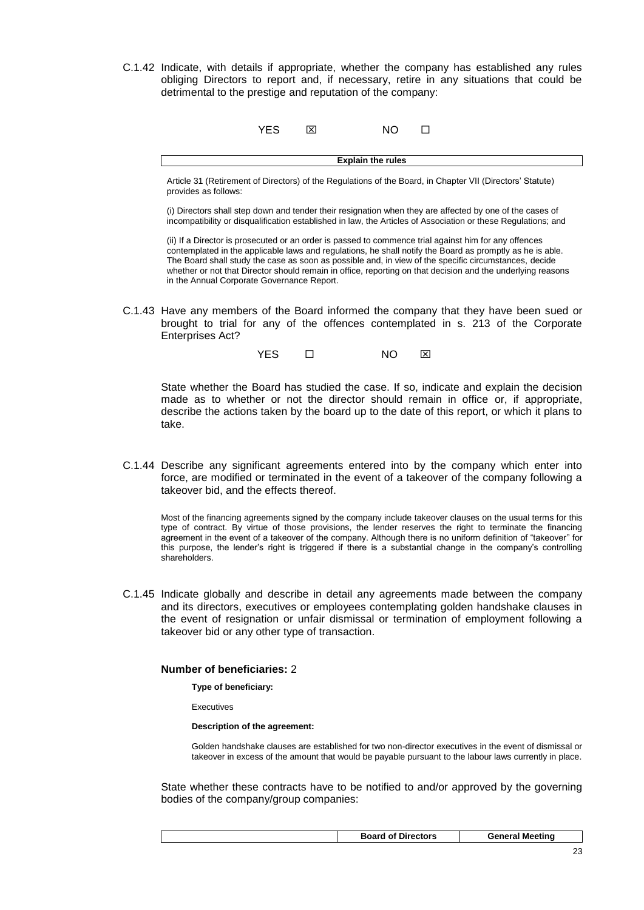C.1.42 Indicate, with details if appropriate, whether the company has established any rules obliging Directors to report and, if necessary, retire in any situations that could be detrimental to the prestige and reputation of the company:

|                          | YES | × | <b>NO</b> |  |  |
|--------------------------|-----|---|-----------|--|--|
| <b>Explain the rules</b> |     |   |           |  |  |

Article 31 (Retirement of Directors) of the Regulations of the Board, in Chapter VII (Directors' Statute) provides as follows:

(i) Directors shall step down and tender their resignation when they are affected by one of the cases of incompatibility or disqualification established in law, the Articles of Association or these Regulations; and

(ii) If a Director is prosecuted or an order is passed to commence trial against him for any offences contemplated in the applicable laws and regulations, he shall notify the Board as promptly as he is able. The Board shall study the case as soon as possible and, in view of the specific circumstances, decide whether or not that Director should remain in office, reporting on that decision and the underlying reasons in the Annual Corporate Governance Report.

C.1.43 Have any members of the Board informed the company that they have been sued or brought to trial for any of the offences contemplated in s. 213 of the Corporate Enterprises Act?

YES ロ NO ⊠

State whether the Board has studied the case. If so, indicate and explain the decision made as to whether or not the director should remain in office or, if appropriate, describe the actions taken by the board up to the date of this report, or which it plans to take.

C.1.44 Describe any significant agreements entered into by the company which enter into force, are modified or terminated in the event of a takeover of the company following a takeover bid, and the effects thereof.

Most of the financing agreements signed by the company include takeover clauses on the usual terms for this type of contract. By virtue of those provisions, the lender reserves the right to terminate the financing agreement in the event of a takeover of the company. Although there is no uniform definition of "takeover" for this purpose, the lender's right is triggered if there is a substantial change in the company's controlling shareholders.

C.1.45 Indicate globally and describe in detail any agreements made between the company and its directors, executives or employees contemplating golden handshake clauses in the event of resignation or unfair dismissal or termination of employment following a takeover bid or any other type of transaction.

### **Number of beneficiaries:** 2

**Type of beneficiary:**

Executives

**Description of the agreement:**

Golden handshake clauses are established for two non-director executives in the event of dismissal or takeover in excess of the amount that would be payable pursuant to the labour laws currently in place.

State whether these contracts have to be notified to and/or approved by the governing bodies of the company/group companies:

|--|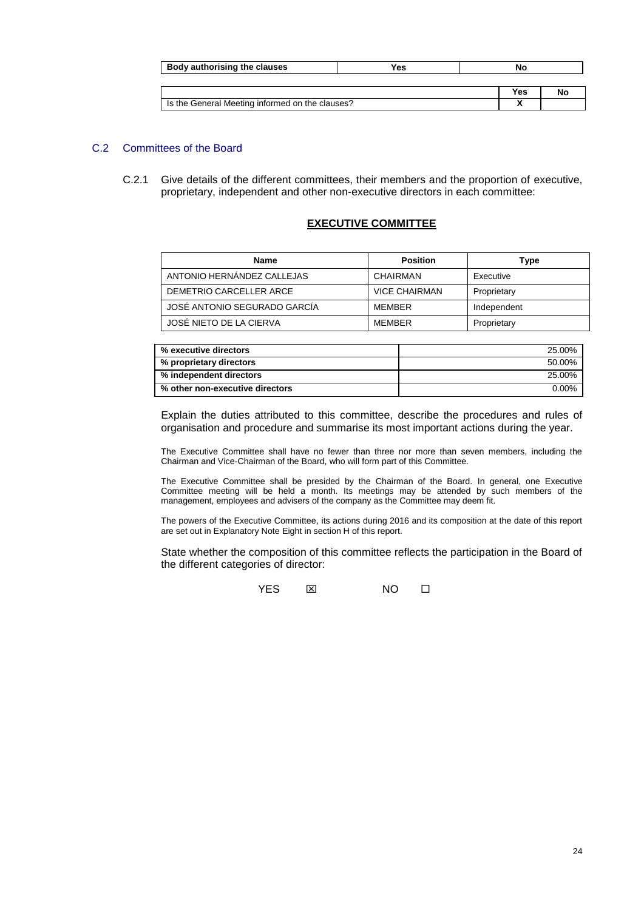| Body authorising the clauses                    | Yes | No  |  |
|-------------------------------------------------|-----|-----|--|
|                                                 |     |     |  |
|                                                 |     | Yes |  |
| Is the General Meeting informed on the clauses? |     |     |  |

# C.2 Committees of the Board

C.2.1 Give details of the different committees, their members and the proportion of executive, proprietary, independent and other non-executive directors in each committee:

# **EXECUTIVE COMMITTEE**

| <b>Name</b>                  | <b>Position</b>      | Type        |
|------------------------------|----------------------|-------------|
| ANTONIO HERNÁNDEZ CALLEJAS   | CHAIRMAN             | Executive   |
| DEMETRIO CARCELLER ARCE      | <b>VICE CHAIRMAN</b> | Proprietary |
| JOSÉ ANTONIO SEGURADO GARCÍA | <b>MFMBFR</b>        | Independent |
| JOSÉ NIETO DE LA CIERVA      | <b>MFMBFR</b>        | Proprietary |

| % executive directors           | 25.00%   |
|---------------------------------|----------|
| % proprietary directors         | 50.00%   |
| % independent directors         | 25.00%   |
| % other non-executive directors | $0.00\%$ |

Explain the duties attributed to this committee, describe the procedures and rules of organisation and procedure and summarise its most important actions during the year.

The Executive Committee shall have no fewer than three nor more than seven members, including the Chairman and Vice-Chairman of the Board, who will form part of this Committee.

The Executive Committee shall be presided by the Chairman of the Board. In general, one Executive Committee meeting will be held a month. Its meetings may be attended by such members of the management, employees and advisers of the company as the Committee may deem fit.

The powers of the Executive Committee, its actions during 2016 and its composition at the date of this report are set out in Explanatory Note Eight in section H of this report.

State whether the composition of this committee reflects the participation in the Board of the different categories of director:

 $YFS$   $\boxtimes$  NO  $\Box$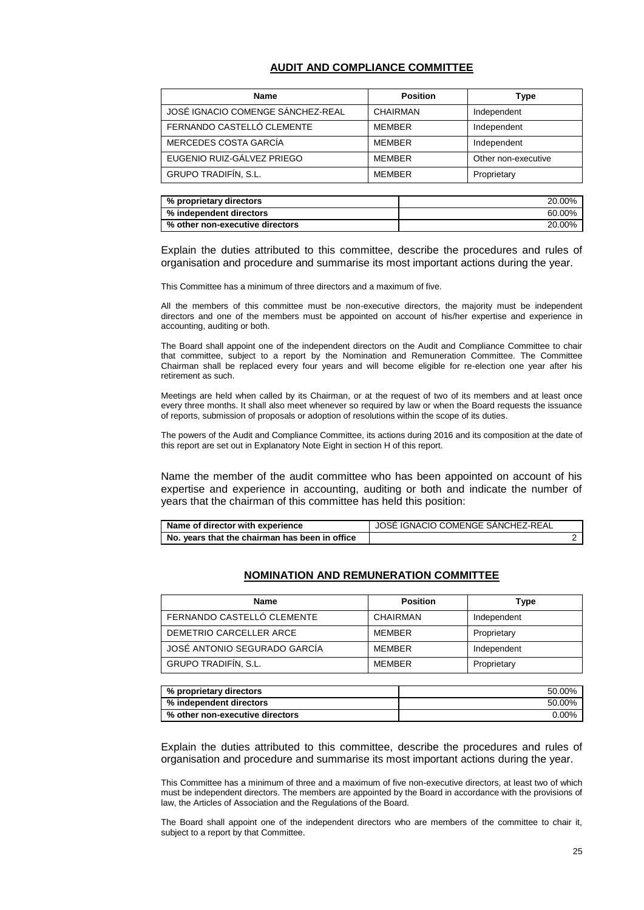## **AUDIT AND COMPLIANCE COMMITTEE**

| <b>Name</b>                       | <b>Position</b> | Type                |
|-----------------------------------|-----------------|---------------------|
| JOSÉ IGNACIO COMENGE SÁNCHEZ-REAL | CHAIRMAN        | Independent         |
| FERNANDO CASTELLÓ CLEMENTE        | MEMBER          | Independent         |
| MERCEDES COSTA GARCÍA             | <b>MEMBER</b>   | Independent         |
| EUGENIO RUIZ-GÁLVEZ PRIEGO        | <b>MEMBER</b>   | Other non-executive |
| GRUPO TRADIFÍN, S.L.              | <b>MEMBER</b>   | Proprietary         |

| % proprietary directors         | 20.00% |
|---------------------------------|--------|
| % independent directors         | 60.00% |
| % other non-executive directors | 20.00% |

Explain the duties attributed to this committee, describe the procedures and rules of organisation and procedure and summarise its most important actions during the year.

This Committee has a minimum of three directors and a maximum of five.

All the members of this committee must be non-executive directors, the majority must be independent directors and one of the members must be appointed on account of his/her expertise and experience in accounting, auditing or both.

The Board shall appoint one of the independent directors on the Audit and Compliance Committee to chair that committee, subject to a report by the Nomination and Remuneration Committee. The Committee Chairman shall be replaced every four years and will become eligible for re-election one year after his retirement as such.

Meetings are held when called by its Chairman, or at the request of two of its members and at least once every three months. It shall also meet whenever so required by law or when the Board requests the issuance of reports, submission of proposals or adoption of resolutions within the scope of its duties.

The powers of the Audit and Compliance Committee, its actions during 2016 and its composition at the date of this report are set out in Explanatory Note Eight in section H of this report.

Name the member of the audit committee who has been appointed on account of his expertise and experience in accounting, auditing or both and indicate the number of years that the chairman of this committee has held this position:

| Name of director with experience               | <b>I JOSE IGNACIO COMENGE SANCHEZ-REAL</b> |  |
|------------------------------------------------|--------------------------------------------|--|
| No. years that the chairman has been in office |                                            |  |

### **NOMINATION AND REMUNERATION COMMITTEE**

| <b>Name</b>                  | <b>Position</b> | Type        |
|------------------------------|-----------------|-------------|
| FERNANDO CASTELLO CLEMENTE   | CHAIRMAN        | Independent |
| DEMETRIO CARCELLER ARCE      | <b>MFMBFR</b>   | Proprietary |
| JOSÉ ANTONIO SEGURADO GARCÍA | <b>MFMBFR</b>   | Independent |
| GRUPO TRADIFÍN, S.L.         | <b>MFMBFR</b>   | Proprietary |

| % proprietary directors         | 50.00% |
|---------------------------------|--------|
| % independent directors         | 50.00% |
| % other non-executive directors | 0.00%  |

Explain the duties attributed to this committee, describe the procedures and rules of organisation and procedure and summarise its most important actions during the year.

This Committee has a minimum of three and a maximum of five non-executive directors, at least two of which must be independent directors. The members are appointed by the Board in accordance with the provisions of law, the Articles of Association and the Regulations of the Board.

The Board shall appoint one of the independent directors who are members of the committee to chair it, subject to a report by that Committee.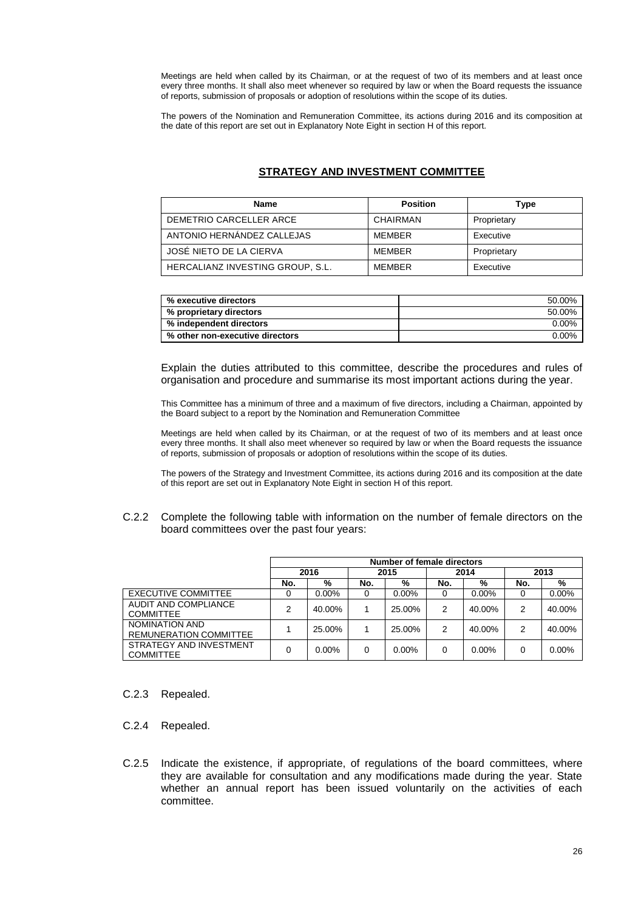Meetings are held when called by its Chairman, or at the request of two of its members and at least once every three months. It shall also meet whenever so required by law or when the Board requests the issuance of reports, submission of proposals or adoption of resolutions within the scope of its duties.

The powers of the Nomination and Remuneration Committee, its actions during 2016 and its composition at the date of this report are set out in Explanatory Note Eight in section H of this report.

# **STRATEGY AND INVESTMENT COMMITTEE**

| <b>Name</b>                      | <b>Position</b> | Type        |
|----------------------------------|-----------------|-------------|
| DEMETRIO CARCELLER ARCE          | CHAIRMAN        | Proprietary |
| ANTONIO HERNÁNDEZ CALLEJAS       | <b>MFMBFR</b>   | Executive   |
| JOSÉ NIETO DE LA CIERVA          | <b>MFMBFR</b>   | Proprietary |
| HERCALIANZ INVESTING GROUP. S.L. | <b>MFMBFR</b>   | Executive   |

| % executive directors           | 50.00%   |
|---------------------------------|----------|
| % proprietary directors         | 50.00%   |
| % independent directors         | 0.00%    |
| % other non-executive directors | $0.00\%$ |

Explain the duties attributed to this committee, describe the procedures and rules of organisation and procedure and summarise its most important actions during the year.

This Committee has a minimum of three and a maximum of five directors, including a Chairman, appointed by the Board subject to a report by the Nomination and Remuneration Committee

Meetings are held when called by its Chairman, or at the request of two of its members and at least once every three months. It shall also meet whenever so required by law or when the Board requests the issuance of reports, submission of proposals or adoption of resolutions within the scope of its duties.

The powers of the Strategy and Investment Committee, its actions during 2016 and its composition at the date of this report are set out in Explanatory Note Eight in section H of this report.

C.2.2 Complete the following table with information on the number of female directors on the board committees over the past four years:

|                                                 | Number of female directors |          |      |          |      |          |      |          |
|-------------------------------------------------|----------------------------|----------|------|----------|------|----------|------|----------|
|                                                 | 2016                       |          | 2015 |          | 2014 |          | 2013 |          |
|                                                 | No.                        | %        | No.  | %        | No.  | %        | No.  | %        |
| <b>EXECUTIVE COMMITTEE</b>                      | 0                          | $0.00\%$ | 0    | $0.00\%$ | 0    | $0.00\%$ |      | $0.00\%$ |
| AUDIT AND COMPLIANCE<br><b>COMMITTEE</b>        | 2                          | 40.00%   |      | 25.00%   | 2    | 40.00%   | 2    | 40.00%   |
| NOMINATION AND<br><b>REMUNERATION COMMITTEE</b> |                            | 25.00%   |      | 25.00%   | 2    | 40.00%   | 2    | 40.00%   |
| STRATEGY AND INVESTMENT<br><b>COMMITTEE</b>     | 0                          | $0.00\%$ | 0    | $0.00\%$ | 0    | $0.00\%$ |      | $0.00\%$ |

C.2.3 Repealed.

C.2.4 Repealed.

C.2.5 Indicate the existence, if appropriate, of regulations of the board committees, where they are available for consultation and any modifications made during the year. State whether an annual report has been issued voluntarily on the activities of each committee.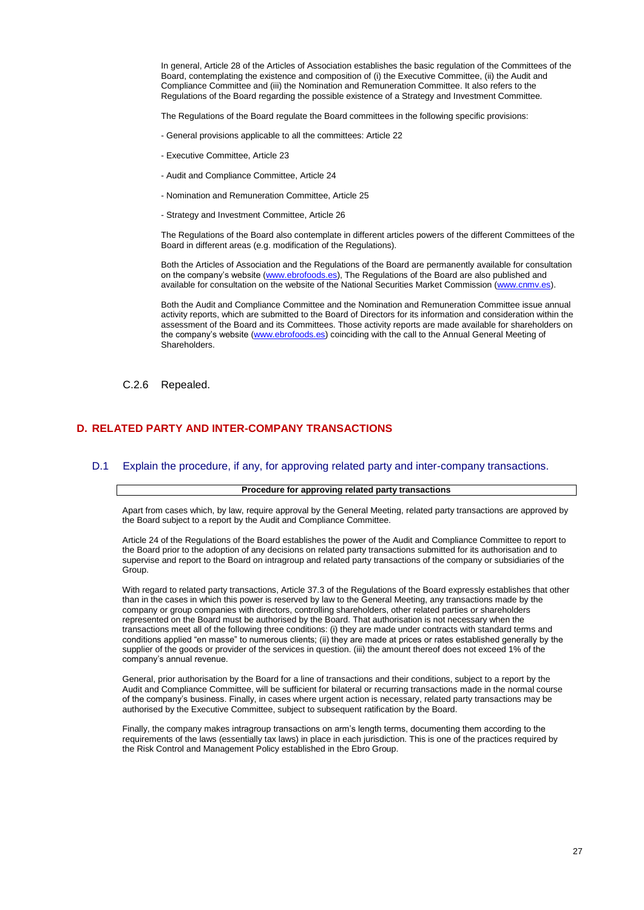In general, Article 28 of the Articles of Association establishes the basic regulation of the Committees of the Board, contemplating the existence and composition of (i) the Executive Committee, (ii) the Audit and Compliance Committee and (iii) the Nomination and Remuneration Committee. It also refers to the Regulations of the Board regarding the possible existence of a Strategy and Investment Committee.

The Regulations of the Board regulate the Board committees in the following specific provisions:

- General provisions applicable to all the committees: Article 22
- Executive Committee, Article 23
- Audit and Compliance Committee, Article 24
- Nomination and Remuneration Committee, Article 25
- Strategy and Investment Committee, Article 26

The Regulations of the Board also contemplate in different articles powers of the different Committees of the Board in different areas (e.g. modification of the Regulations).

Both the Articles of Association and the Regulations of the Board are permanently available for consultation on the company's website [\(www.ebrofoods.es\)](http://www.ebrofoods.es/), The Regulations of the Board are also published and available for consultation on the website of the National Securities Market Commission [\(www.cnmv.es\)](http://www.cnmv.es/).

Both the Audit and Compliance Committee and the Nomination and Remuneration Committee issue annual activity reports, which are submitted to the Board of Directors for its information and consideration within the assessment of the Board and its Committees. Those activity reports are made available for shareholders on the company's website [\(www.ebrofoods.es\)](http://www.ebrofoods.es/) coinciding with the call to the Annual General Meeting of Shareholders.

C.2.6 Repealed.

### **D. RELATED PARTY AND INTER-COMPANY TRANSACTIONS**

### D.1 Explain the procedure, if any, for approving related party and inter-company transactions.

### **Procedure for approving related party transactions**

Apart from cases which, by law, require approval by the General Meeting, related party transactions are approved by the Board subject to a report by the Audit and Compliance Committee.

Article 24 of the Regulations of the Board establishes the power of the Audit and Compliance Committee to report to the Board prior to the adoption of any decisions on related party transactions submitted for its authorisation and to supervise and report to the Board on intragroup and related party transactions of the company or subsidiaries of the Group.

With regard to related party transactions, Article 37.3 of the Regulations of the Board expressly establishes that other than in the cases in which this power is reserved by law to the General Meeting, any transactions made by the company or group companies with directors, controlling shareholders, other related parties or shareholders represented on the Board must be authorised by the Board. That authorisation is not necessary when the transactions meet all of the following three conditions: (i) they are made under contracts with standard terms and conditions applied "en masse" to numerous clients; (ii) they are made at prices or rates established generally by the supplier of the goods or provider of the services in question. (iii) the amount thereof does not exceed 1% of the company's annual revenue.

General, prior authorisation by the Board for a line of transactions and their conditions, subject to a report by the Audit and Compliance Committee, will be sufficient for bilateral or recurring transactions made in the normal course of the company's business. Finally, in cases where urgent action is necessary, related party transactions may be authorised by the Executive Committee, subject to subsequent ratification by the Board.

Finally, the company makes intragroup transactions on arm's length terms, documenting them according to the requirements of the laws (essentially tax laws) in place in each jurisdiction. This is one of the practices required by the Risk Control and Management Policy established in the Ebro Group.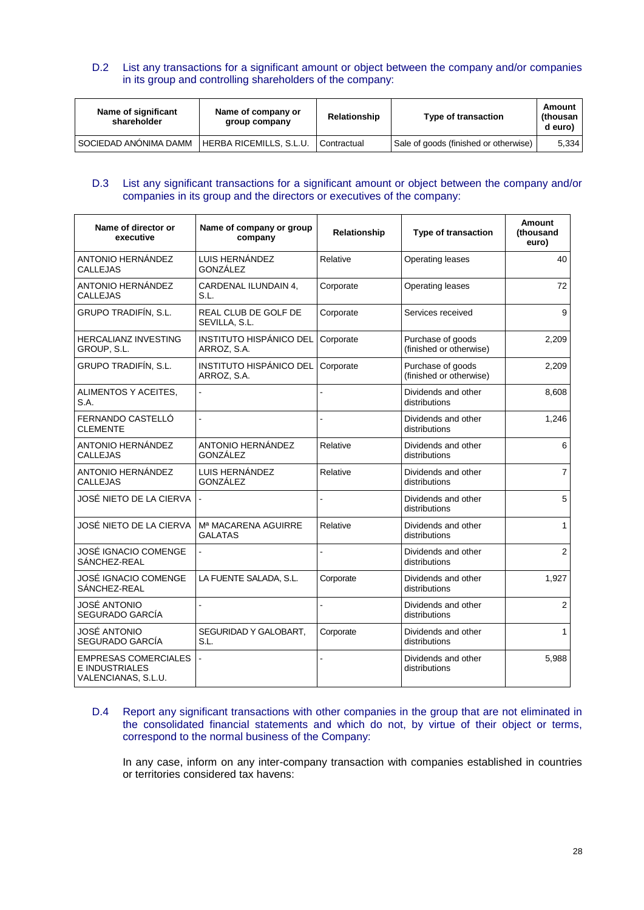# D.2 List any transactions for a significant amount or object between the company and/or companies in its group and controlling shareholders of the company:

| Name of significant<br>shareholder | Name of company or<br>group company | Relationship | Type of transaction                   | Amount<br>(thousan<br>d euro) |
|------------------------------------|-------------------------------------|--------------|---------------------------------------|-------------------------------|
| SOCIEDAD ANONIMA DAMM              | HERBA RICEMILLS, S.L.U.             | Contractual  | Sale of goods (finished or otherwise) | 5.334                         |

# D.3 List any significant transactions for a significant amount or object between the company and/or companies in its group and the directors or executives of the company:

| Name of director or<br>executive                                            | Name of company or group<br>company           | Relationship   | <b>Type of transaction</b>                   | <b>Amount</b><br>(thousand<br>euro) |
|-----------------------------------------------------------------------------|-----------------------------------------------|----------------|----------------------------------------------|-------------------------------------|
| ANTONIO HERNÁNDEZ<br><b>CALLEJAS</b>                                        | LUIS HERNÁNDEZ<br>GONZÁLEZ                    | Relative       | Operating leases                             | 40                                  |
| ANTONIO HERNÁNDEZ<br>CALLEJAS                                               | CARDENAL ILUNDAIN 4,<br>S.L.                  | Corporate      | Operating leases                             | 72                                  |
| GRUPO TRADIFÍN, S.L.                                                        | REAL CLUB DE GOLF DE<br>SEVILLA, S.L.         | Corporate      | Services received                            | 9                                   |
| HERCALIANZ INVESTING<br>GROUP, S.L.                                         | INSTITUTO HISPÁNICO DEL<br>ARROZ, S.A.        | Corporate      | Purchase of goods<br>(finished or otherwise) | 2,209                               |
| GRUPO TRADIFÍN, S.L.                                                        | <b>INSTITUTO HISPÁNICO DEL</b><br>ARROZ, S.A. | Corporate      | Purchase of goods<br>(finished or otherwise) | 2,209                               |
| ALIMENTOS Y ACEITES,<br>S.A.                                                | L.                                            |                | Dividends and other<br>distributions         | 8,608                               |
| FERNANDO CASTELLÓ<br><b>CLEMENTE</b>                                        | $\overline{a}$                                | $\overline{a}$ | Dividends and other<br>distributions         | 1,246                               |
| ANTONIO HERNÁNDEZ<br><b>CALLEJAS</b>                                        | ANTONIO HERNÁNDEZ<br>GONZÁLEZ                 | Relative       | Dividends and other<br>distributions         | 6                                   |
| ANTONIO HERNÁNDEZ<br><b>CALLEJAS</b>                                        | LUIS HERNÁNDEZ<br>GONZÁLEZ                    | Relative       | Dividends and other<br>distributions         | $\overline{7}$                      |
| JOSÉ NIETO DE LA CIERVA                                                     |                                               | $\overline{a}$ | Dividends and other<br>distributions         | 5                                   |
| JOSÉ NIETO DE LA CIERVA                                                     | Mª MACARENA AGUIRRE<br><b>GALATAS</b>         | Relative       | Dividends and other<br>distributions         | $\mathbf{1}$                        |
| JOSÉ IGNACIO COMENGE<br>SÁNCHEZ-REAL                                        | $\overline{\phantom{a}}$                      | L,             | Dividends and other<br>distributions         | 2                                   |
| JOSÉ IGNACIO COMENGE<br>SÁNCHEZ-REAL                                        | LA FUENTE SALADA, S.L.                        | Corporate      | Dividends and other<br>distributions         | 1,927                               |
| JOSĖ ANTONIO<br>SEGURADO GARCÍA                                             |                                               | $\overline{a}$ | Dividends and other<br>distributions         | 2                                   |
| JOSÉ ANTONIO<br>SEGURADO GARCÍA                                             | SEGURIDAD Y GALOBART,<br>S.L.                 | Corporate      | Dividends and other<br>distributions         | $\mathbf{1}$                        |
| <b>EMPRESAS COMERCIALES</b><br><b>E INDUSTRIALES</b><br>VALENCIANAS, S.L.U. | $\overline{a}$                                | L.             | Dividends and other<br>distributions         | 5,988                               |

## D.4 Report any significant transactions with other companies in the group that are not eliminated in the consolidated financial statements and which do not, by virtue of their object or terms, correspond to the normal business of the Company:

In any case, inform on any inter-company transaction with companies established in countries or territories considered tax havens: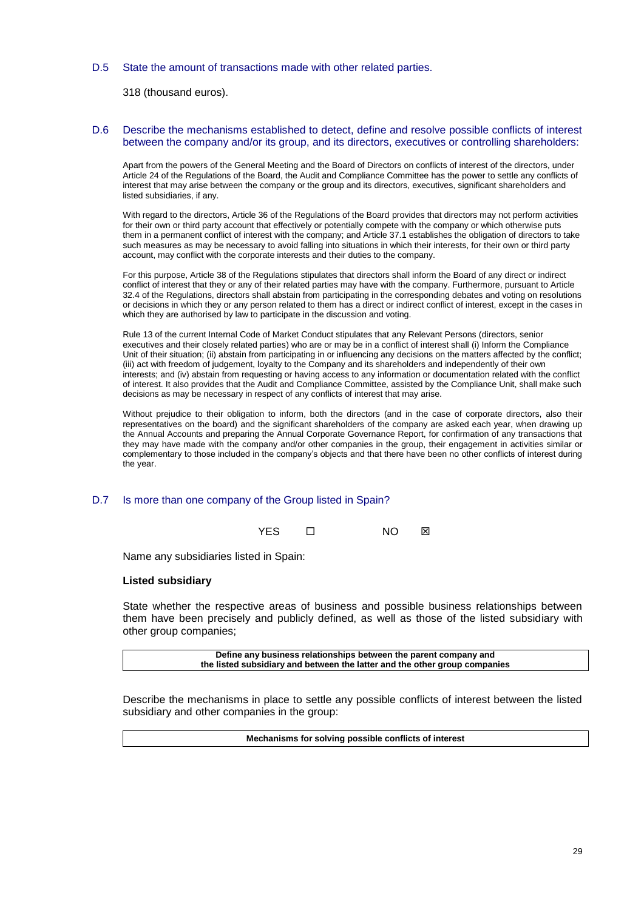### D.5 State the amount of transactions made with other related parties.

318 (thousand euros).

### D.6 Describe the mechanisms established to detect, define and resolve possible conflicts of interest between the company and/or its group, and its directors, executives or controlling shareholders:

Apart from the powers of the General Meeting and the Board of Directors on conflicts of interest of the directors, under Article 24 of the Regulations of the Board, the Audit and Compliance Committee has the power to settle any conflicts of interest that may arise between the company or the group and its directors, executives, significant shareholders and listed subsidiaries, if any.

With regard to the directors, Article 36 of the Regulations of the Board provides that directors may not perform activities for their own or third party account that effectively or potentially compete with the company or which otherwise puts them in a permanent conflict of interest with the company; and Article 37.1 establishes the obligation of directors to take such measures as may be necessary to avoid falling into situations in which their interests, for their own or third party account, may conflict with the corporate interests and their duties to the company.

For this purpose, Article 38 of the Regulations stipulates that directors shall inform the Board of any direct or indirect conflict of interest that they or any of their related parties may have with the company. Furthermore, pursuant to Article 32.4 of the Regulations, directors shall abstain from participating in the corresponding debates and voting on resolutions or decisions in which they or any person related to them has a direct or indirect conflict of interest, except in the cases in which they are authorised by law to participate in the discussion and voting.

Rule 13 of the current Internal Code of Market Conduct stipulates that any Relevant Persons (directors, senior executives and their closely related parties) who are or may be in a conflict of interest shall (i) Inform the Compliance Unit of their situation; (ii) abstain from participating in or influencing any decisions on the matters affected by the conflict; (iii) act with freedom of judgement, loyalty to the Company and its shareholders and independently of their own interests; and (iv) abstain from requesting or having access to any information or documentation related with the conflict of interest. It also provides that the Audit and Compliance Committee, assisted by the Compliance Unit, shall make such decisions as may be necessary in respect of any conflicts of interest that may arise.

Without prejudice to their obligation to inform, both the directors (and in the case of corporate directors, also their representatives on the board) and the significant shareholders of the company are asked each year, when drawing up the Annual Accounts and preparing the Annual Corporate Governance Report, for confirmation of any transactions that they may have made with the company and/or other companies in the group, their engagement in activities similar or complementary to those included in the company's objects and that there have been no other conflicts of interest during the year.

# D.7 Is more than one company of the Group listed in Spain?

YES □ NO ⊠

Name any subsidiaries listed in Spain:

### **Listed subsidiary**

State whether the respective areas of business and possible business relationships between them have been precisely and publicly defined, as well as those of the listed subsidiary with other group companies;

**Define any business relationships between the parent company and the listed subsidiary and between the latter and the other group companies**

Describe the mechanisms in place to settle any possible conflicts of interest between the listed subsidiary and other companies in the group:

**Mechanisms for solving possible conflicts of interest**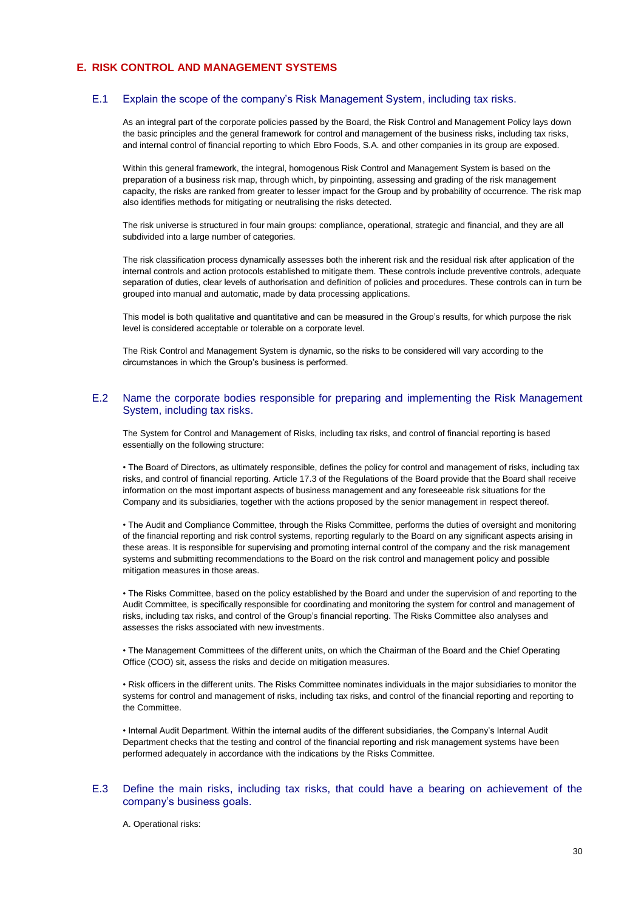# **E. RISK CONTROL AND MANAGEMENT SYSTEMS**

### E.1 Explain the scope of the company's Risk Management System, including tax risks.

As an integral part of the corporate policies passed by the Board, the Risk Control and Management Policy lays down the basic principles and the general framework for control and management of the business risks, including tax risks, and internal control of financial reporting to which Ebro Foods, S.A. and other companies in its group are exposed.

Within this general framework, the integral, homogenous Risk Control and Management System is based on the preparation of a business risk map, through which, by pinpointing, assessing and grading of the risk management capacity, the risks are ranked from greater to lesser impact for the Group and by probability of occurrence. The risk map also identifies methods for mitigating or neutralising the risks detected.

The risk universe is structured in four main groups: compliance, operational, strategic and financial, and they are all subdivided into a large number of categories.

The risk classification process dynamically assesses both the inherent risk and the residual risk after application of the internal controls and action protocols established to mitigate them. These controls include preventive controls, adequate separation of duties, clear levels of authorisation and definition of policies and procedures. These controls can in turn be grouped into manual and automatic, made by data processing applications.

This model is both qualitative and quantitative and can be measured in the Group's results, for which purpose the risk level is considered acceptable or tolerable on a corporate level.

The Risk Control and Management System is dynamic, so the risks to be considered will vary according to the circumstances in which the Group's business is performed.

### E.2 Name the corporate bodies responsible for preparing and implementing the Risk Management System, including tax risks.

The System for Control and Management of Risks, including tax risks, and control of financial reporting is based essentially on the following structure:

• The Board of Directors, as ultimately responsible, defines the policy for control and management of risks, including tax risks, and control of financial reporting. Article 17.3 of the Regulations of the Board provide that the Board shall receive information on the most important aspects of business management and any foreseeable risk situations for the Company and its subsidiaries, together with the actions proposed by the senior management in respect thereof.

• The Audit and Compliance Committee, through the Risks Committee, performs the duties of oversight and monitoring of the financial reporting and risk control systems, reporting regularly to the Board on any significant aspects arising in these areas. It is responsible for supervising and promoting internal control of the company and the risk management systems and submitting recommendations to the Board on the risk control and management policy and possible mitigation measures in those areas.

• The Risks Committee, based on the policy established by the Board and under the supervision of and reporting to the Audit Committee, is specifically responsible for coordinating and monitoring the system for control and management of risks, including tax risks, and control of the Group's financial reporting. The Risks Committee also analyses and assesses the risks associated with new investments.

• The Management Committees of the different units, on which the Chairman of the Board and the Chief Operating Office (COO) sit, assess the risks and decide on mitigation measures.

• Risk officers in the different units. The Risks Committee nominates individuals in the major subsidiaries to monitor the systems for control and management of risks, including tax risks, and control of the financial reporting and reporting to the Committee.

• Internal Audit Department. Within the internal audits of the different subsidiaries, the Company's Internal Audit Department checks that the testing and control of the financial reporting and risk management systems have been performed adequately in accordance with the indications by the Risks Committee.

### E.3 Define the main risks, including tax risks, that could have a bearing on achievement of the company's business goals.

A. Operational risks: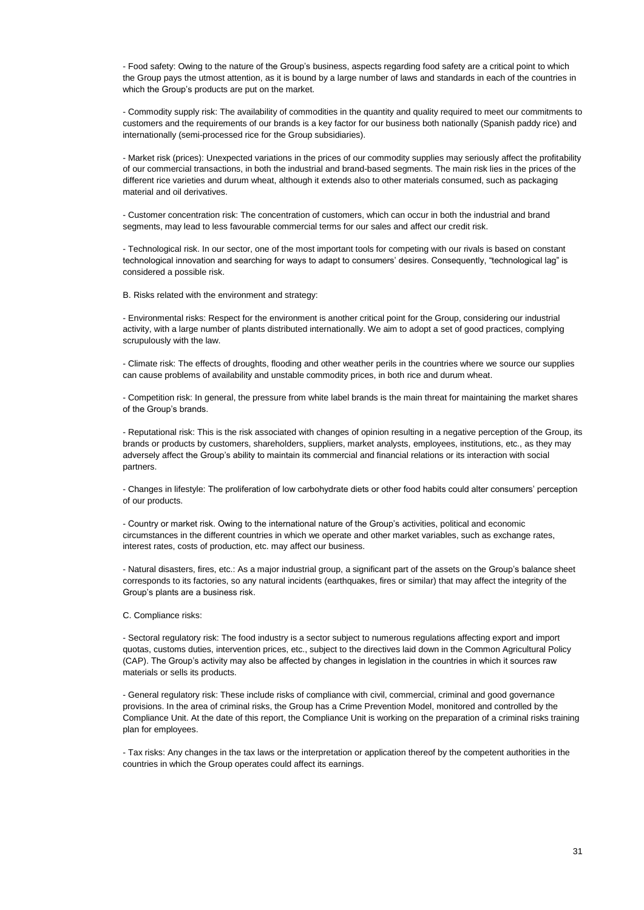- Food safety: Owing to the nature of the Group's business, aspects regarding food safety are a critical point to which the Group pays the utmost attention, as it is bound by a large number of laws and standards in each of the countries in which the Group's products are put on the market.

- Commodity supply risk: The availability of commodities in the quantity and quality required to meet our commitments to customers and the requirements of our brands is a key factor for our business both nationally (Spanish paddy rice) and internationally (semi-processed rice for the Group subsidiaries).

- Market risk (prices): Unexpected variations in the prices of our commodity supplies may seriously affect the profitability of our commercial transactions, in both the industrial and brand-based segments. The main risk lies in the prices of the different rice varieties and durum wheat, although it extends also to other materials consumed, such as packaging material and oil derivatives.

- Customer concentration risk: The concentration of customers, which can occur in both the industrial and brand segments, may lead to less favourable commercial terms for our sales and affect our credit risk.

- Technological risk. In our sector, one of the most important tools for competing with our rivals is based on constant technological innovation and searching for ways to adapt to consumers' desires. Consequently, "technological lag" is considered a possible risk.

B. Risks related with the environment and strategy:

- Environmental risks: Respect for the environment is another critical point for the Group, considering our industrial activity, with a large number of plants distributed internationally. We aim to adopt a set of good practices, complying scrupulously with the law.

- Climate risk: The effects of droughts, flooding and other weather perils in the countries where we source our supplies can cause problems of availability and unstable commodity prices, in both rice and durum wheat.

- Competition risk: In general, the pressure from white label brands is the main threat for maintaining the market shares of the Group's brands.

- Reputational risk: This is the risk associated with changes of opinion resulting in a negative perception of the Group, its brands or products by customers, shareholders, suppliers, market analysts, employees, institutions, etc., as they may adversely affect the Group's ability to maintain its commercial and financial relations or its interaction with social partners.

- Changes in lifestyle: The proliferation of low carbohydrate diets or other food habits could alter consumers' perception of our products.

- Country or market risk. Owing to the international nature of the Group's activities, political and economic circumstances in the different countries in which we operate and other market variables, such as exchange rates, interest rates, costs of production, etc. may affect our business.

- Natural disasters, fires, etc.: As a major industrial group, a significant part of the assets on the Group's balance sheet corresponds to its factories, so any natural incidents (earthquakes, fires or similar) that may affect the integrity of the Group's plants are a business risk.

C. Compliance risks:

- Sectoral regulatory risk: The food industry is a sector subject to numerous regulations affecting export and import quotas, customs duties, intervention prices, etc., subject to the directives laid down in the Common Agricultural Policy (CAP). The Group's activity may also be affected by changes in legislation in the countries in which it sources raw materials or sells its products.

- General regulatory risk: These include risks of compliance with civil, commercial, criminal and good governance provisions. In the area of criminal risks, the Group has a Crime Prevention Model, monitored and controlled by the Compliance Unit. At the date of this report, the Compliance Unit is working on the preparation of a criminal risks training plan for employees.

- Tax risks: Any changes in the tax laws or the interpretation or application thereof by the competent authorities in the countries in which the Group operates could affect its earnings.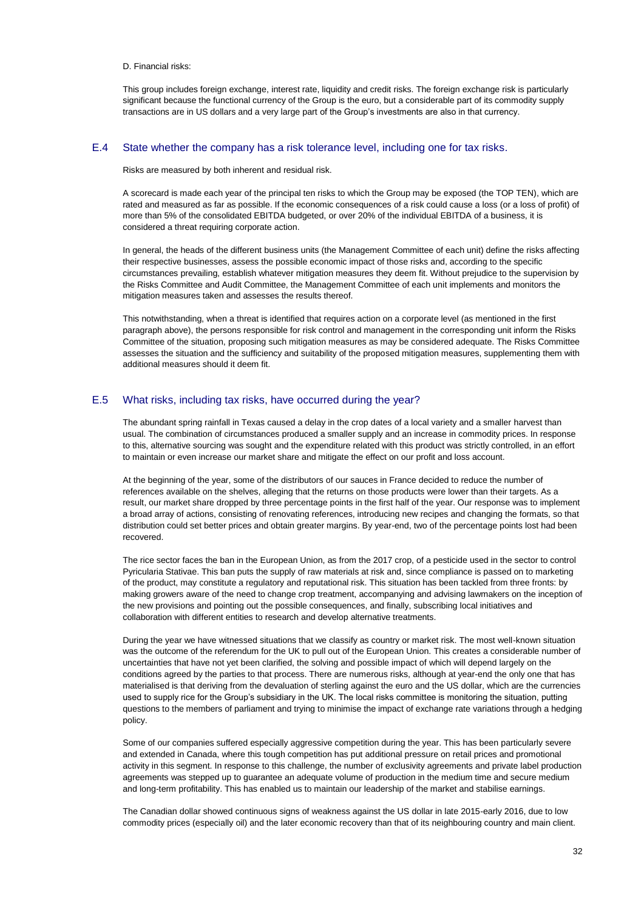D. Financial risks:

This group includes foreign exchange, interest rate, liquidity and credit risks. The foreign exchange risk is particularly significant because the functional currency of the Group is the euro, but a considerable part of its commodity supply transactions are in US dollars and a very large part of the Group's investments are also in that currency.

### E.4 State whether the company has a risk tolerance level, including one for tax risks.

Risks are measured by both inherent and residual risk.

A scorecard is made each year of the principal ten risks to which the Group may be exposed (the TOP TEN), which are rated and measured as far as possible. If the economic consequences of a risk could cause a loss (or a loss of profit) of more than 5% of the consolidated EBITDA budgeted, or over 20% of the individual EBITDA of a business, it is considered a threat requiring corporate action.

In general, the heads of the different business units (the Management Committee of each unit) define the risks affecting their respective businesses, assess the possible economic impact of those risks and, according to the specific circumstances prevailing, establish whatever mitigation measures they deem fit. Without prejudice to the supervision by the Risks Committee and Audit Committee, the Management Committee of each unit implements and monitors the mitigation measures taken and assesses the results thereof.

This notwithstanding, when a threat is identified that requires action on a corporate level (as mentioned in the first paragraph above), the persons responsible for risk control and management in the corresponding unit inform the Risks Committee of the situation, proposing such mitigation measures as may be considered adequate. The Risks Committee assesses the situation and the sufficiency and suitability of the proposed mitigation measures, supplementing them with additional measures should it deem fit.

### E.5 What risks, including tax risks, have occurred during the year?

The abundant spring rainfall in Texas caused a delay in the crop dates of a local variety and a smaller harvest than usual. The combination of circumstances produced a smaller supply and an increase in commodity prices. In response to this, alternative sourcing was sought and the expenditure related with this product was strictly controlled, in an effort to maintain or even increase our market share and mitigate the effect on our profit and loss account.

At the beginning of the year, some of the distributors of our sauces in France decided to reduce the number of references available on the shelves, alleging that the returns on those products were lower than their targets. As a result, our market share dropped by three percentage points in the first half of the year. Our response was to implement a broad array of actions, consisting of renovating references, introducing new recipes and changing the formats, so that distribution could set better prices and obtain greater margins. By year-end, two of the percentage points lost had been recovered.

The rice sector faces the ban in the European Union, as from the 2017 crop, of a pesticide used in the sector to control Pyricularia Stativae. This ban puts the supply of raw materials at risk and, since compliance is passed on to marketing of the product, may constitute a regulatory and reputational risk. This situation has been tackled from three fronts: by making growers aware of the need to change crop treatment, accompanying and advising lawmakers on the inception of the new provisions and pointing out the possible consequences, and finally, subscribing local initiatives and collaboration with different entities to research and develop alternative treatments.

During the year we have witnessed situations that we classify as country or market risk. The most well-known situation was the outcome of the referendum for the UK to pull out of the European Union. This creates a considerable number of uncertainties that have not yet been clarified, the solving and possible impact of which will depend largely on the conditions agreed by the parties to that process. There are numerous risks, although at year-end the only one that has materialised is that deriving from the devaluation of sterling against the euro and the US dollar, which are the currencies used to supply rice for the Group's subsidiary in the UK. The local risks committee is monitoring the situation, putting questions to the members of parliament and trying to minimise the impact of exchange rate variations through a hedging policy.

Some of our companies suffered especially aggressive competition during the year. This has been particularly severe and extended in Canada, where this tough competition has put additional pressure on retail prices and promotional activity in this segment. In response to this challenge, the number of exclusivity agreements and private label production agreements was stepped up to guarantee an adequate volume of production in the medium time and secure medium and long-term profitability. This has enabled us to maintain our leadership of the market and stabilise earnings.

The Canadian dollar showed continuous signs of weakness against the US dollar in late 2015-early 2016, due to low commodity prices (especially oil) and the later economic recovery than that of its neighbouring country and main client.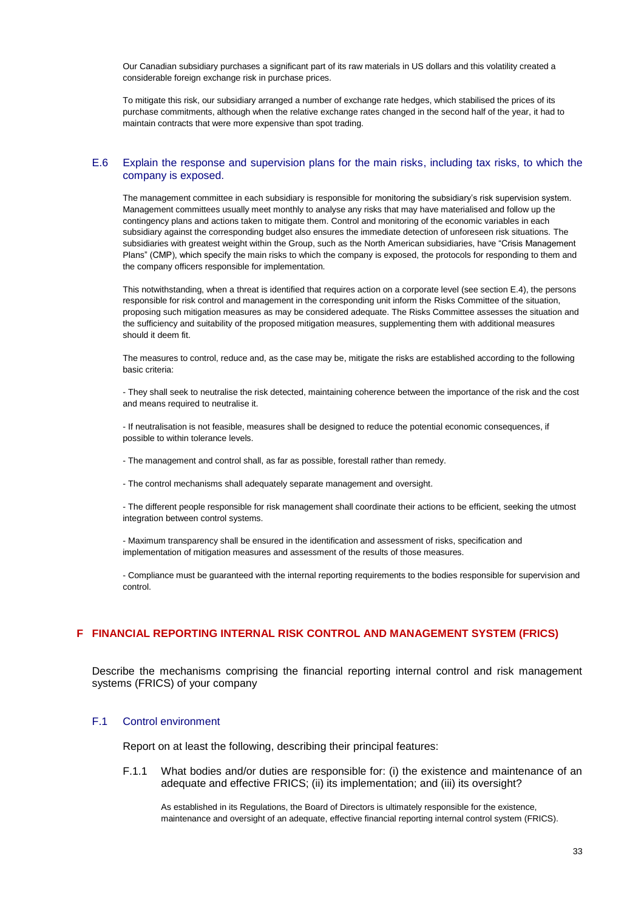Our Canadian subsidiary purchases a significant part of its raw materials in US dollars and this volatility created a considerable foreign exchange risk in purchase prices.

To mitigate this risk, our subsidiary arranged a number of exchange rate hedges, which stabilised the prices of its purchase commitments, although when the relative exchange rates changed in the second half of the year, it had to maintain contracts that were more expensive than spot trading.

### E.6 Explain the response and supervision plans for the main risks, including tax risks, to which the company is exposed.

The management committee in each subsidiary is responsible for monitoring the subsidiary's risk supervision system. Management committees usually meet monthly to analyse any risks that may have materialised and follow up the contingency plans and actions taken to mitigate them. Control and monitoring of the economic variables in each subsidiary against the corresponding budget also ensures the immediate detection of unforeseen risk situations. The subsidiaries with greatest weight within the Group, such as the North American subsidiaries, have "Crisis Management Plans" (CMP), which specify the main risks to which the company is exposed, the protocols for responding to them and the company officers responsible for implementation.

This notwithstanding, when a threat is identified that requires action on a corporate level (see section E.4), the persons responsible for risk control and management in the corresponding unit inform the Risks Committee of the situation, proposing such mitigation measures as may be considered adequate. The Risks Committee assesses the situation and the sufficiency and suitability of the proposed mitigation measures, supplementing them with additional measures should it deem fit.

The measures to control, reduce and, as the case may be, mitigate the risks are established according to the following basic criteria:

- They shall seek to neutralise the risk detected, maintaining coherence between the importance of the risk and the cost and means required to neutralise it.

- If neutralisation is not feasible, measures shall be designed to reduce the potential economic consequences, if possible to within tolerance levels.

- The management and control shall, as far as possible, forestall rather than remedy.
- The control mechanisms shall adequately separate management and oversight.

- The different people responsible for risk management shall coordinate their actions to be efficient, seeking the utmost integration between control systems.

- Maximum transparency shall be ensured in the identification and assessment of risks, specification and implementation of mitigation measures and assessment of the results of those measures.

- Compliance must be guaranteed with the internal reporting requirements to the bodies responsible for supervision and control.

# **F FINANCIAL REPORTING INTERNAL RISK CONTROL AND MANAGEMENT SYSTEM (FRICS)**

Describe the mechanisms comprising the financial reporting internal control and risk management systems (FRICS) of your company

# F.1 Control environment

Report on at least the following, describing their principal features:

F.1.1 What bodies and/or duties are responsible for: (i) the existence and maintenance of an adequate and effective FRICS; (ii) its implementation; and (iii) its oversight?

As established in its Regulations, the Board of Directors is ultimately responsible for the existence, maintenance and oversight of an adequate, effective financial reporting internal control system (FRICS).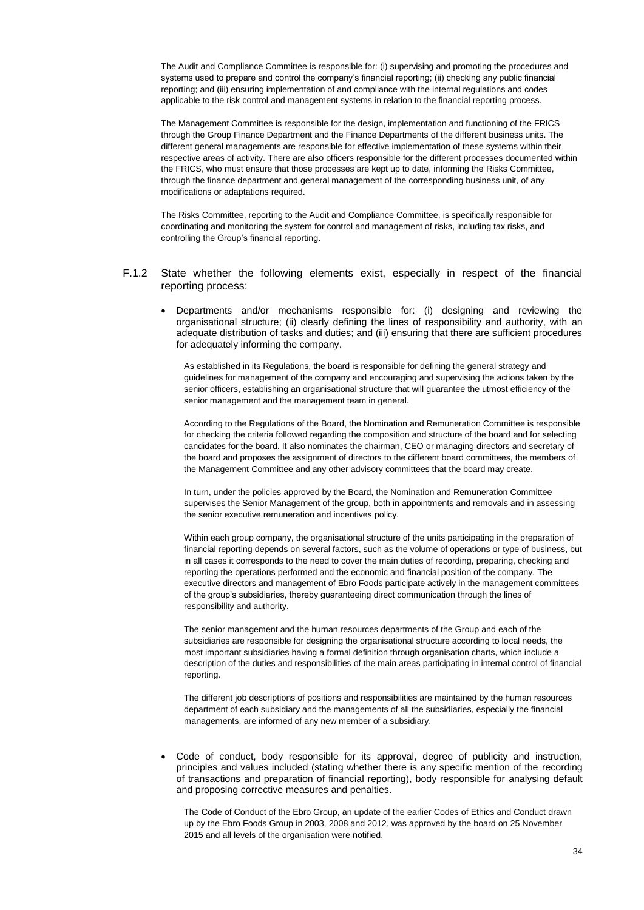The Audit and Compliance Committee is responsible for: (i) supervising and promoting the procedures and systems used to prepare and control the company's financial reporting; (ii) checking any public financial reporting; and (iii) ensuring implementation of and compliance with the internal regulations and codes applicable to the risk control and management systems in relation to the financial reporting process.

The Management Committee is responsible for the design, implementation and functioning of the FRICS through the Group Finance Department and the Finance Departments of the different business units. The different general managements are responsible for effective implementation of these systems within their respective areas of activity. There are also officers responsible for the different processes documented within the FRICS, who must ensure that those processes are kept up to date, informing the Risks Committee, through the finance department and general management of the corresponding business unit, of any modifications or adaptations required.

The Risks Committee, reporting to the Audit and Compliance Committee, is specifically responsible for coordinating and monitoring the system for control and management of risks, including tax risks, and controlling the Group's financial reporting.

- F.1.2 State whether the following elements exist, especially in respect of the financial reporting process:
	- Departments and/or mechanisms responsible for: (i) designing and reviewing the organisational structure; (ii) clearly defining the lines of responsibility and authority, with an adequate distribution of tasks and duties; and (iii) ensuring that there are sufficient procedures for adequately informing the company.

As established in its Regulations, the board is responsible for defining the general strategy and guidelines for management of the company and encouraging and supervising the actions taken by the senior officers, establishing an organisational structure that will guarantee the utmost efficiency of the senior management and the management team in general.

According to the Regulations of the Board, the Nomination and Remuneration Committee is responsible for checking the criteria followed regarding the composition and structure of the board and for selecting candidates for the board. It also nominates the chairman, CEO or managing directors and secretary of the board and proposes the assignment of directors to the different board committees, the members of the Management Committee and any other advisory committees that the board may create.

In turn, under the policies approved by the Board, the Nomination and Remuneration Committee supervises the Senior Management of the group, both in appointments and removals and in assessing the senior executive remuneration and incentives policy.

Within each group company, the organisational structure of the units participating in the preparation of financial reporting depends on several factors, such as the volume of operations or type of business, but in all cases it corresponds to the need to cover the main duties of recording, preparing, checking and reporting the operations performed and the economic and financial position of the company. The executive directors and management of Ebro Foods participate actively in the management committees of the group's subsidiaries, thereby guaranteeing direct communication through the lines of responsibility and authority.

The senior management and the human resources departments of the Group and each of the subsidiaries are responsible for designing the organisational structure according to local needs, the most important subsidiaries having a formal definition through organisation charts, which include a description of the duties and responsibilities of the main areas participating in internal control of financial reporting.

The different job descriptions of positions and responsibilities are maintained by the human resources department of each subsidiary and the managements of all the subsidiaries, especially the financial managements, are informed of any new member of a subsidiary.

 Code of conduct, body responsible for its approval, degree of publicity and instruction, principles and values included (stating whether there is any specific mention of the recording of transactions and preparation of financial reporting), body responsible for analysing default and proposing corrective measures and penalties.

The Code of Conduct of the Ebro Group, an update of the earlier Codes of Ethics and Conduct drawn up by the Ebro Foods Group in 2003, 2008 and 2012, was approved by the board on 25 November 2015 and all levels of the organisation were notified.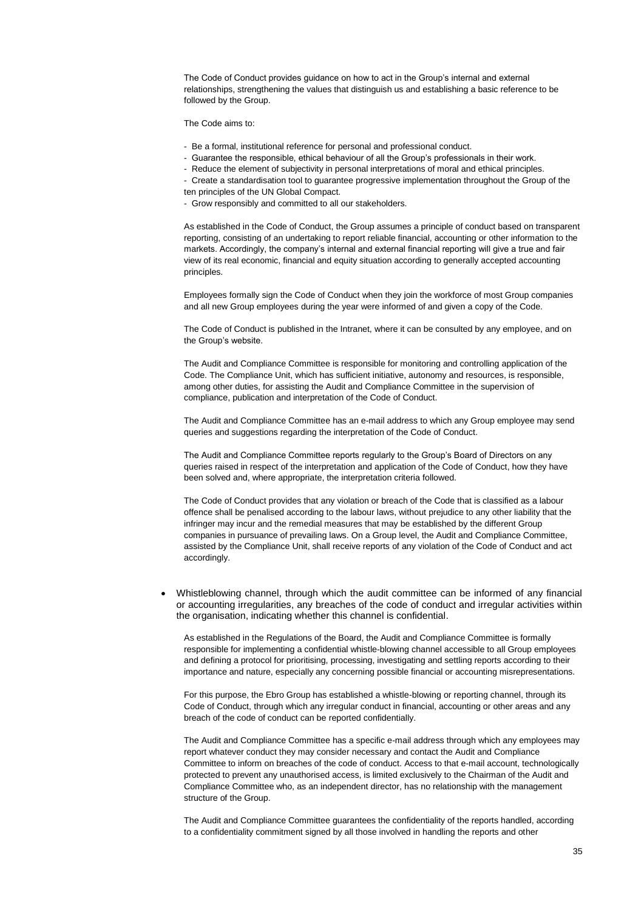The Code of Conduct provides guidance on how to act in the Group's internal and external relationships, strengthening the values that distinguish us and establishing a basic reference to be followed by the Group.

The Code aims to:

- Be a formal, institutional reference for personal and professional conduct.
- Guarantee the responsible, ethical behaviour of all the Group's professionals in their work.
- Reduce the element of subjectivity in personal interpretations of moral and ethical principles.
- Create a standardisation tool to guarantee progressive implementation throughout the Group of the
- ten principles of the UN Global Compact.
- Grow responsibly and committed to all our stakeholders.

As established in the Code of Conduct, the Group assumes a principle of conduct based on transparent reporting, consisting of an undertaking to report reliable financial, accounting or other information to the markets. Accordingly, the company's internal and external financial reporting will give a true and fair view of its real economic, financial and equity situation according to generally accepted accounting principles.

Employees formally sign the Code of Conduct when they join the workforce of most Group companies and all new Group employees during the year were informed of and given a copy of the Code.

The Code of Conduct is published in the Intranet, where it can be consulted by any employee, and on the Group's website.

The Audit and Compliance Committee is responsible for monitoring and controlling application of the Code. The Compliance Unit, which has sufficient initiative, autonomy and resources, is responsible, among other duties, for assisting the Audit and Compliance Committee in the supervision of compliance, publication and interpretation of the Code of Conduct.

The Audit and Compliance Committee has an e-mail address to which any Group employee may send queries and suggestions regarding the interpretation of the Code of Conduct.

The Audit and Compliance Committee reports regularly to the Group's Board of Directors on any queries raised in respect of the interpretation and application of the Code of Conduct, how they have been solved and, where appropriate, the interpretation criteria followed.

The Code of Conduct provides that any violation or breach of the Code that is classified as a labour offence shall be penalised according to the labour laws, without prejudice to any other liability that the infringer may incur and the remedial measures that may be established by the different Group companies in pursuance of prevailing laws. On a Group level, the Audit and Compliance Committee, assisted by the Compliance Unit, shall receive reports of any violation of the Code of Conduct and act accordingly.

 Whistleblowing channel, through which the audit committee can be informed of any financial or accounting irregularities, any breaches of the code of conduct and irregular activities within the organisation, indicating whether this channel is confidential.

As established in the Regulations of the Board, the Audit and Compliance Committee is formally responsible for implementing a confidential whistle-blowing channel accessible to all Group employees and defining a protocol for prioritising, processing, investigating and settling reports according to their importance and nature, especially any concerning possible financial or accounting misrepresentations.

For this purpose, the Ebro Group has established a whistle-blowing or reporting channel, through its Code of Conduct, through which any irregular conduct in financial, accounting or other areas and any breach of the code of conduct can be reported confidentially.

The Audit and Compliance Committee has a specific e-mail address through which any employees may report whatever conduct they may consider necessary and contact the Audit and Compliance Committee to inform on breaches of the code of conduct. Access to that e-mail account, technologically protected to prevent any unauthorised access, is limited exclusively to the Chairman of the Audit and Compliance Committee who, as an independent director, has no relationship with the management structure of the Group.

The Audit and Compliance Committee guarantees the confidentiality of the reports handled, according to a confidentiality commitment signed by all those involved in handling the reports and other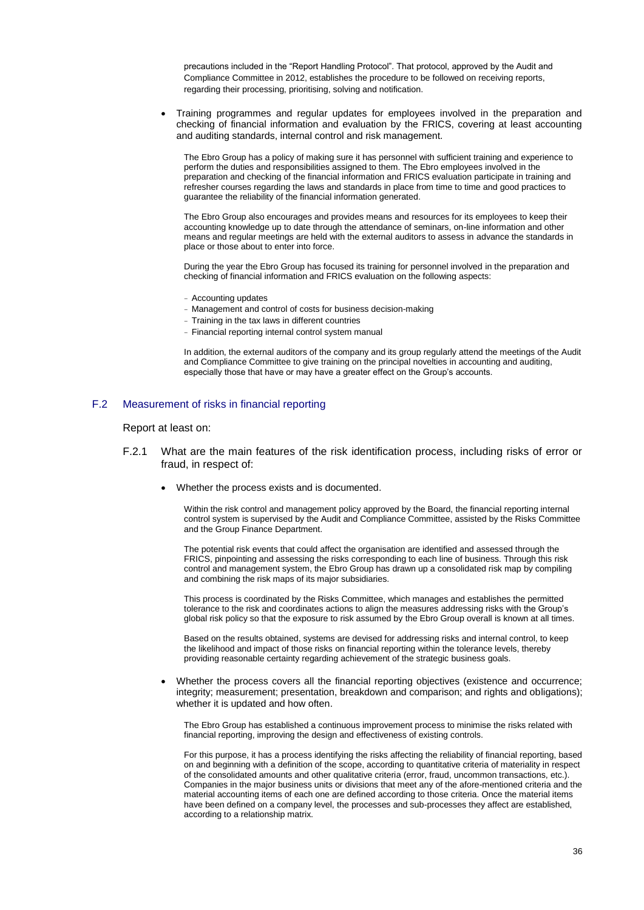precautions included in the "Report Handling Protocol". That protocol, approved by the Audit and Compliance Committee in 2012, establishes the procedure to be followed on receiving reports, regarding their processing, prioritising, solving and notification.

 Training programmes and regular updates for employees involved in the preparation and checking of financial information and evaluation by the FRICS, covering at least accounting and auditing standards, internal control and risk management.

The Ebro Group has a policy of making sure it has personnel with sufficient training and experience to perform the duties and responsibilities assigned to them. The Ebro employees involved in the preparation and checking of the financial information and FRICS evaluation participate in training and refresher courses regarding the laws and standards in place from time to time and good practices to guarantee the reliability of the financial information generated.

The Ebro Group also encourages and provides means and resources for its employees to keep their accounting knowledge up to date through the attendance of seminars, on-line information and other means and regular meetings are held with the external auditors to assess in advance the standards in place or those about to enter into force.

During the year the Ebro Group has focused its training for personnel involved in the preparation and checking of financial information and FRICS evaluation on the following aspects:

- Accounting updates
- Management and control of costs for business decision-making
- Training in the tax laws in different countries
- Financial reporting internal control system manual

In addition, the external auditors of the company and its group regularly attend the meetings of the Audit and Compliance Committee to give training on the principal novelties in accounting and auditing, especially those that have or may have a greater effect on the Group's accounts.

## F.2 Measurement of risks in financial reporting

Report at least on:

- F.2.1 What are the main features of the risk identification process, including risks of error or fraud, in respect of:
	- Whether the process exists and is documented.

Within the risk control and management policy approved by the Board, the financial reporting internal control system is supervised by the Audit and Compliance Committee, assisted by the Risks Committee and the Group Finance Department.

The potential risk events that could affect the organisation are identified and assessed through the FRICS, pinpointing and assessing the risks corresponding to each line of business. Through this risk control and management system, the Ebro Group has drawn up a consolidated risk map by compiling and combining the risk maps of its major subsidiaries.

This process is coordinated by the Risks Committee, which manages and establishes the permitted tolerance to the risk and coordinates actions to align the measures addressing risks with the Group's global risk policy so that the exposure to risk assumed by the Ebro Group overall is known at all times.

Based on the results obtained, systems are devised for addressing risks and internal control, to keep the likelihood and impact of those risks on financial reporting within the tolerance levels, thereby providing reasonable certainty regarding achievement of the strategic business goals.

 Whether the process covers all the financial reporting objectives (existence and occurrence; integrity; measurement; presentation, breakdown and comparison; and rights and obligations); whether it is updated and how often.

The Ebro Group has established a continuous improvement process to minimise the risks related with financial reporting, improving the design and effectiveness of existing controls.

For this purpose, it has a process identifying the risks affecting the reliability of financial reporting, based on and beginning with a definition of the scope, according to quantitative criteria of materiality in respect of the consolidated amounts and other qualitative criteria (error, fraud, uncommon transactions, etc.). Companies in the major business units or divisions that meet any of the afore-mentioned criteria and the material accounting items of each one are defined according to those criteria. Once the material items have been defined on a company level, the processes and sub-processes they affect are established, according to a relationship matrix.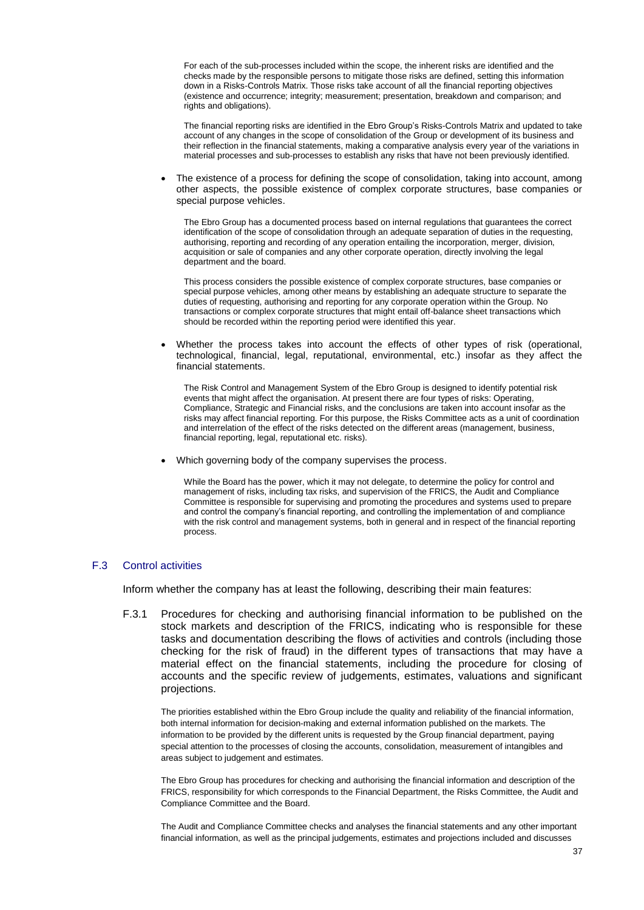For each of the sub-processes included within the scope, the inherent risks are identified and the checks made by the responsible persons to mitigate those risks are defined, setting this information down in a Risks-Controls Matrix. Those risks take account of all the financial reporting objectives (existence and occurrence; integrity; measurement; presentation, breakdown and comparison; and rights and obligations).

The financial reporting risks are identified in the Ebro Group's Risks-Controls Matrix and updated to take account of any changes in the scope of consolidation of the Group or development of its business and their reflection in the financial statements, making a comparative analysis every year of the variations in material processes and sub-processes to establish any risks that have not been previously identified.

 The existence of a process for defining the scope of consolidation, taking into account, among other aspects, the possible existence of complex corporate structures, base companies or special purpose vehicles.

The Ebro Group has a documented process based on internal regulations that guarantees the correct identification of the scope of consolidation through an adequate separation of duties in the requesting, authorising, reporting and recording of any operation entailing the incorporation, merger, division, acquisition or sale of companies and any other corporate operation, directly involving the legal department and the board.

This process considers the possible existence of complex corporate structures, base companies or special purpose vehicles, among other means by establishing an adequate structure to separate the duties of requesting, authorising and reporting for any corporate operation within the Group. No transactions or complex corporate structures that might entail off-balance sheet transactions which should be recorded within the reporting period were identified this year.

 Whether the process takes into account the effects of other types of risk (operational, technological, financial, legal, reputational, environmental, etc.) insofar as they affect the financial statements.

The Risk Control and Management System of the Ebro Group is designed to identify potential risk events that might affect the organisation. At present there are four types of risks: Operating, Compliance, Strategic and Financial risks, and the conclusions are taken into account insofar as the risks may affect financial reporting. For this purpose, the Risks Committee acts as a unit of coordination and interrelation of the effect of the risks detected on the different areas (management, business, financial reporting, legal, reputational etc. risks).

Which governing body of the company supervises the process.

While the Board has the power, which it may not delegate, to determine the policy for control and management of risks, including tax risks, and supervision of the FRICS, the Audit and Compliance Committee is responsible for supervising and promoting the procedures and systems used to prepare and control the company's financial reporting, and controlling the implementation of and compliance with the risk control and management systems, both in general and in respect of the financial reporting process.

### F.3 Control activities

Inform whether the company has at least the following, describing their main features:

F.3.1 Procedures for checking and authorising financial information to be published on the stock markets and description of the FRICS, indicating who is responsible for these tasks and documentation describing the flows of activities and controls (including those checking for the risk of fraud) in the different types of transactions that may have a material effect on the financial statements, including the procedure for closing of accounts and the specific review of judgements, estimates, valuations and significant projections.

The priorities established within the Ebro Group include the quality and reliability of the financial information, both internal information for decision-making and external information published on the markets. The information to be provided by the different units is requested by the Group financial department, paying special attention to the processes of closing the accounts, consolidation, measurement of intangibles and areas subject to judgement and estimates.

The Ebro Group has procedures for checking and authorising the financial information and description of the FRICS, responsibility for which corresponds to the Financial Department, the Risks Committee, the Audit and Compliance Committee and the Board.

The Audit and Compliance Committee checks and analyses the financial statements and any other important financial information, as well as the principal judgements, estimates and projections included and discusses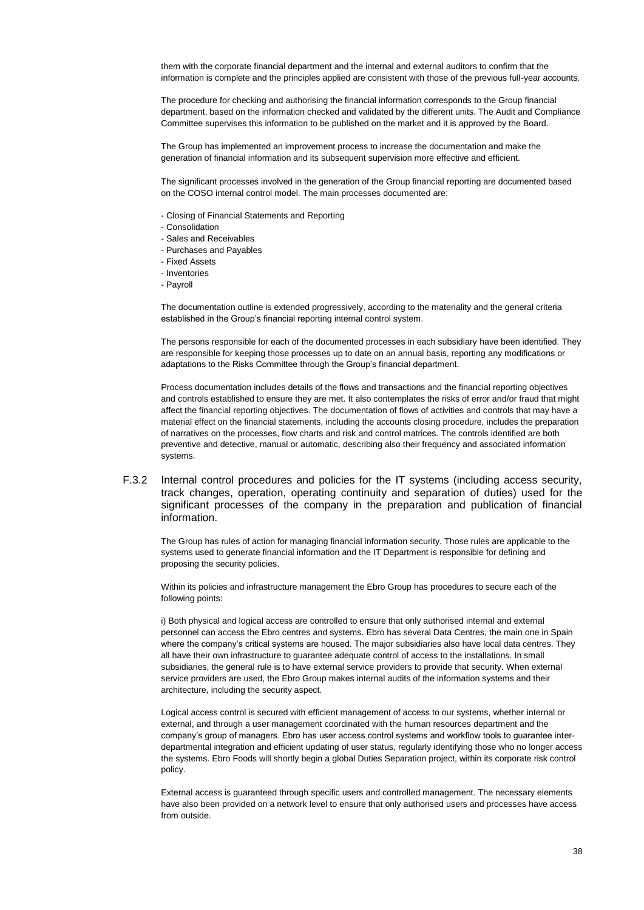them with the corporate financial department and the internal and external auditors to confirm that the information is complete and the principles applied are consistent with those of the previous full-year accounts.

The procedure for checking and authorising the financial information corresponds to the Group financial department, based on the information checked and validated by the different units. The Audit and Compliance Committee supervises this information to be published on the market and it is approved by the Board.

The Group has implemented an improvement process to increase the documentation and make the generation of financial information and its subsequent supervision more effective and efficient.

The significant processes involved in the generation of the Group financial reporting are documented based on the COSO internal control model. The main processes documented are:

- Closing of Financial Statements and Reporting
- Consolidation
- Sales and Receivables
- Purchases and Payables
- Fixed Assets
- Inventories
- Payroll

The documentation outline is extended progressively, according to the materiality and the general criteria established in the Group's financial reporting internal control system.

The persons responsible for each of the documented processes in each subsidiary have been identified. They are responsible for keeping those processes up to date on an annual basis, reporting any modifications or adaptations to the Risks Committee through the Group's financial department.

Process documentation includes details of the flows and transactions and the financial reporting objectives and controls established to ensure they are met. It also contemplates the risks of error and/or fraud that might affect the financial reporting objectives. The documentation of flows of activities and controls that may have a material effect on the financial statements, including the accounts closing procedure, includes the preparation of narratives on the processes, flow charts and risk and control matrices. The controls identified are both preventive and detective, manual or automatic, describing also their frequency and associated information systems.

F.3.2 Internal control procedures and policies for the IT systems (including access security, track changes, operation, operating continuity and separation of duties) used for the significant processes of the company in the preparation and publication of financial information.

The Group has rules of action for managing financial information security. Those rules are applicable to the systems used to generate financial information and the IT Department is responsible for defining and proposing the security policies.

Within its policies and infrastructure management the Ebro Group has procedures to secure each of the following points:

i) Both physical and logical access are controlled to ensure that only authorised internal and external personnel can access the Ebro centres and systems. Ebro has several Data Centres, the main one in Spain where the company's critical systems are housed. The major subsidiaries also have local data centres. They all have their own infrastructure to guarantee adequate control of access to the installations. In small subsidiaries, the general rule is to have external service providers to provide that security. When external service providers are used, the Ebro Group makes internal audits of the information systems and their architecture, including the security aspect.

Logical access control is secured with efficient management of access to our systems, whether internal or external, and through a user management coordinated with the human resources department and the company's group of managers. Ebro has user access control systems and workflow tools to guarantee interdepartmental integration and efficient updating of user status, regularly identifying those who no longer access the systems. Ebro Foods will shortly begin a global Duties Separation project, within its corporate risk control policy.

External access is guaranteed through specific users and controlled management. The necessary elements have also been provided on a network level to ensure that only authorised users and processes have access from outside.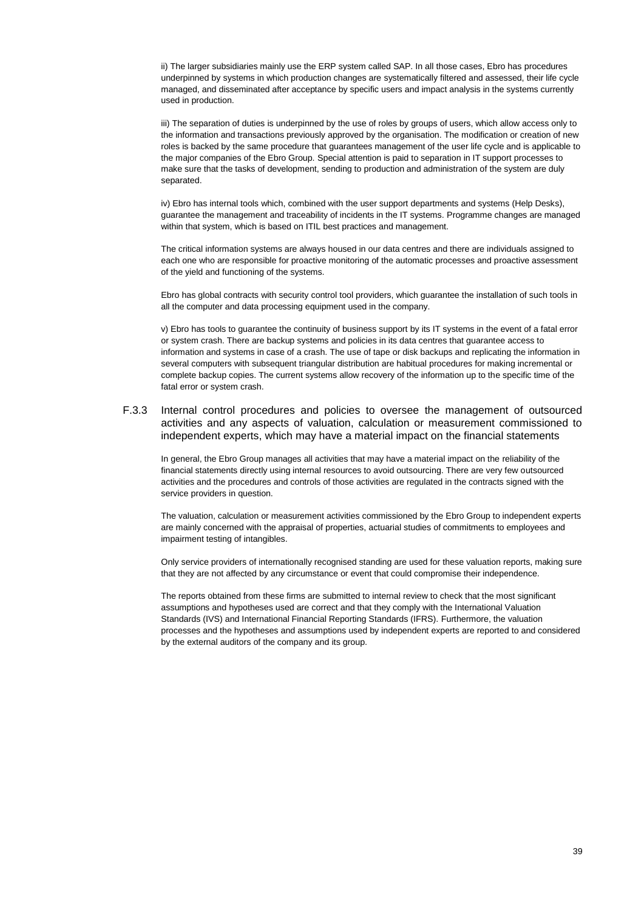ii) The larger subsidiaries mainly use the ERP system called SAP. In all those cases, Ebro has procedures underpinned by systems in which production changes are systematically filtered and assessed, their life cycle managed, and disseminated after acceptance by specific users and impact analysis in the systems currently used in production.

iii) The separation of duties is underpinned by the use of roles by groups of users, which allow access only to the information and transactions previously approved by the organisation. The modification or creation of new roles is backed by the same procedure that guarantees management of the user life cycle and is applicable to the major companies of the Ebro Group. Special attention is paid to separation in IT support processes to make sure that the tasks of development, sending to production and administration of the system are duly separated.

iv) Ebro has internal tools which, combined with the user support departments and systems (Help Desks), guarantee the management and traceability of incidents in the IT systems. Programme changes are managed within that system, which is based on ITIL best practices and management.

The critical information systems are always housed in our data centres and there are individuals assigned to each one who are responsible for proactive monitoring of the automatic processes and proactive assessment of the yield and functioning of the systems.

Ebro has global contracts with security control tool providers, which guarantee the installation of such tools in all the computer and data processing equipment used in the company.

v) Ebro has tools to guarantee the continuity of business support by its IT systems in the event of a fatal error or system crash. There are backup systems and policies in its data centres that guarantee access to information and systems in case of a crash. The use of tape or disk backups and replicating the information in several computers with subsequent triangular distribution are habitual procedures for making incremental or complete backup copies. The current systems allow recovery of the information up to the specific time of the fatal error or system crash.

F.3.3 Internal control procedures and policies to oversee the management of outsourced activities and any aspects of valuation, calculation or measurement commissioned to independent experts, which may have a material impact on the financial statements

In general, the Ebro Group manages all activities that may have a material impact on the reliability of the financial statements directly using internal resources to avoid outsourcing. There are very few outsourced activities and the procedures and controls of those activities are regulated in the contracts signed with the service providers in question.

The valuation, calculation or measurement activities commissioned by the Ebro Group to independent experts are mainly concerned with the appraisal of properties, actuarial studies of commitments to employees and impairment testing of intangibles.

Only service providers of internationally recognised standing are used for these valuation reports, making sure that they are not affected by any circumstance or event that could compromise their independence.

The reports obtained from these firms are submitted to internal review to check that the most significant assumptions and hypotheses used are correct and that they comply with the International Valuation Standards (IVS) and International Financial Reporting Standards (IFRS). Furthermore, the valuation processes and the hypotheses and assumptions used by independent experts are reported to and considered by the external auditors of the company and its group.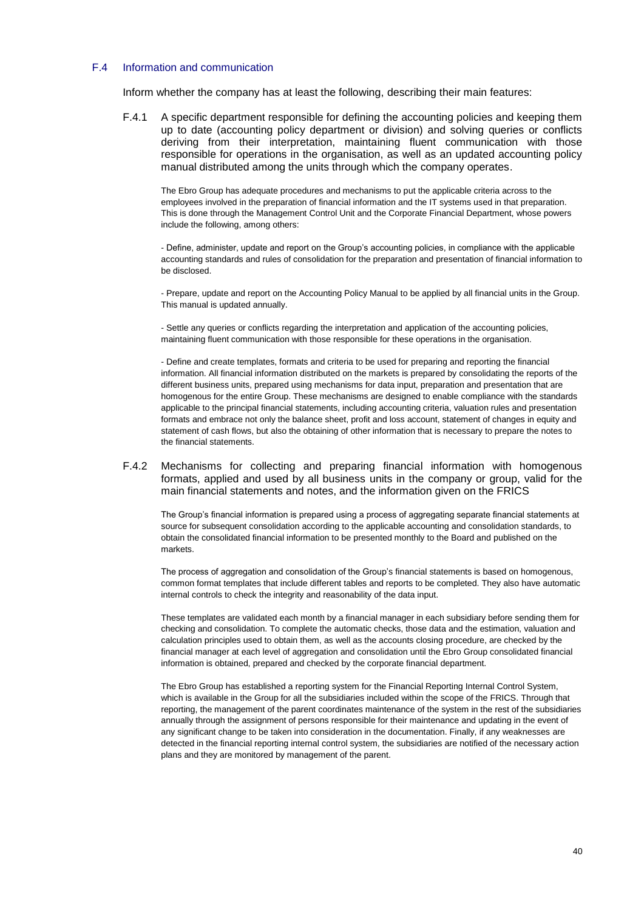# F.4 Information and communication

Inform whether the company has at least the following, describing their main features:

F.4.1 A specific department responsible for defining the accounting policies and keeping them up to date (accounting policy department or division) and solving queries or conflicts deriving from their interpretation, maintaining fluent communication with those responsible for operations in the organisation, as well as an updated accounting policy manual distributed among the units through which the company operates.

The Ebro Group has adequate procedures and mechanisms to put the applicable criteria across to the employees involved in the preparation of financial information and the IT systems used in that preparation. This is done through the Management Control Unit and the Corporate Financial Department, whose powers include the following, among others:

- Define, administer, update and report on the Group's accounting policies, in compliance with the applicable accounting standards and rules of consolidation for the preparation and presentation of financial information to be disclosed.

- Prepare, update and report on the Accounting Policy Manual to be applied by all financial units in the Group. This manual is updated annually.

- Settle any queries or conflicts regarding the interpretation and application of the accounting policies, maintaining fluent communication with those responsible for these operations in the organisation.

- Define and create templates, formats and criteria to be used for preparing and reporting the financial information. All financial information distributed on the markets is prepared by consolidating the reports of the different business units, prepared using mechanisms for data input, preparation and presentation that are homogenous for the entire Group. These mechanisms are designed to enable compliance with the standards applicable to the principal financial statements, including accounting criteria, valuation rules and presentation formats and embrace not only the balance sheet, profit and loss account, statement of changes in equity and statement of cash flows, but also the obtaining of other information that is necessary to prepare the notes to the financial statements.

### F.4.2 Mechanisms for collecting and preparing financial information with homogenous formats, applied and used by all business units in the company or group, valid for the main financial statements and notes, and the information given on the FRICS

The Group's financial information is prepared using a process of aggregating separate financial statements at source for subsequent consolidation according to the applicable accounting and consolidation standards, to obtain the consolidated financial information to be presented monthly to the Board and published on the markets.

The process of aggregation and consolidation of the Group's financial statements is based on homogenous, common format templates that include different tables and reports to be completed. They also have automatic internal controls to check the integrity and reasonability of the data input.

These templates are validated each month by a financial manager in each subsidiary before sending them for checking and consolidation. To complete the automatic checks, those data and the estimation, valuation and calculation principles used to obtain them, as well as the accounts closing procedure, are checked by the financial manager at each level of aggregation and consolidation until the Ebro Group consolidated financial information is obtained, prepared and checked by the corporate financial department.

The Ebro Group has established a reporting system for the Financial Reporting Internal Control System, which is available in the Group for all the subsidiaries included within the scope of the FRICS. Through that reporting, the management of the parent coordinates maintenance of the system in the rest of the subsidiaries annually through the assignment of persons responsible for their maintenance and updating in the event of any significant change to be taken into consideration in the documentation. Finally, if any weaknesses are detected in the financial reporting internal control system, the subsidiaries are notified of the necessary action plans and they are monitored by management of the parent.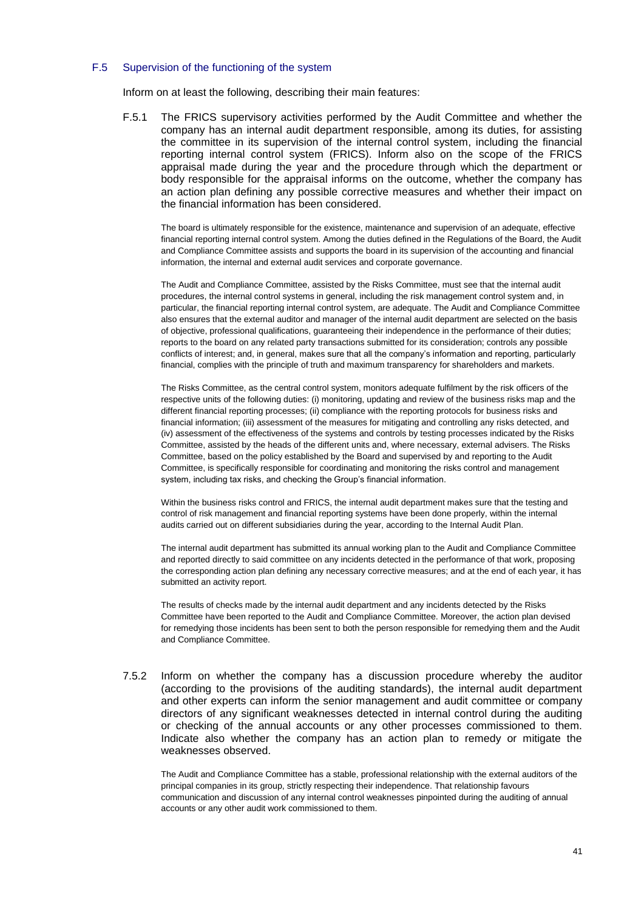### F.5 Supervision of the functioning of the system

Inform on at least the following, describing their main features:

F.5.1 The FRICS supervisory activities performed by the Audit Committee and whether the company has an internal audit department responsible, among its duties, for assisting the committee in its supervision of the internal control system, including the financial reporting internal control system (FRICS). Inform also on the scope of the FRICS appraisal made during the year and the procedure through which the department or body responsible for the appraisal informs on the outcome, whether the company has an action plan defining any possible corrective measures and whether their impact on the financial information has been considered.

The board is ultimately responsible for the existence, maintenance and supervision of an adequate, effective financial reporting internal control system. Among the duties defined in the Regulations of the Board, the Audit and Compliance Committee assists and supports the board in its supervision of the accounting and financial information, the internal and external audit services and corporate governance.

The Audit and Compliance Committee, assisted by the Risks Committee, must see that the internal audit procedures, the internal control systems in general, including the risk management control system and, in particular, the financial reporting internal control system, are adequate. The Audit and Compliance Committee also ensures that the external auditor and manager of the internal audit department are selected on the basis of objective, professional qualifications, guaranteeing their independence in the performance of their duties; reports to the board on any related party transactions submitted for its consideration; controls any possible conflicts of interest; and, in general, makes sure that all the company's information and reporting, particularly financial, complies with the principle of truth and maximum transparency for shareholders and markets.

The Risks Committee, as the central control system, monitors adequate fulfilment by the risk officers of the respective units of the following duties: (i) monitoring, updating and review of the business risks map and the different financial reporting processes; (ii) compliance with the reporting protocols for business risks and financial information; (iii) assessment of the measures for mitigating and controlling any risks detected, and (iv) assessment of the effectiveness of the systems and controls by testing processes indicated by the Risks Committee, assisted by the heads of the different units and, where necessary, external advisers. The Risks Committee, based on the policy established by the Board and supervised by and reporting to the Audit Committee, is specifically responsible for coordinating and monitoring the risks control and management system, including tax risks, and checking the Group's financial information.

Within the business risks control and FRICS, the internal audit department makes sure that the testing and control of risk management and financial reporting systems have been done properly, within the internal audits carried out on different subsidiaries during the year, according to the Internal Audit Plan.

The internal audit department has submitted its annual working plan to the Audit and Compliance Committee and reported directly to said committee on any incidents detected in the performance of that work, proposing the corresponding action plan defining any necessary corrective measures; and at the end of each year, it has submitted an activity report.

The results of checks made by the internal audit department and any incidents detected by the Risks Committee have been reported to the Audit and Compliance Committee. Moreover, the action plan devised for remedying those incidents has been sent to both the person responsible for remedying them and the Audit and Compliance Committee.

7.5.2 Inform on whether the company has a discussion procedure whereby the auditor (according to the provisions of the auditing standards), the internal audit department and other experts can inform the senior management and audit committee or company directors of any significant weaknesses detected in internal control during the auditing or checking of the annual accounts or any other processes commissioned to them. Indicate also whether the company has an action plan to remedy or mitigate the weaknesses observed.

The Audit and Compliance Committee has a stable, professional relationship with the external auditors of the principal companies in its group, strictly respecting their independence. That relationship favours communication and discussion of any internal control weaknesses pinpointed during the auditing of annual accounts or any other audit work commissioned to them.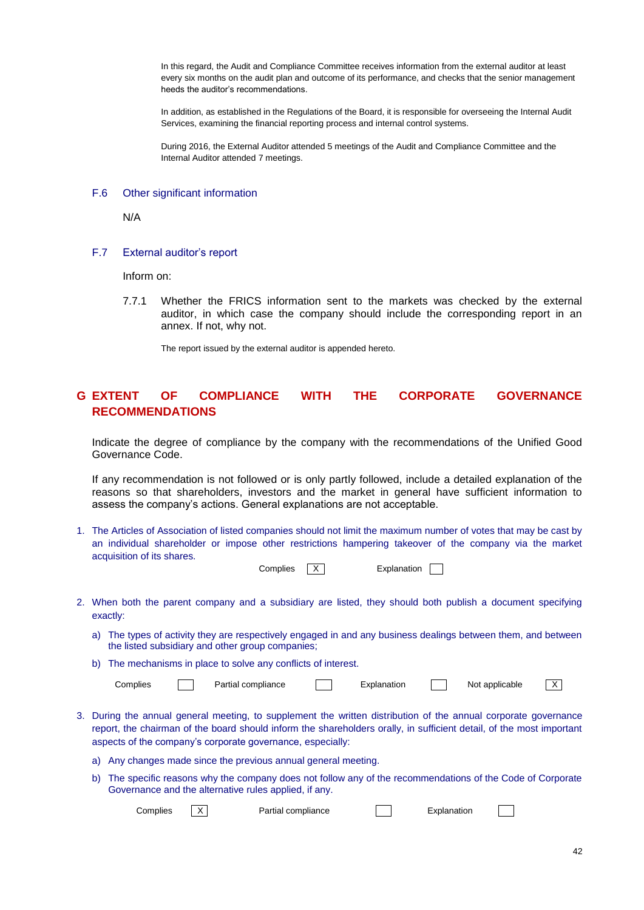In this regard, the Audit and Compliance Committee receives information from the external auditor at least every six months on the audit plan and outcome of its performance, and checks that the senior management heeds the auditor's recommendations.

In addition, as established in the Regulations of the Board, it is responsible for overseeing the Internal Audit Services, examining the financial reporting process and internal control systems.

During 2016, the External Auditor attended 5 meetings of the Audit and Compliance Committee and the Internal Auditor attended 7 meetings.

### F.6 Other significant information

N/A

### F.7 External auditor's report

Inform on:

7.7.1 Whether the FRICS information sent to the markets was checked by the external auditor, in which case the company should include the corresponding report in an annex. If not, why not.

The report issued by the external auditor is appended hereto.

# **G EXTENT OF COMPLIANCE WITH THE CORPORATE GOVERNANCE RECOMMENDATIONS**

Indicate the degree of compliance by the company with the recommendations of the Unified Good Governance Code.

If any recommendation is not followed or is only partly followed, include a detailed explanation of the reasons so that shareholders, investors and the market in general have sufficient information to assess the company's actions. General explanations are not acceptable.

1. The Articles of Association of listed companies should not limit the maximum number of votes that may be cast by an individual shareholder or impose other restrictions hampering takeover of the company via the market acquisition of its shares.

| Complies | Explanation |  |
|----------|-------------|--|
|          |             |  |

- 2. When both the parent company and a subsidiary are listed, they should both publish a document specifying exactly:
	- a) The types of activity they are respectively engaged in and any business dealings between them, and between the listed subsidiary and other group companies;
	- b) The mechanisms in place to solve any conflicts of interest.

| Complies |  | compliance<br>Partial |  | -xplanation |  | applicable<br>Not |  |  |
|----------|--|-----------------------|--|-------------|--|-------------------|--|--|
|----------|--|-----------------------|--|-------------|--|-------------------|--|--|

- 3. During the annual general meeting, to supplement the written distribution of the annual corporate governance report, the chairman of the board should inform the shareholders orally, in sufficient detail, of the most important aspects of the company's corporate governance, especially:
	- a) Any changes made since the previous annual general meeting.
	- b) The specific reasons why the company does not follow any of the recommendations of the Code of Corporate Governance and the alternative rules applied, if any.

Complies  $\boxed{X}$  Partial compliance  $\boxed{X}$  Explanation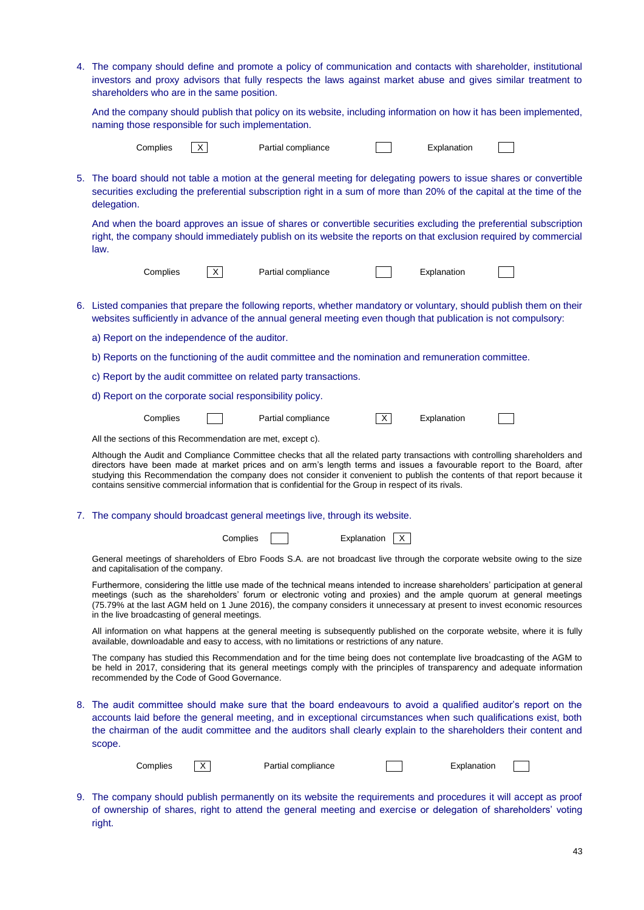| 4. The company should define and promote a policy of communication and contacts with shareholder, institutional<br>investors and proxy advisors that fully respects the laws against market abuse and gives similar treatment to<br>shareholders who are in the same position.                                                                                                                                                                                                                 |
|------------------------------------------------------------------------------------------------------------------------------------------------------------------------------------------------------------------------------------------------------------------------------------------------------------------------------------------------------------------------------------------------------------------------------------------------------------------------------------------------|
| And the company should publish that policy on its website, including information on how it has been implemented,<br>naming those responsible for such implementation.                                                                                                                                                                                                                                                                                                                          |
| Complies<br>$\times$<br>Partial compliance<br>Explanation                                                                                                                                                                                                                                                                                                                                                                                                                                      |
| 5. The board should not table a motion at the general meeting for delegating powers to issue shares or convertible<br>securities excluding the preferential subscription right in a sum of more than 20% of the capital at the time of the<br>delegation.                                                                                                                                                                                                                                      |
| And when the board approves an issue of shares or convertible securities excluding the preferential subscription<br>right, the company should immediately publish on its website the reports on that exclusion required by commercial<br>law.                                                                                                                                                                                                                                                  |
| Complies<br>$\times$<br>Partial compliance<br>Explanation                                                                                                                                                                                                                                                                                                                                                                                                                                      |
| 6. Listed companies that prepare the following reports, whether mandatory or voluntary, should publish them on their<br>websites sufficiently in advance of the annual general meeting even though that publication is not compulsory:                                                                                                                                                                                                                                                         |
| a) Report on the independence of the auditor.                                                                                                                                                                                                                                                                                                                                                                                                                                                  |
| b) Reports on the functioning of the audit committee and the nomination and remuneration committee.                                                                                                                                                                                                                                                                                                                                                                                            |
| c) Report by the audit committee on related party transactions.                                                                                                                                                                                                                                                                                                                                                                                                                                |
| d) Report on the corporate social responsibility policy.                                                                                                                                                                                                                                                                                                                                                                                                                                       |
| $\overline{X}$<br>Complies<br>Explanation<br>Partial compliance                                                                                                                                                                                                                                                                                                                                                                                                                                |
| All the sections of this Recommendation are met, except c).                                                                                                                                                                                                                                                                                                                                                                                                                                    |
| Although the Audit and Compliance Committee checks that all the related party transactions with controlling shareholders and<br>directors have been made at market prices and on arm's length terms and issues a favourable report to the Board, after<br>studying this Recommendation the company does not consider it convenient to publish the contents of that report because it<br>contains sensitive commercial information that is confidential for the Group in respect of its rivals. |
| 7. The company should broadcast general meetings live, through its website.                                                                                                                                                                                                                                                                                                                                                                                                                    |
| Complies<br>Explanation<br>X.                                                                                                                                                                                                                                                                                                                                                                                                                                                                  |
| General meetings of shareholders of Ebro Foods S.A. are not broadcast live through the corporate website owing to the size<br>and capitalisation of the company.                                                                                                                                                                                                                                                                                                                               |
| Furthermore, considering the little use made of the technical means intended to increase shareholders' participation at general<br>meetings (such as the shareholders' forum or electronic voting and proxies) and the ample quorum at general meetings<br>(75.79% at the last AGM held on 1 June 2016), the company considers it unnecessary at present to invest economic resources<br>in the live broadcasting of general meetings.                                                         |
| All information on what happens at the general meeting is subsequently published on the corporate website, where it is fully<br>available, downloadable and easy to access, with no limitations or restrictions of any nature.                                                                                                                                                                                                                                                                 |
| The company has studied this Recommendation and for the time being does not contemplate live broadcasting of the AGM to<br>be held in 2017, considering that its general meetings comply with the principles of transparency and adequate information<br>recommended by the Code of Good Governance.                                                                                                                                                                                           |
| 8. The audit committee should make sure that the board endeavours to avoid a qualified auditor's report on the<br>accounts laid before the general meeting, and in exceptional circumstances when such qualifications exist, both<br>the chairman of the audit committee and the auditors shall clearly explain to the shareholders their content and<br>scope.                                                                                                                                |
| Partial compliance<br>Explanation<br>Complies<br>X                                                                                                                                                                                                                                                                                                                                                                                                                                             |
| 9. The company should publish permanently on its website the requirements and procedures it will accept as proof<br>of ownership of shares, right to attend the general meeting and exercise or delegation of shareholders' voting                                                                                                                                                                                                                                                             |

right.

43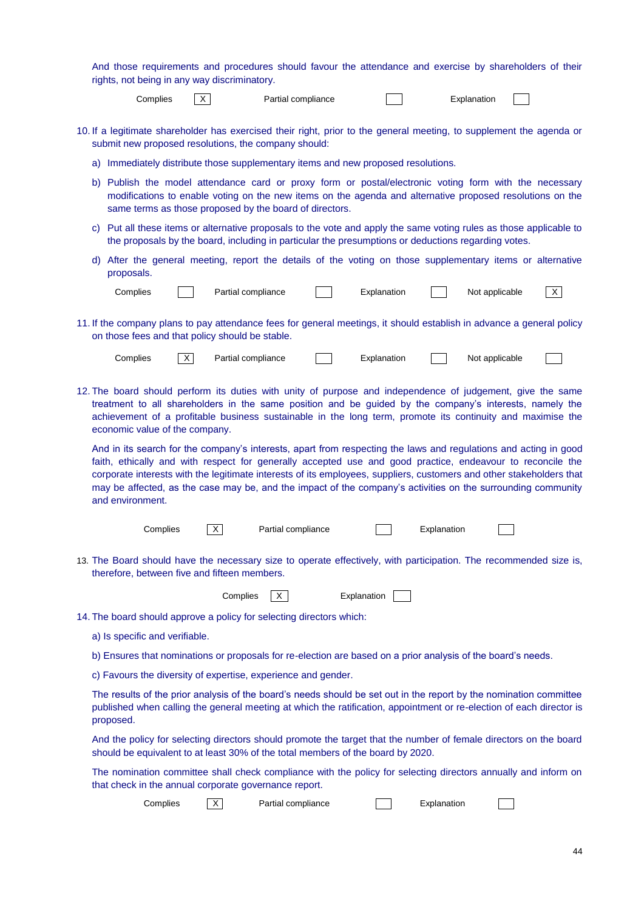|    |                                                                                                                                                                                                                                                                                                                                                                                                                                                                                            |                                |          | rights, not being in any way discriminatory.    |                                                                      |  | And those requirements and procedures should favour the attendance and exercise by shareholders of their                                                                                                                                   |             |                |  |              |
|----|--------------------------------------------------------------------------------------------------------------------------------------------------------------------------------------------------------------------------------------------------------------------------------------------------------------------------------------------------------------------------------------------------------------------------------------------------------------------------------------------|--------------------------------|----------|-------------------------------------------------|----------------------------------------------------------------------|--|--------------------------------------------------------------------------------------------------------------------------------------------------------------------------------------------------------------------------------------------|-------------|----------------|--|--------------|
|    |                                                                                                                                                                                                                                                                                                                                                                                                                                                                                            | Complies                       | X        |                                                 | Partial compliance                                                   |  |                                                                                                                                                                                                                                            |             | Explanation    |  |              |
|    |                                                                                                                                                                                                                                                                                                                                                                                                                                                                                            |                                |          |                                                 | submit new proposed resolutions, the company should:                 |  | 10. If a legitimate shareholder has exercised their right, prior to the general meeting, to supplement the agenda or                                                                                                                       |             |                |  |              |
| a) |                                                                                                                                                                                                                                                                                                                                                                                                                                                                                            |                                |          |                                                 |                                                                      |  | Immediately distribute those supplementary items and new proposed resolutions.                                                                                                                                                             |             |                |  |              |
|    | b) Publish the model attendance card or proxy form or postal/electronic voting form with the necessary<br>modifications to enable voting on the new items on the agenda and alternative proposed resolutions on the<br>same terms as those proposed by the board of directors.                                                                                                                                                                                                             |                                |          |                                                 |                                                                      |  |                                                                                                                                                                                                                                            |             |                |  |              |
|    | c) Put all these items or alternative proposals to the vote and apply the same voting rules as those applicable to<br>the proposals by the board, including in particular the presumptions or deductions regarding votes.                                                                                                                                                                                                                                                                  |                                |          |                                                 |                                                                      |  |                                                                                                                                                                                                                                            |             |                |  |              |
|    | proposals.                                                                                                                                                                                                                                                                                                                                                                                                                                                                                 |                                |          |                                                 |                                                                      |  | d) After the general meeting, report the details of the voting on those supplementary items or alternative                                                                                                                                 |             |                |  |              |
|    |                                                                                                                                                                                                                                                                                                                                                                                                                                                                                            | Complies                       |          | Partial compliance                              |                                                                      |  | Explanation                                                                                                                                                                                                                                |             | Not applicable |  | $\mathsf{X}$ |
|    |                                                                                                                                                                                                                                                                                                                                                                                                                                                                                            |                                |          | on those fees and that policy should be stable. |                                                                      |  | 11. If the company plans to pay attendance fees for general meetings, it should establish in advance a general policy                                                                                                                      |             |                |  |              |
|    |                                                                                                                                                                                                                                                                                                                                                                                                                                                                                            | Complies                       | $\times$ | Partial compliance                              |                                                                      |  | Explanation                                                                                                                                                                                                                                |             | Not applicable |  |              |
|    | 12. The board should perform its duties with unity of purpose and independence of judgement, give the same<br>treatment to all shareholders in the same position and be guided by the company's interests, namely the<br>achievement of a profitable business sustainable in the long term, promote its continuity and maximise the<br>economic value of the company.                                                                                                                      |                                |          |                                                 |                                                                      |  |                                                                                                                                                                                                                                            |             |                |  |              |
|    | And in its search for the company's interests, apart from respecting the laws and regulations and acting in good<br>faith, ethically and with respect for generally accepted use and good practice, endeavour to reconcile the<br>corporate interests with the legitimate interests of its employees, suppliers, customers and other stakeholders that<br>may be affected, as the case may be, and the impact of the company's activities on the surrounding community<br>and environment. |                                |          |                                                 |                                                                      |  |                                                                                                                                                                                                                                            |             |                |  |              |
|    |                                                                                                                                                                                                                                                                                                                                                                                                                                                                                            | Complies                       |          | X                                               | Partial compliance                                                   |  |                                                                                                                                                                                                                                            | Explanation |                |  |              |
|    |                                                                                                                                                                                                                                                                                                                                                                                                                                                                                            |                                |          | therefore, between five and fifteen members.    |                                                                      |  | 13. The Board should have the necessary size to operate effectively, with participation. The recommended size is,                                                                                                                          |             |                |  |              |
|    |                                                                                                                                                                                                                                                                                                                                                                                                                                                                                            |                                |          | Complies                                        | $\times$                                                             |  | Explanation                                                                                                                                                                                                                                |             |                |  |              |
|    |                                                                                                                                                                                                                                                                                                                                                                                                                                                                                            |                                |          |                                                 | 14. The board should approve a policy for selecting directors which: |  |                                                                                                                                                                                                                                            |             |                |  |              |
|    |                                                                                                                                                                                                                                                                                                                                                                                                                                                                                            | a) Is specific and verifiable. |          |                                                 |                                                                      |  |                                                                                                                                                                                                                                            |             |                |  |              |
|    |                                                                                                                                                                                                                                                                                                                                                                                                                                                                                            |                                |          |                                                 |                                                                      |  | b) Ensures that nominations or proposals for re-election are based on a prior analysis of the board's needs.                                                                                                                               |             |                |  |              |
|    |                                                                                                                                                                                                                                                                                                                                                                                                                                                                                            |                                |          |                                                 | c) Favours the diversity of expertise, experience and gender.        |  |                                                                                                                                                                                                                                            |             |                |  |              |
|    | proposed.                                                                                                                                                                                                                                                                                                                                                                                                                                                                                  |                                |          |                                                 |                                                                      |  | The results of the prior analysis of the board's needs should be set out in the report by the nomination committee<br>published when calling the general meeting at which the ratification, appointment or re-election of each director is |             |                |  |              |
|    |                                                                                                                                                                                                                                                                                                                                                                                                                                                                                            |                                |          |                                                 |                                                                      |  | And the policy for selecting directors should promote the target that the number of female directors on the board<br>should be equivalent to at least 30% of the total members of the board by 2020.                                       |             |                |  |              |
|    |                                                                                                                                                                                                                                                                                                                                                                                                                                                                                            |                                |          |                                                 | that check in the annual corporate governance report.                |  | The nomination committee shall check compliance with the policy for selecting directors annually and inform on                                                                                                                             |             |                |  |              |
|    |                                                                                                                                                                                                                                                                                                                                                                                                                                                                                            | Complies                       |          | X.                                              | Partial compliance                                                   |  |                                                                                                                                                                                                                                            | Explanation |                |  |              |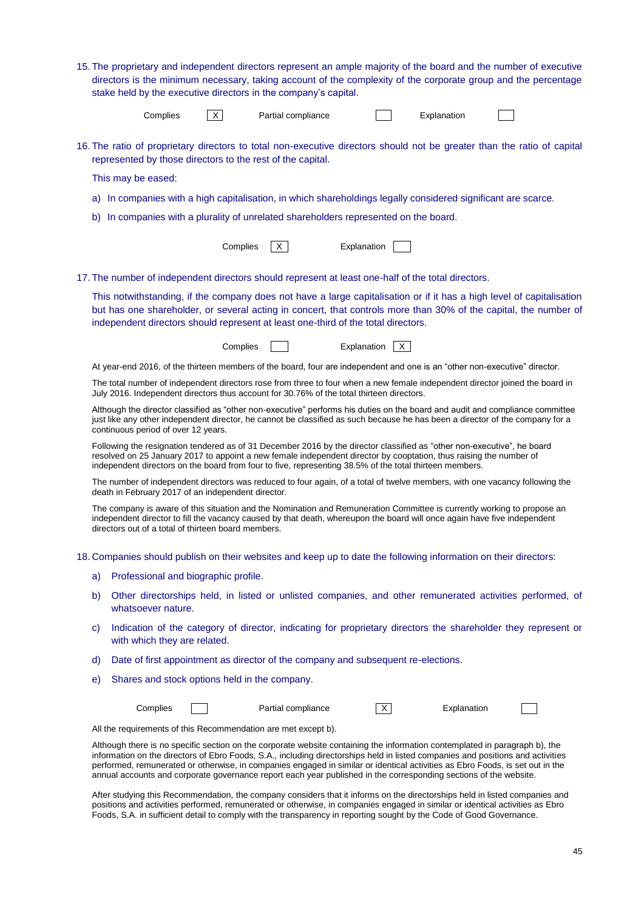|    | 15. The proprietary and independent directors represent an ample majority of the board and the number of executive<br>directors is the minimum necessary, taking account of the complexity of the corporate group and the percentage<br>stake held by the executive directors in the company's capital. |          |                                                                                                                                                                                                                                                                                                                                                                                                                                                                                                                      |             |                |             |  |  |  |
|----|---------------------------------------------------------------------------------------------------------------------------------------------------------------------------------------------------------------------------------------------------------------------------------------------------------|----------|----------------------------------------------------------------------------------------------------------------------------------------------------------------------------------------------------------------------------------------------------------------------------------------------------------------------------------------------------------------------------------------------------------------------------------------------------------------------------------------------------------------------|-------------|----------------|-------------|--|--|--|
|    | Complies                                                                                                                                                                                                                                                                                                | X        | Partial compliance                                                                                                                                                                                                                                                                                                                                                                                                                                                                                                   |             |                | Explanation |  |  |  |
|    |                                                                                                                                                                                                                                                                                                         |          | 16. The ratio of proprietary directors to total non-executive directors should not be greater than the ratio of capital<br>represented by those directors to the rest of the capital.                                                                                                                                                                                                                                                                                                                                |             |                |             |  |  |  |
|    | This may be eased:                                                                                                                                                                                                                                                                                      |          |                                                                                                                                                                                                                                                                                                                                                                                                                                                                                                                      |             |                |             |  |  |  |
| a) |                                                                                                                                                                                                                                                                                                         |          | In companies with a high capitalisation, in which shareholdings legally considered significant are scarce.                                                                                                                                                                                                                                                                                                                                                                                                           |             |                |             |  |  |  |
| b) |                                                                                                                                                                                                                                                                                                         |          | In companies with a plurality of unrelated shareholders represented on the board.                                                                                                                                                                                                                                                                                                                                                                                                                                    |             |                |             |  |  |  |
|    |                                                                                                                                                                                                                                                                                                         | Complies | X.                                                                                                                                                                                                                                                                                                                                                                                                                                                                                                                   | Explanation |                |             |  |  |  |
|    |                                                                                                                                                                                                                                                                                                         |          | 17. The number of independent directors should represent at least one-half of the total directors.                                                                                                                                                                                                                                                                                                                                                                                                                   |             |                |             |  |  |  |
|    |                                                                                                                                                                                                                                                                                                         |          | This notwithstanding, if the company does not have a large capitalisation or if it has a high level of capitalisation<br>but has one shareholder, or several acting in concert, that controls more than 30% of the capital, the number of<br>independent directors should represent at least one-third of the total directors.                                                                                                                                                                                       |             |                |             |  |  |  |
|    |                                                                                                                                                                                                                                                                                                         | Complies |                                                                                                                                                                                                                                                                                                                                                                                                                                                                                                                      | Explanation | X.             |             |  |  |  |
|    |                                                                                                                                                                                                                                                                                                         |          | At year-end 2016, of the thirteen members of the board, four are independent and one is an "other non-executive" director.                                                                                                                                                                                                                                                                                                                                                                                           |             |                |             |  |  |  |
|    |                                                                                                                                                                                                                                                                                                         |          | The total number of independent directors rose from three to four when a new female independent director joined the board in<br>July 2016. Independent directors thus account for 30.76% of the total thirteen directors.                                                                                                                                                                                                                                                                                            |             |                |             |  |  |  |
|    | Although the director classified as "other non-executive" performs his duties on the board and audit and compliance committee<br>just like any other independent director, he cannot be classified as such because he has been a director of the company for a<br>continuous period of over 12 years.   |          |                                                                                                                                                                                                                                                                                                                                                                                                                                                                                                                      |             |                |             |  |  |  |
|    |                                                                                                                                                                                                                                                                                                         |          | Following the resignation tendered as of 31 December 2016 by the director classified as "other non-executive", he board<br>resolved on 25 January 2017 to appoint a new female independent director by cooptation, thus raising the number of<br>independent directors on the board from four to five, representing 38.5% of the total thirteen members.                                                                                                                                                             |             |                |             |  |  |  |
|    | death in February 2017 of an independent director.                                                                                                                                                                                                                                                      |          | The number of independent directors was reduced to four again, of a total of twelve members, with one vacancy following the                                                                                                                                                                                                                                                                                                                                                                                          |             |                |             |  |  |  |
|    | directors out of a total of thirteen board members.                                                                                                                                                                                                                                                     |          | The company is aware of this situation and the Nomination and Remuneration Committee is currently working to propose an<br>independent director to fill the vacancy caused by that death, whereupon the board will once again have five independent                                                                                                                                                                                                                                                                  |             |                |             |  |  |  |
|    |                                                                                                                                                                                                                                                                                                         |          | 18. Companies should publish on their websites and keep up to date the following information on their directors:                                                                                                                                                                                                                                                                                                                                                                                                     |             |                |             |  |  |  |
| a) | Professional and biographic profile.                                                                                                                                                                                                                                                                    |          |                                                                                                                                                                                                                                                                                                                                                                                                                                                                                                                      |             |                |             |  |  |  |
| b) | whatsoever nature.                                                                                                                                                                                                                                                                                      |          | Other directorships held, in listed or unlisted companies, and other remunerated activities performed, of                                                                                                                                                                                                                                                                                                                                                                                                            |             |                |             |  |  |  |
| C) | with which they are related.                                                                                                                                                                                                                                                                            |          | Indication of the category of director, indicating for proprietary directors the shareholder they represent or                                                                                                                                                                                                                                                                                                                                                                                                       |             |                |             |  |  |  |
| d) |                                                                                                                                                                                                                                                                                                         |          | Date of first appointment as director of the company and subsequent re-elections.                                                                                                                                                                                                                                                                                                                                                                                                                                    |             |                |             |  |  |  |
| e) | Shares and stock options held in the company.                                                                                                                                                                                                                                                           |          |                                                                                                                                                                                                                                                                                                                                                                                                                                                                                                                      |             |                |             |  |  |  |
|    | Complies                                                                                                                                                                                                                                                                                                |          | Partial compliance                                                                                                                                                                                                                                                                                                                                                                                                                                                                                                   |             | $\overline{X}$ | Explanation |  |  |  |
|    |                                                                                                                                                                                                                                                                                                         |          | All the requirements of this Recommendation are met except b).                                                                                                                                                                                                                                                                                                                                                                                                                                                       |             |                |             |  |  |  |
|    |                                                                                                                                                                                                                                                                                                         |          | Although there is no specific section on the corporate website containing the information contemplated in paragraph b), the<br>information on the directors of Ebro Foods, S.A., including directorships held in listed companies and positions and activities<br>performed, remunerated or otherwise, in companies engaged in similar or identical activities as Ebro Foods, is set out in the<br>annual accounts and corporate governance report each year published in the corresponding sections of the website. |             |                |             |  |  |  |
|    |                                                                                                                                                                                                                                                                                                         |          | After studying this Recommendation, the company considers that it informs on the directorships held in listed companies and<br>positions and activities performed, remunerated or otherwise, in companies engaged in similar or identical activities as Ebro                                                                                                                                                                                                                                                         |             |                |             |  |  |  |

Foods, S.A. in sufficient detail to comply with the transparency in reporting sought by the Code of Good Governance.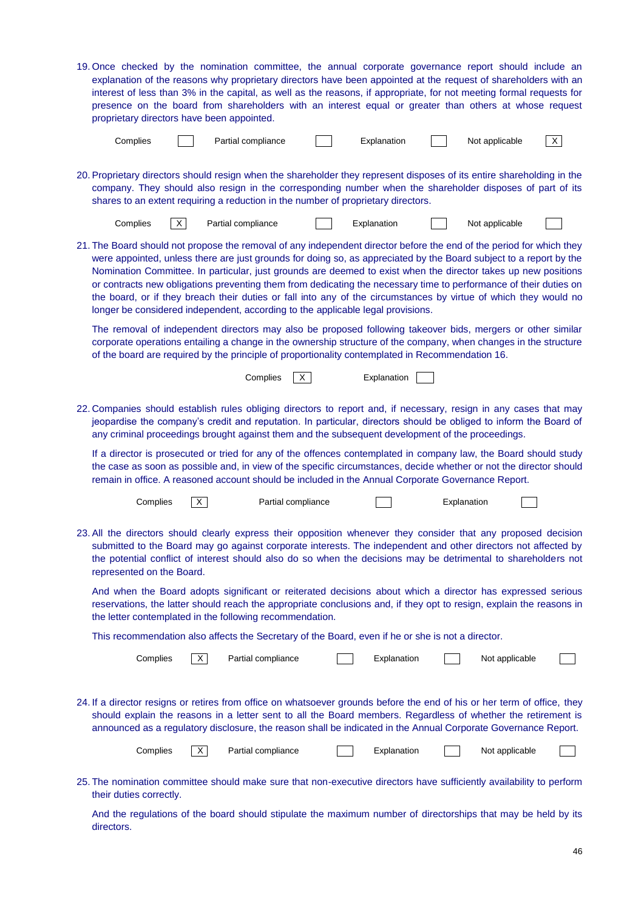| 19. Once checked by the nomination committee, the annual corporate governance report should include an<br>explanation of the reasons why proprietary directors have been appointed at the request of shareholders with an<br>interest of less than 3% in the capital, as well as the reasons, if appropriate, for not meeting formal requests for<br>presence on the board from shareholders with an interest equal or greater than others at whose request<br>proprietary directors have been appointed.                                                                                                                                                                                |    |          |                    |   |             |             |                |          |
|------------------------------------------------------------------------------------------------------------------------------------------------------------------------------------------------------------------------------------------------------------------------------------------------------------------------------------------------------------------------------------------------------------------------------------------------------------------------------------------------------------------------------------------------------------------------------------------------------------------------------------------------------------------------------------------|----|----------|--------------------|---|-------------|-------------|----------------|----------|
| Complies                                                                                                                                                                                                                                                                                                                                                                                                                                                                                                                                                                                                                                                                                 |    |          | Partial compliance |   | Explanation |             | Not applicable | $\times$ |
| 20. Proprietary directors should resign when the shareholder they represent disposes of its entire shareholding in the<br>company. They should also resign in the corresponding number when the shareholder disposes of part of its<br>shares to an extent requiring a reduction in the number of proprietary directors.                                                                                                                                                                                                                                                                                                                                                                 |    |          |                    |   |             |             |                |          |
| Complies                                                                                                                                                                                                                                                                                                                                                                                                                                                                                                                                                                                                                                                                                 | X. |          | Partial compliance |   | Explanation |             | Not applicable |          |
| 21. The Board should not propose the removal of any independent director before the end of the period for which they<br>were appointed, unless there are just grounds for doing so, as appreciated by the Board subject to a report by the<br>Nomination Committee. In particular, just grounds are deemed to exist when the director takes up new positions<br>or contracts new obligations preventing them from dedicating the necessary time to performance of their duties on<br>the board, or if they breach their duties or fall into any of the circumstances by virtue of which they would no<br>longer be considered independent, according to the applicable legal provisions. |    |          |                    |   |             |             |                |          |
| The removal of independent directors may also be proposed following takeover bids, mergers or other similar<br>corporate operations entailing a change in the ownership structure of the company, when changes in the structure<br>of the board are required by the principle of proportionality contemplated in Recommendation 16.                                                                                                                                                                                                                                                                                                                                                      |    |          |                    |   |             |             |                |          |
|                                                                                                                                                                                                                                                                                                                                                                                                                                                                                                                                                                                                                                                                                          |    |          | Complies           | X | Explanation |             |                |          |
| 22. Companies should establish rules obliging directors to report and, if necessary, resign in any cases that may<br>jeopardise the company's credit and reputation. In particular, directors should be obliged to inform the Board of<br>any criminal proceedings brought against them and the subsequent development of the proceedings.                                                                                                                                                                                                                                                                                                                                               |    |          |                    |   |             |             |                |          |
| If a director is prosecuted or tried for any of the offences contemplated in company law, the Board should study<br>the case as soon as possible and, in view of the specific circumstances, decide whether or not the director should<br>remain in office. A reasoned account should be included in the Annual Corporate Governance Report.                                                                                                                                                                                                                                                                                                                                             |    |          |                    |   |             |             |                |          |
| Complies                                                                                                                                                                                                                                                                                                                                                                                                                                                                                                                                                                                                                                                                                 |    | X        | Partial compliance |   |             | Explanation |                |          |
| 23. All the directors should clearly express their opposition whenever they consider that any proposed decision<br>submitted to the Board may go against corporate interests. The independent and other directors not affected by<br>the potential conflict of interest should also do so when the decisions may be detrimental to shareholders not<br>represented on the Board.                                                                                                                                                                                                                                                                                                         |    |          |                    |   |             |             |                |          |
| And when the Board adopts significant or reiterated decisions about which a director has expressed serious<br>reservations, the latter should reach the appropriate conclusions and, if they opt to resign, explain the reasons in<br>the letter contemplated in the following recommendation.                                                                                                                                                                                                                                                                                                                                                                                           |    |          |                    |   |             |             |                |          |
| This recommendation also affects the Secretary of the Board, even if he or she is not a director.                                                                                                                                                                                                                                                                                                                                                                                                                                                                                                                                                                                        |    |          |                    |   |             |             |                |          |
| Complies                                                                                                                                                                                                                                                                                                                                                                                                                                                                                                                                                                                                                                                                                 |    | $\times$ | Partial compliance |   | Explanation |             | Not applicable |          |
| 24. If a director resigns or retires from office on whatsoever grounds before the end of his or her term of office, they<br>should explain the reasons in a letter sent to all the Board members. Regardless of whether the retirement is<br>announced as a regulatory disclosure, the reason shall be indicated in the Annual Corporate Governance Report.                                                                                                                                                                                                                                                                                                                              |    |          |                    |   |             |             |                |          |
| Complies                                                                                                                                                                                                                                                                                                                                                                                                                                                                                                                                                                                                                                                                                 |    | $\times$ | Partial compliance |   | Explanation |             | Not applicable |          |
| 25. The nomination committee should make sure that non-executive directors have sufficiently availability to perform<br>their duties correctly.                                                                                                                                                                                                                                                                                                                                                                                                                                                                                                                                          |    |          |                    |   |             |             |                |          |

And the regulations of the board should stipulate the maximum number of directorships that may be held by its directors.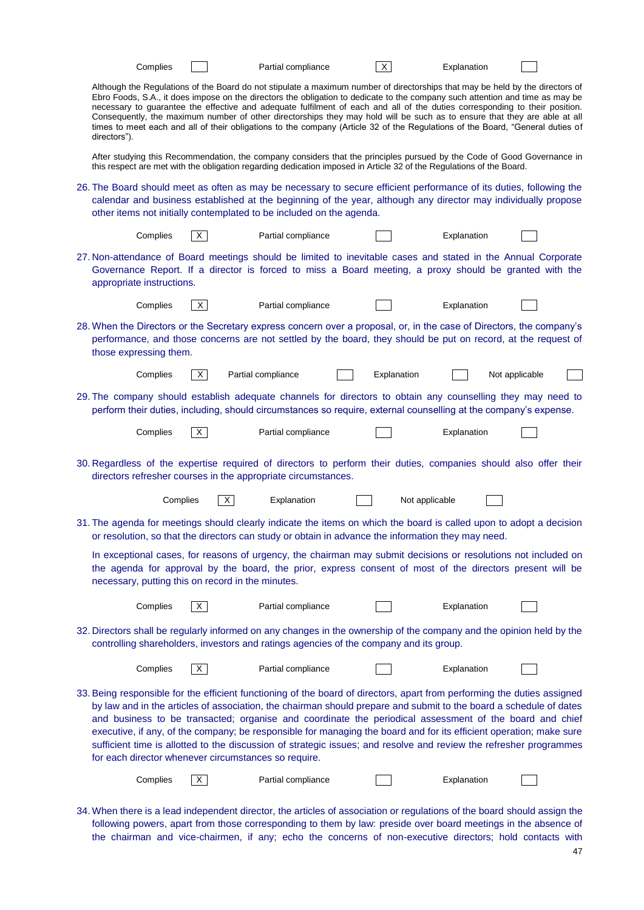|              | Complies                                                                                                                                                                                                                                             |                                                   | Partial compliance                                                   | $\times$                                                                                                                                                                                                                                                                                                                                                                                                                                                                                                                                                                                                                                                     | Explanation |                |  |  |  |  |
|--------------|------------------------------------------------------------------------------------------------------------------------------------------------------------------------------------------------------------------------------------------------------|---------------------------------------------------|----------------------------------------------------------------------|--------------------------------------------------------------------------------------------------------------------------------------------------------------------------------------------------------------------------------------------------------------------------------------------------------------------------------------------------------------------------------------------------------------------------------------------------------------------------------------------------------------------------------------------------------------------------------------------------------------------------------------------------------------|-------------|----------------|--|--|--|--|
| directors"). |                                                                                                                                                                                                                                                      |                                                   |                                                                      | Although the Regulations of the Board do not stipulate a maximum number of directorships that may be held by the directors of<br>Ebro Foods, S.A., it does impose on the directors the obligation to dedicate to the company such attention and time as may be<br>necessary to guarantee the effective and adequate fulfilment of each and all of the duties corresponding to their position.<br>Consequently, the maximum number of other directorships they may hold will be such as to ensure that they are able at all<br>times to meet each and all of their obligations to the company (Article 32 of the Regulations of the Board, "General duties of |             |                |  |  |  |  |
|              |                                                                                                                                                                                                                                                      |                                                   |                                                                      | After studying this Recommendation, the company considers that the principles pursued by the Code of Good Governance in<br>this respect are met with the obligation regarding dedication imposed in Article 32 of the Regulations of the Board.                                                                                                                                                                                                                                                                                                                                                                                                              |             |                |  |  |  |  |
|              |                                                                                                                                                                                                                                                      |                                                   | other items not initially contemplated to be included on the agenda. | 26. The Board should meet as often as may be necessary to secure efficient performance of its duties, following the<br>calendar and business established at the beginning of the year, although any director may individually propose                                                                                                                                                                                                                                                                                                                                                                                                                        |             |                |  |  |  |  |
|              | Complies                                                                                                                                                                                                                                             | X                                                 | Partial compliance                                                   |                                                                                                                                                                                                                                                                                                                                                                                                                                                                                                                                                                                                                                                              | Explanation |                |  |  |  |  |
|              | 27. Non-attendance of Board meetings should be limited to inevitable cases and stated in the Annual Corporate<br>Governance Report. If a director is forced to miss a Board meeting, a proxy should be granted with the<br>appropriate instructions. |                                                   |                                                                      |                                                                                                                                                                                                                                                                                                                                                                                                                                                                                                                                                                                                                                                              |             |                |  |  |  |  |
|              | Complies                                                                                                                                                                                                                                             | $\mathsf{X}$                                      | Partial compliance                                                   |                                                                                                                                                                                                                                                                                                                                                                                                                                                                                                                                                                                                                                                              | Explanation |                |  |  |  |  |
|              | those expressing them.                                                                                                                                                                                                                               |                                                   |                                                                      | 28. When the Directors or the Secretary express concern over a proposal, or, in the case of Directors, the company's<br>performance, and those concerns are not settled by the board, they should be put on record, at the request of                                                                                                                                                                                                                                                                                                                                                                                                                        |             |                |  |  |  |  |
|              | Complies                                                                                                                                                                                                                                             | X                                                 | Partial compliance                                                   | Explanation                                                                                                                                                                                                                                                                                                                                                                                                                                                                                                                                                                                                                                                  |             | Not applicable |  |  |  |  |
|              |                                                                                                                                                                                                                                                      |                                                   |                                                                      | 29. The company should establish adequate channels for directors to obtain any counselling they may need to<br>perform their duties, including, should circumstances so require, external counselling at the company's expense.                                                                                                                                                                                                                                                                                                                                                                                                                              |             |                |  |  |  |  |
|              | Complies                                                                                                                                                                                                                                             | $\mathsf{X}$                                      | Partial compliance                                                   |                                                                                                                                                                                                                                                                                                                                                                                                                                                                                                                                                                                                                                                              | Explanation |                |  |  |  |  |
|              |                                                                                                                                                                                                                                                      |                                                   | directors refresher courses in the appropriate circumstances.        | 30. Regardless of the expertise required of directors to perform their duties, companies should also offer their                                                                                                                                                                                                                                                                                                                                                                                                                                                                                                                                             |             |                |  |  |  |  |
|              | Complies                                                                                                                                                                                                                                             | X                                                 | Explanation                                                          | Not applicable                                                                                                                                                                                                                                                                                                                                                                                                                                                                                                                                                                                                                                               |             |                |  |  |  |  |
|              |                                                                                                                                                                                                                                                      |                                                   |                                                                      | 31. The agenda for meetings should clearly indicate the items on which the board is called upon to adopt a decision<br>or resolution, so that the directors can study or obtain in advance the information they may need.                                                                                                                                                                                                                                                                                                                                                                                                                                    |             |                |  |  |  |  |
|              |                                                                                                                                                                                                                                                      | necessary, putting this on record in the minutes. |                                                                      | In exceptional cases, for reasons of urgency, the chairman may submit decisions or resolutions not included on<br>the agenda for approval by the board, the prior, express consent of most of the directors present will be                                                                                                                                                                                                                                                                                                                                                                                                                                  |             |                |  |  |  |  |
|              | Complies                                                                                                                                                                                                                                             | X                                                 | Partial compliance                                                   |                                                                                                                                                                                                                                                                                                                                                                                                                                                                                                                                                                                                                                                              | Explanation |                |  |  |  |  |
|              |                                                                                                                                                                                                                                                      |                                                   |                                                                      | 32. Directors shall be regularly informed on any changes in the ownership of the company and the opinion held by the<br>controlling shareholders, investors and ratings agencies of the company and its group.                                                                                                                                                                                                                                                                                                                                                                                                                                               |             |                |  |  |  |  |
|              | Complies                                                                                                                                                                                                                                             | X                                                 | Partial compliance                                                   |                                                                                                                                                                                                                                                                                                                                                                                                                                                                                                                                                                                                                                                              | Explanation |                |  |  |  |  |
|              |                                                                                                                                                                                                                                                      |                                                   | for each director whenever circumstances so require.                 | 33. Being responsible for the efficient functioning of the board of directors, apart from performing the duties assigned<br>by law and in the articles of association, the chairman should prepare and submit to the board a schedule of dates<br>and business to be transacted; organise and coordinate the periodical assessment of the board and chief<br>executive, if any, of the company; be responsible for managing the board and for its efficient operation; make sure<br>sufficient time is allotted to the discussion of strategic issues; and resolve and review the refresher programmes                                                       |             |                |  |  |  |  |
|              | Complies                                                                                                                                                                                                                                             | X                                                 | Partial compliance                                                   |                                                                                                                                                                                                                                                                                                                                                                                                                                                                                                                                                                                                                                                              | Explanation |                |  |  |  |  |

34. When there is a lead independent director, the articles of association or regulations of the board should assign the following powers, apart from those corresponding to them by law: preside over board meetings in the absence of the chairman and vice-chairmen, if any; echo the concerns of non-executive directors; hold contacts with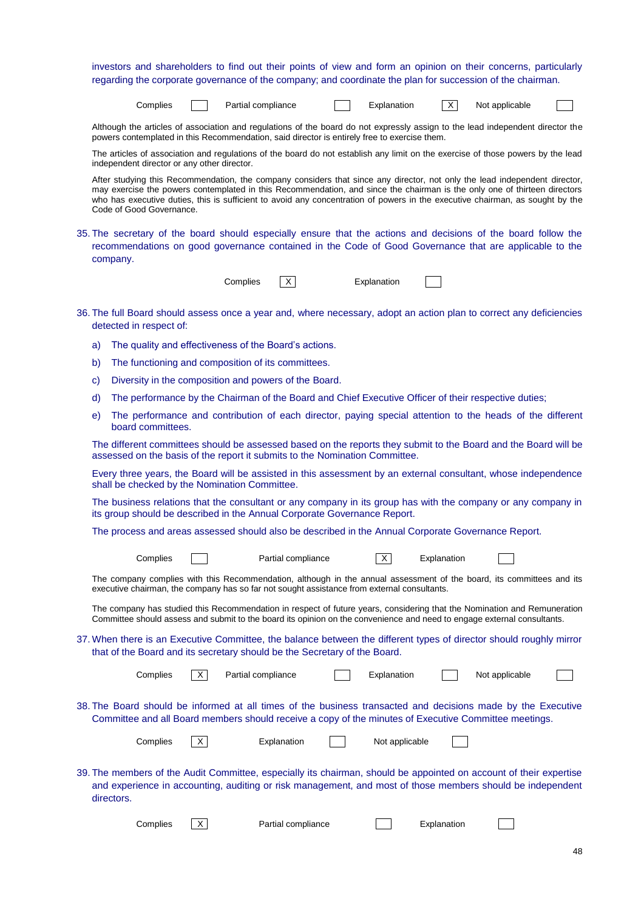investors and shareholders to find out their points of view and form an opinion on their concerns, particularly regarding the corporate governance of the company; and coordinate the plan for succession of the chairman.

| Complies |  | Partial compliance | Explanation |  |
|----------|--|--------------------|-------------|--|
|          |  |                    |             |  |

|  | ot applicable |  |
|--|---------------|--|
|--|---------------|--|

Although the articles of association and regulations of the board do not expressly assign to the lead independent director the powers contemplated in this Recommendation, said director is entirely free to exercise them.

The articles of association and regulations of the board do not establish any limit on the exercise of those powers by the lead independent director or any other director.

After studying this Recommendation, the company considers that since any director, not only the lead independent director, may exercise the powers contemplated in this Recommendation, and since the chairman is the only one of thirteen directors who has executive duties, this is sufficient to avoid any concentration of powers in the executive chairman, as sought by the Code of Good Governance.

35. The secretary of the board should especially ensure that the actions and decisions of the board follow the recommendations on good governance contained in the Code of Good Governance that are applicable to the company.

| Complies |  |
|----------|--|

X Explanation

- 36. The full Board should assess once a year and, where necessary, adopt an action plan to correct any deficiencies detected in respect of:
	- a) The quality and effectiveness of the Board's actions.
	- b) The functioning and composition of its committees.
	- c) Diversity in the composition and powers of the Board.
	- d) The performance by the Chairman of the Board and Chief Executive Officer of their respective duties;
	- e) The performance and contribution of each director, paying special attention to the heads of the different board committees.

The different committees should be assessed based on the reports they submit to the Board and the Board will be assessed on the basis of the report it submits to the Nomination Committee.

Every three years, the Board will be assisted in this assessment by an external consultant, whose independence shall be checked by the Nomination Committee.

The business relations that the consultant or any company in its group has with the company or any company in its group should be described in the Annual Corporate Governance Report.

The process and areas assessed should also be described in the Annual Corporate Governance Report.

| Complies                                                                                                                                                                                                              |   | Partial compliance                                                                                                                                                                                                                                  |  | $\times$       | Explanation |                |  |  |  |
|-----------------------------------------------------------------------------------------------------------------------------------------------------------------------------------------------------------------------|---|-----------------------------------------------------------------------------------------------------------------------------------------------------------------------------------------------------------------------------------------------------|--|----------------|-------------|----------------|--|--|--|
|                                                                                                                                                                                                                       |   | The company complies with this Recommendation, although in the annual assessment of the board, its committees and its<br>executive chairman, the company has so far not sought assistance from external consultants.                                |  |                |             |                |  |  |  |
|                                                                                                                                                                                                                       |   | The company has studied this Recommendation in respect of future years, considering that the Nomination and Remuneration<br>Committee should assess and submit to the board its opinion on the convenience and need to engage external consultants. |  |                |             |                |  |  |  |
|                                                                                                                                                                                                                       |   | 37. When there is an Executive Committee, the balance between the different types of director should roughly mirror<br>that of the Board and its secretary should be the Secretary of the Board.                                                    |  |                |             |                |  |  |  |
| Complies                                                                                                                                                                                                              | X | Partial compliance                                                                                                                                                                                                                                  |  | Explanation    |             | Not applicable |  |  |  |
| 38. The Board should be informed at all times of the business transacted and decisions made by the Executive<br>Committee and all Board members should receive a copy of the minutes of Executive Committee meetings. |   |                                                                                                                                                                                                                                                     |  |                |             |                |  |  |  |
| Complies                                                                                                                                                                                                              | X | Explanation                                                                                                                                                                                                                                         |  | Not applicable |             |                |  |  |  |
| directors.                                                                                                                                                                                                            |   | 39. The members of the Audit Committee, especially its chairman, should be appointed on account of their expertise<br>and experience in accounting, auditing or risk management, and most of those members should be independent                    |  |                |             |                |  |  |  |
| Complies                                                                                                                                                                                                              | X | Partial compliance                                                                                                                                                                                                                                  |  |                | Explanation |                |  |  |  |
|                                                                                                                                                                                                                       |   |                                                                                                                                                                                                                                                     |  |                |             |                |  |  |  |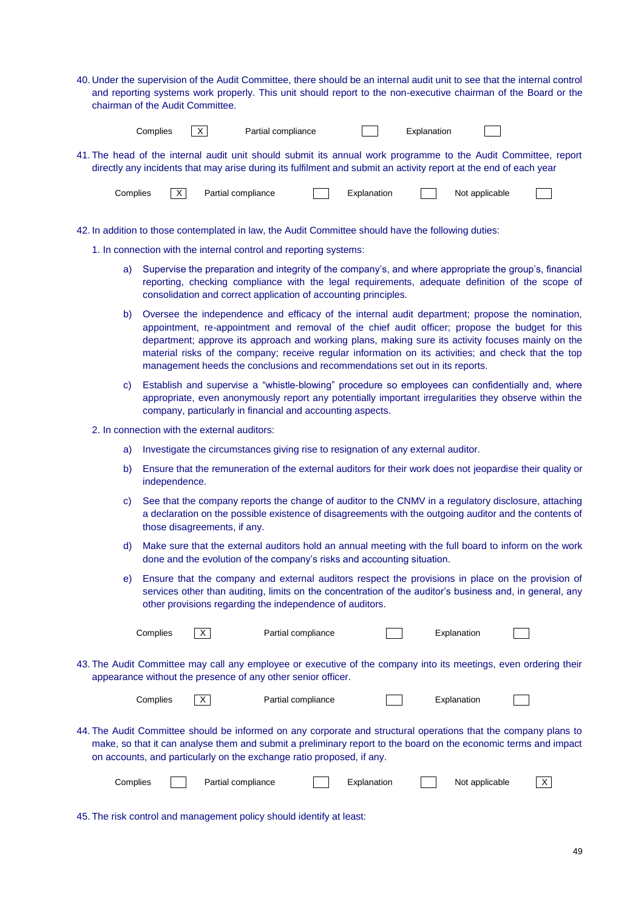40. Under the supervision of the Audit Committee, there should be an internal audit unit to see that the internal control and reporting systems work properly. This unit should report to the non-executive chairman of the Board or the chairman of the Audit Committee.

| Complies |  |
|----------|--|

 $\boxed{\times}$  Partial compliance  $\boxed{\phantom{0}}$  Explanation

 $\mathbb{R}^n$ 

41. The head of the internal audit unit should submit its annual work programme to the Audit Committee, report directly any incidents that may arise during its fulfilment and submit an activity report at the end of each year

| Complies | $\vee$ | Partial compliance |  | olanation: |  | applicable<br>Not |  |
|----------|--------|--------------------|--|------------|--|-------------------|--|
|----------|--------|--------------------|--|------------|--|-------------------|--|

- 42. In addition to those contemplated in law, the Audit Committee should have the following duties:
	- 1. In connection with the internal control and reporting systems:
		- a) Supervise the preparation and integrity of the company's, and where appropriate the group's, financial reporting, checking compliance with the legal requirements, adequate definition of the scope of consolidation and correct application of accounting principles.
		- b) Oversee the independence and efficacy of the internal audit department; propose the nomination, appointment, re-appointment and removal of the chief audit officer; propose the budget for this department; approve its approach and working plans, making sure its activity focuses mainly on the material risks of the company; receive regular information on its activities; and check that the top management heeds the conclusions and recommendations set out in its reports.
		- c) Establish and supervise a "whistle-blowing" procedure so employees can confidentially and, where appropriate, even anonymously report any potentially important irregularities they observe within the company, particularly in financial and accounting aspects.
	- 2. In connection with the external auditors:
		- a) Investigate the circumstances giving rise to resignation of any external auditor.
		- b) Ensure that the remuneration of the external auditors for their work does not jeopardise their quality or independence.
		- c) See that the company reports the change of auditor to the CNMV in a regulatory disclosure, attaching a declaration on the possible existence of disagreements with the outgoing auditor and the contents of those disagreements, if any.
		- d) Make sure that the external auditors hold an annual meeting with the full board to inform on the work done and the evolution of the company's risks and accounting situation.
		- e) Ensure that the company and external auditors respect the provisions in place on the provision of services other than auditing, limits on the concentration of the auditor's business and, in general, any other provisions regarding the independence of auditors.

| Complies | X                  | Partial compliance                                                                                                                                                                                                                                                                                          |             | Explanation    |  |
|----------|--------------------|-------------------------------------------------------------------------------------------------------------------------------------------------------------------------------------------------------------------------------------------------------------------------------------------------------------|-------------|----------------|--|
|          |                    | 43. The Audit Committee may call any employee or executive of the company into its meetings, even ordering their<br>appearance without the presence of any other senior officer.                                                                                                                            |             |                |  |
| Complies | X                  | Partial compliance                                                                                                                                                                                                                                                                                          |             | Explanation    |  |
|          |                    | 44. The Audit Committee should be informed on any corporate and structural operations that the company plans to<br>make, so that it can analyse them and submit a preliminary report to the board on the economic terms and impact<br>on accounts, and particularly on the exchange ratio proposed, if any. |             |                |  |
| Complies | Partial compliance |                                                                                                                                                                                                                                                                                                             | Explanation | Not applicable |  |

45. The risk control and management policy should identify at least: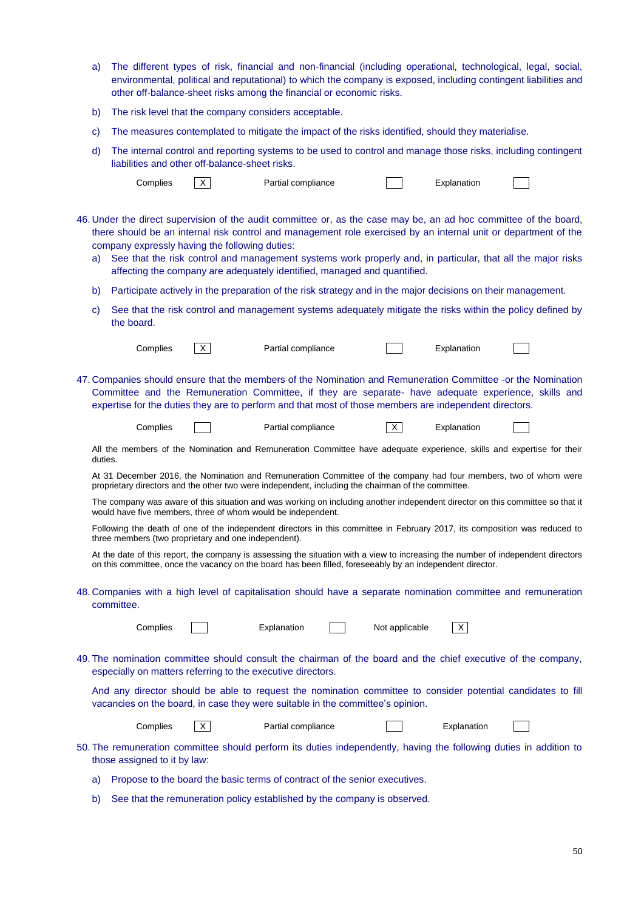- a) The different types of risk, financial and non-financial (including operational, technological, legal, social, environmental, political and reputational) to which the company is exposed, including contingent liabilities and other off-balance-sheet risks among the financial or economic risks.
- b) The risk level that the company considers acceptable.
- c) The measures contemplated to mitigate the impact of the risks identified, should they materialise.
- d) The internal control and reporting systems to be used to control and manage those risks, including contingent liabilities and other off-balance-sheet risks.

|         | Complies                                             | $\mathsf{X}$ | Partial compliance                                                                                                                                                                                                                                                                                                                                                                                                              |   | Explanation |  |
|---------|------------------------------------------------------|--------------|---------------------------------------------------------------------------------------------------------------------------------------------------------------------------------------------------------------------------------------------------------------------------------------------------------------------------------------------------------------------------------------------------------------------------------|---|-------------|--|
| a)      | company expressly having the following duties:       |              | 46. Under the direct supervision of the audit committee or, as the case may be, an ad hoc committee of the board,<br>there should be an internal risk control and management role exercised by an internal unit or department of the<br>See that the risk control and management systems work properly and, in particular, that all the major risks<br>affecting the company are adequately identified, managed and quantified. |   |             |  |
| b)      |                                                      |              | Participate actively in the preparation of the risk strategy and in the major decisions on their management.                                                                                                                                                                                                                                                                                                                    |   |             |  |
| C)      | the board.                                           |              | See that the risk control and management systems adequately mitigate the risks within the policy defined by                                                                                                                                                                                                                                                                                                                     |   |             |  |
|         | Complies                                             | $\mathsf{X}$ | Partial compliance                                                                                                                                                                                                                                                                                                                                                                                                              |   | Explanation |  |
|         |                                                      |              | 47. Companies should ensure that the members of the Nomination and Remuneration Committee -or the Nomination<br>Committee and the Remuneration Committee, if they are separate- have adequate experience, skills and<br>expertise for the duties they are to perform and that most of those members are independent directors.                                                                                                  |   |             |  |
|         | Complies                                             |              | Partial compliance                                                                                                                                                                                                                                                                                                                                                                                                              | X | Explanation |  |
| duties. |                                                      |              | All the members of the Nomination and Remuneration Committee have adequate experience, skills and expertise for their                                                                                                                                                                                                                                                                                                           |   |             |  |
|         |                                                      |              | At 31 December 2016, the Nomination and Remuneration Committee of the company had four members, two of whom were<br>proprietary directors and the other two were independent, including the chairman of the committee.                                                                                                                                                                                                          |   |             |  |
|         |                                                      |              | The company was aware of this situation and was working on including another independent director on this committee so that it<br>would have five members, three of whom would be independent.                                                                                                                                                                                                                                  |   |             |  |
|         | three members (two proprietary and one independent). |              | Following the death of one of the independent directors in this committee in February 2017, its composition was reduced to                                                                                                                                                                                                                                                                                                      |   |             |  |
|         |                                                      |              | At the date of this report, the company is assessing the situation with a view to increasing the number of independent directors<br>on this committee, once the vacancy on the board has been filled, foreseeably by an independent director.                                                                                                                                                                                   |   |             |  |

48. Companies with a high level of capitalisation should have a separate nomination committee and remuneration committee.

| lies | Explanation | Not applicable |
|------|-------------|----------------|

49. The nomination committee should consult the chairman of the board and the chief executive of the company, especially on matters referring to the executive directors.

And any director should be able to request the nomination committee to consider potential candidates to fill vacancies on the board, in case they were suitable in the committee's opinion.

| Complies |  |
|----------|--|
|----------|--|

X Partial compliance **Compliance** Explanation

- 50. The remuneration committee should perform its duties independently, having the following duties in addition to those assigned to it by law:
	- a) Propose to the board the basic terms of contract of the senior executives.
	- b) See that the remuneration policy established by the company is observed.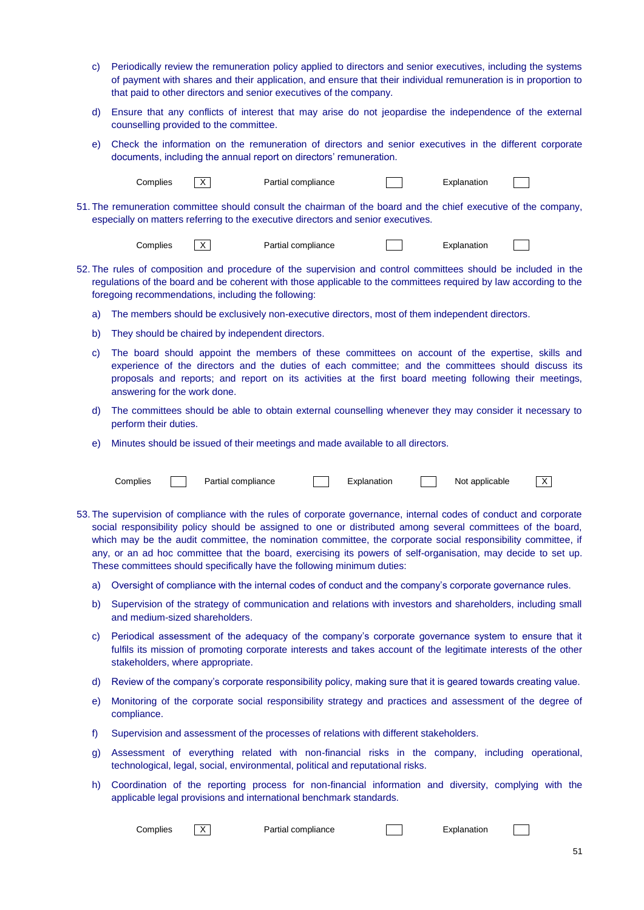- c) Periodically review the remuneration policy applied to directors and senior executives, including the systems of payment with shares and their application, and ensure that their individual remuneration is in proportion to that paid to other directors and senior executives of the company.
- d) Ensure that any conflicts of interest that may arise do not jeopardise the independence of the external counselling provided to the committee.
- e) Check the information on the remuneration of directors and senior executives in the different corporate documents, including the annual report on directors' remuneration.

Complies  $\boxed{X}$  Partial compliance  $\boxed{X}$  Explanation

51. The remuneration committee should consult the chairman of the board and the chief executive of the company, especially on matters referring to the executive directors and senior executives.

| Partial compliance<br>.cmplies<br>≟xplanatior |  |
|-----------------------------------------------|--|
|-----------------------------------------------|--|

- 52. The rules of composition and procedure of the supervision and control committees should be included in the regulations of the board and be coherent with those applicable to the committees required by law according to the foregoing recommendations, including the following:
	- a) The members should be exclusively non-executive directors, most of them independent directors.
	- b) They should be chaired by independent directors.
	- c) The board should appoint the members of these committees on account of the expertise, skills and experience of the directors and the duties of each committee; and the committees should discuss its proposals and reports; and report on its activities at the first board meeting following their meetings, answering for the work done.
	- d) The committees should be able to obtain external counselling whenever they may consider it necessary to perform their duties.
	- e) Minutes should be issued of their meetings and made available to all directors.

| `∩mnlie |  | compliance |  |  |  | applicable<br>N∩t |  |
|---------|--|------------|--|--|--|-------------------|--|
|---------|--|------------|--|--|--|-------------------|--|

- 53. The supervision of compliance with the rules of corporate governance, internal codes of conduct and corporate social responsibility policy should be assigned to one or distributed among several committees of the board, which may be the audit committee, the nomination committee, the corporate social responsibility committee, if any, or an ad hoc committee that the board, exercising its powers of self-organisation, may decide to set up. These committees should specifically have the following minimum duties:
	- a) Oversight of compliance with the internal codes of conduct and the company's corporate governance rules.
	- b) Supervision of the strategy of communication and relations with investors and shareholders, including small and medium-sized shareholders.
	- c) Periodical assessment of the adequacy of the company's corporate governance system to ensure that it fulfils its mission of promoting corporate interests and takes account of the legitimate interests of the other stakeholders, where appropriate.
	- d) Review of the company's corporate responsibility policy, making sure that it is geared towards creating value.
	- e) Monitoring of the corporate social responsibility strategy and practices and assessment of the degree of compliance.
	- f) Supervision and assessment of the processes of relations with different stakeholders.
	- g) Assessment of everything related with non-financial risks in the company, including operational, technological, legal, social, environmental, political and reputational risks.
	- h) Coordination of the reporting process for non-financial information and diversity, complying with the applicable legal provisions and international benchmark standards.

Complies  $\boxed{X}$  Partial compliance  $\boxed{X}$  Explanation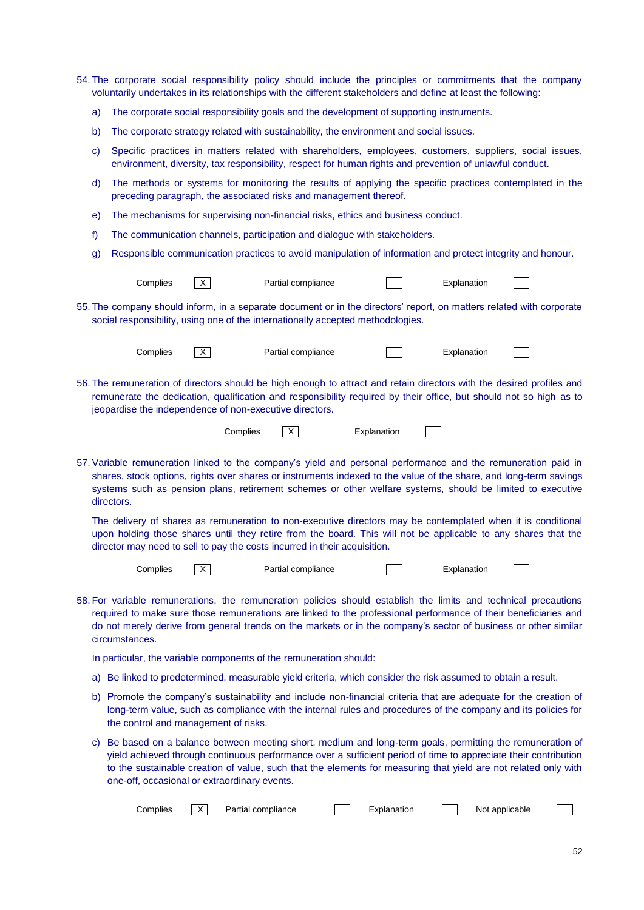- 54. The corporate social responsibility policy should include the principles or commitments that the company voluntarily undertakes in its relationships with the different stakeholders and define at least the following:
	- a) The corporate social responsibility goals and the development of supporting instruments.
	- b) The corporate strategy related with sustainability, the environment and social issues.
	- c) Specific practices in matters related with shareholders, employees, customers, suppliers, social issues, environment, diversity, tax responsibility, respect for human rights and prevention of unlawful conduct.
	- d) The methods or systems for monitoring the results of applying the specific practices contemplated in the preceding paragraph, the associated risks and management thereof.
	- e) The mechanisms for supervising non-financial risks, ethics and business conduct.
	- f) The communication channels, participation and dialogue with stakeholders.
	- g) Responsible communication practices to avoid manipulation of information and protect integrity and honour.

| Complies | Partial compliance | Explanation |
|----------|--------------------|-------------|
|          |                    |             |

55. The company should inform, in a separate document or in the directors' report, on matters related with corporate social responsibility, using one of the internationally accepted methodologies.

| Complies | X        | Partial compliance                                                                                                                                                                                                                                                                                     |             | Explanation |  |
|----------|----------|--------------------------------------------------------------------------------------------------------------------------------------------------------------------------------------------------------------------------------------------------------------------------------------------------------|-------------|-------------|--|
|          |          | 56. The remuneration of directors should be high enough to attract and retain directors with the desired profiles and<br>remunerate the dedication, qualification and responsibility required by their office, but should not so high as to<br>jeopardise the independence of non-executive directors. |             |             |  |
|          | Complies |                                                                                                                                                                                                                                                                                                        | Explanation |             |  |

57. Variable remuneration linked to the company's yield and personal performance and the remuneration paid in shares, stock options, rights over shares or instruments indexed to the value of the share, and long-term savings systems such as pension plans, retirement schemes or other welfare systems, should be limited to executive directors.

The delivery of shares as remuneration to non-executive directors may be contemplated when it is conditional upon holding those shares until they retire from the board. This will not be applicable to any shares that the director may need to sell to pay the costs incurred in their acquisition.

| Complies | $\checkmark$ | Partial compliance |  | Explanation |  |
|----------|--------------|--------------------|--|-------------|--|
|----------|--------------|--------------------|--|-------------|--|

58. For variable remunerations, the remuneration policies should establish the limits and technical precautions required to make sure those remunerations are linked to the professional performance of their beneficiaries and do not merely derive from general trends on the markets or in the company's sector of business or other similar circumstances.

In particular, the variable components of the remuneration should:

- a) Be linked to predetermined, measurable yield criteria, which consider the risk assumed to obtain a result.
- b) Promote the company's sustainability and include non-financial criteria that are adequate for the creation of long-term value, such as compliance with the internal rules and procedures of the company and its policies for the control and management of risks.
- c) Be based on a balance between meeting short, medium and long-term goals, permitting the remuneration of yield achieved through continuous performance over a sufficient period of time to appreciate their contribution to the sustainable creation of value, such that the elements for measuring that yield are not related only with one-off, occasional or extraordinary events.

| ∴omplies | $\checkmark$<br>⌒ | compliance<br>Partial | 1000000000000<br>nı: | applicable<br>Not. |  |
|----------|-------------------|-----------------------|----------------------|--------------------|--|
|----------|-------------------|-----------------------|----------------------|--------------------|--|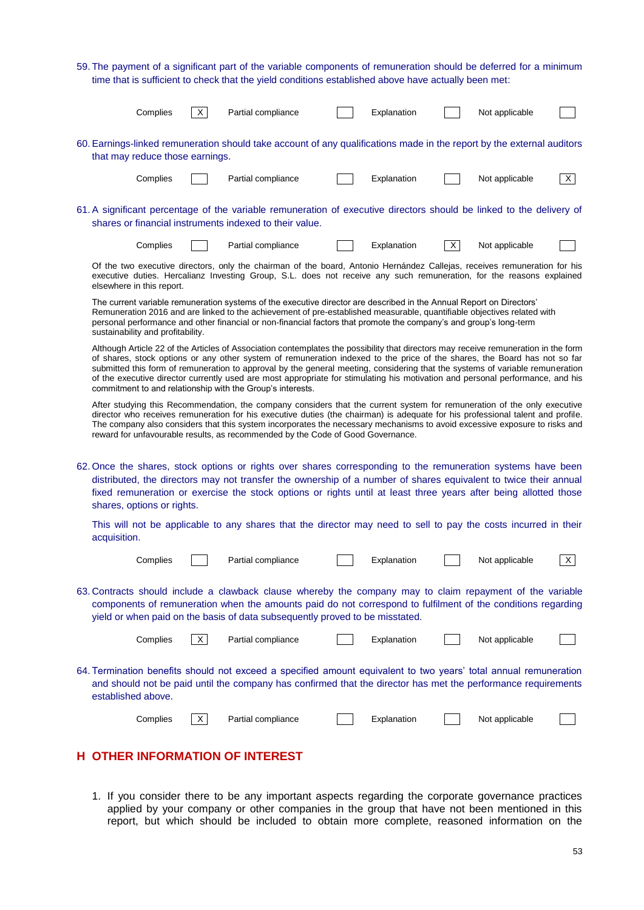59. The payment of a significant part of the variable components of remuneration should be deferred for a minimum time that is sufficient to check that the yield conditions established above have actually been met:

|                                                                                                                                                                                                                                                                                                                                                                                                            | Complies                                                                                                                                                                                                                                                                                                                                                                                                                                                                                                                                                                                          |              | Partial compliance                                                                                                                                                                                                                                                                                                                                                                                                                                                           |  | Explanation |              | Not applicable |   |  |  |  |  |
|------------------------------------------------------------------------------------------------------------------------------------------------------------------------------------------------------------------------------------------------------------------------------------------------------------------------------------------------------------------------------------------------------------|---------------------------------------------------------------------------------------------------------------------------------------------------------------------------------------------------------------------------------------------------------------------------------------------------------------------------------------------------------------------------------------------------------------------------------------------------------------------------------------------------------------------------------------------------------------------------------------------------|--------------|------------------------------------------------------------------------------------------------------------------------------------------------------------------------------------------------------------------------------------------------------------------------------------------------------------------------------------------------------------------------------------------------------------------------------------------------------------------------------|--|-------------|--------------|----------------|---|--|--|--|--|
| 60. Earnings-linked remuneration should take account of any qualifications made in the report by the external auditors<br>that may reduce those earnings.                                                                                                                                                                                                                                                  |                                                                                                                                                                                                                                                                                                                                                                                                                                                                                                                                                                                                   |              |                                                                                                                                                                                                                                                                                                                                                                                                                                                                              |  |             |              |                |   |  |  |  |  |
|                                                                                                                                                                                                                                                                                                                                                                                                            | Complies                                                                                                                                                                                                                                                                                                                                                                                                                                                                                                                                                                                          |              | Partial compliance                                                                                                                                                                                                                                                                                                                                                                                                                                                           |  | Explanation |              | Not applicable | X |  |  |  |  |
|                                                                                                                                                                                                                                                                                                                                                                                                            | 61. A significant percentage of the variable remuneration of executive directors should be linked to the delivery of<br>shares or financial instruments indexed to their value.                                                                                                                                                                                                                                                                                                                                                                                                                   |              |                                                                                                                                                                                                                                                                                                                                                                                                                                                                              |  |             |              |                |   |  |  |  |  |
|                                                                                                                                                                                                                                                                                                                                                                                                            | Complies                                                                                                                                                                                                                                                                                                                                                                                                                                                                                                                                                                                          |              | Partial compliance                                                                                                                                                                                                                                                                                                                                                                                                                                                           |  | Explanation | $\mathsf{X}$ | Not applicable |   |  |  |  |  |
|                                                                                                                                                                                                                                                                                                                                                                                                            | Of the two executive directors, only the chairman of the board, Antonio Hernández Callejas, receives remuneration for his<br>executive duties. Hercalianz Investing Group, S.L. does not receive any such remuneration, for the reasons explained<br>elsewhere in this report.                                                                                                                                                                                                                                                                                                                    |              |                                                                                                                                                                                                                                                                                                                                                                                                                                                                              |  |             |              |                |   |  |  |  |  |
| The current variable remuneration systems of the executive director are described in the Annual Report on Directors'<br>Remuneration 2016 and are linked to the achievement of pre-established measurable, quantifiable objectives related with<br>personal performance and other financial or non-financial factors that promote the company's and group's long-term<br>sustainability and profitability. |                                                                                                                                                                                                                                                                                                                                                                                                                                                                                                                                                                                                   |              |                                                                                                                                                                                                                                                                                                                                                                                                                                                                              |  |             |              |                |   |  |  |  |  |
|                                                                                                                                                                                                                                                                                                                                                                                                            | Although Article 22 of the Articles of Association contemplates the possibility that directors may receive remuneration in the form<br>of shares, stock options or any other system of remuneration indexed to the price of the shares, the Board has not so far<br>submitted this form of remuneration to approval by the general meeting, considering that the systems of variable remuneration<br>of the executive director currently used are most appropriate for stimulating his motivation and personal performance, and his<br>commitment to and relationship with the Group's interests. |              |                                                                                                                                                                                                                                                                                                                                                                                                                                                                              |  |             |              |                |   |  |  |  |  |
|                                                                                                                                                                                                                                                                                                                                                                                                            |                                                                                                                                                                                                                                                                                                                                                                                                                                                                                                                                                                                                   |              | After studying this Recommendation, the company considers that the current system for remuneration of the only executive<br>director who receives remuneration for his executive duties (the chairman) is adequate for his professional talent and profile.<br>The company also considers that this system incorporates the necessary mechanisms to avoid excessive exposure to risks and<br>reward for unfavourable results, as recommended by the Code of Good Governance. |  |             |              |                |   |  |  |  |  |
| 62. Once the shares, stock options or rights over shares corresponding to the remuneration systems have been<br>distributed, the directors may not transfer the ownership of a number of shares equivalent to twice their annual<br>fixed remuneration or exercise the stock options or rights until at least three years after being allotted those<br>shares, options or rights.                         |                                                                                                                                                                                                                                                                                                                                                                                                                                                                                                                                                                                                   |              |                                                                                                                                                                                                                                                                                                                                                                                                                                                                              |  |             |              |                |   |  |  |  |  |
|                                                                                                                                                                                                                                                                                                                                                                                                            | acquisition.                                                                                                                                                                                                                                                                                                                                                                                                                                                                                                                                                                                      |              | This will not be applicable to any shares that the director may need to sell to pay the costs incurred in their                                                                                                                                                                                                                                                                                                                                                              |  |             |              |                |   |  |  |  |  |
|                                                                                                                                                                                                                                                                                                                                                                                                            | Complies                                                                                                                                                                                                                                                                                                                                                                                                                                                                                                                                                                                          |              | Partial compliance                                                                                                                                                                                                                                                                                                                                                                                                                                                           |  | Explanation |              | Not applicable | X |  |  |  |  |
| 63. Contracts should include a clawback clause whereby the company may to claim repayment of the variable<br>components of remuneration when the amounts paid do not correspond to fulfilment of the conditions regarding<br>yield or when paid on the basis of data subsequently proved to be misstated.                                                                                                  |                                                                                                                                                                                                                                                                                                                                                                                                                                                                                                                                                                                                   |              |                                                                                                                                                                                                                                                                                                                                                                                                                                                                              |  |             |              |                |   |  |  |  |  |
|                                                                                                                                                                                                                                                                                                                                                                                                            | Complies                                                                                                                                                                                                                                                                                                                                                                                                                                                                                                                                                                                          | $\mathsf{X}$ | Partial compliance                                                                                                                                                                                                                                                                                                                                                                                                                                                           |  | Explanation |              | Not applicable |   |  |  |  |  |
| 64. Termination benefits should not exceed a specified amount equivalent to two years' total annual remuneration<br>and should not be paid until the company has confirmed that the director has met the performance requirements<br>established above.                                                                                                                                                    |                                                                                                                                                                                                                                                                                                                                                                                                                                                                                                                                                                                                   |              |                                                                                                                                                                                                                                                                                                                                                                                                                                                                              |  |             |              |                |   |  |  |  |  |
|                                                                                                                                                                                                                                                                                                                                                                                                            | Complies                                                                                                                                                                                                                                                                                                                                                                                                                                                                                                                                                                                          | X            | Partial compliance                                                                                                                                                                                                                                                                                                                                                                                                                                                           |  | Explanation |              | Not applicable |   |  |  |  |  |
|                                                                                                                                                                                                                                                                                                                                                                                                            | <b>OTHER INFORMATION OF INTEREST</b>                                                                                                                                                                                                                                                                                                                                                                                                                                                                                                                                                              |              |                                                                                                                                                                                                                                                                                                                                                                                                                                                                              |  |             |              |                |   |  |  |  |  |

1. If you consider there to be any important aspects regarding the corporate governance practices applied by your company or other companies in the group that have not been mentioned in this report, but which should be included to obtain more complete, reasoned information on the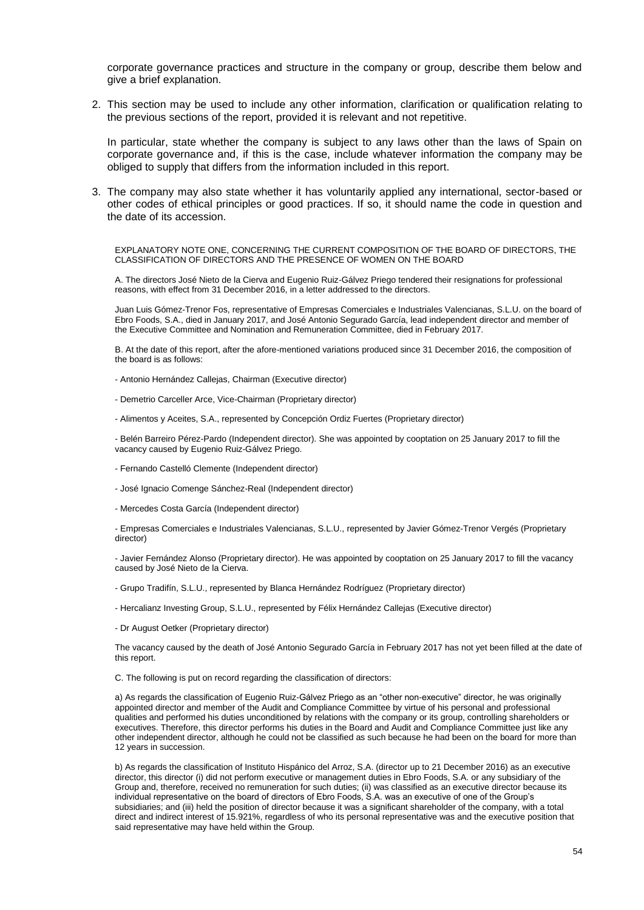corporate governance practices and structure in the company or group, describe them below and give a brief explanation.

2. This section may be used to include any other information, clarification or qualification relating to the previous sections of the report, provided it is relevant and not repetitive.

In particular, state whether the company is subject to any laws other than the laws of Spain on corporate governance and, if this is the case, include whatever information the company may be obliged to supply that differs from the information included in this report.

3. The company may also state whether it has voluntarily applied any international, sector-based or other codes of ethical principles or good practices. If so, it should name the code in question and the date of its accession.

EXPLANATORY NOTE ONE, CONCERNING THE CURRENT COMPOSITION OF THE BOARD OF DIRECTORS, THE CLASSIFICATION OF DIRECTORS AND THE PRESENCE OF WOMEN ON THE BOARD

A. The directors José Nieto de la Cierva and Eugenio Ruiz-Gálvez Priego tendered their resignations for professional reasons, with effect from 31 December 2016, in a letter addressed to the directors.

Juan Luis Gómez-Trenor Fos, representative of Empresas Comerciales e Industriales Valencianas, S.L.U. on the board of Ebro Foods, S.A., died in January 2017, and José Antonio Segurado García, lead independent director and member of the Executive Committee and Nomination and Remuneration Committee, died in February 2017.

B. At the date of this report, after the afore-mentioned variations produced since 31 December 2016, the composition of the board is as follows:

- Antonio Hernández Callejas, Chairman (Executive director)
- Demetrio Carceller Arce, Vice-Chairman (Proprietary director)
- Alimentos y Aceites, S.A., represented by Concepción Ordiz Fuertes (Proprietary director)

- Belén Barreiro Pérez-Pardo (Independent director). She was appointed by cooptation on 25 January 2017 to fill the vacancy caused by Eugenio Ruiz-Gálvez Priego.

- Fernando Castelló Clemente (Independent director)
- José Ignacio Comenge Sánchez-Real (Independent director)
- Mercedes Costa García (Independent director)

- Empresas Comerciales e Industriales Valencianas, S.L.U., represented by Javier Gómez-Trenor Vergés (Proprietary director)

- Javier Fernández Alonso (Proprietary director). He was appointed by cooptation on 25 January 2017 to fill the vacancy caused by José Nieto de la Cierva.

- Grupo Tradifín, S.L.U., represented by Blanca Hernández Rodríguez (Proprietary director)
- Hercalianz Investing Group, S.L.U., represented by Félix Hernández Callejas (Executive director)
- Dr August Oetker (Proprietary director)

The vacancy caused by the death of José Antonio Segurado García in February 2017 has not yet been filled at the date of this report.

C. The following is put on record regarding the classification of directors:

a) As regards the classification of Eugenio Ruiz-Gálvez Priego as an "other non-executive" director, he was originally appointed director and member of the Audit and Compliance Committee by virtue of his personal and professional qualities and performed his duties unconditioned by relations with the company or its group, controlling shareholders or executives. Therefore, this director performs his duties in the Board and Audit and Compliance Committee just like any other independent director, although he could not be classified as such because he had been on the board for more than 12 years in succession.

b) As regards the classification of Instituto Hispánico del Arroz, S.A. (director up to 21 December 2016) as an executive director, this director (i) did not perform executive or management duties in Ebro Foods, S.A. or any subsidiary of the Group and, therefore, received no remuneration for such duties; (ii) was classified as an executive director because its individual representative on the board of directors of Ebro Foods, S.A. was an executive of one of the Group's subsidiaries; and (iii) held the position of director because it was a significant shareholder of the company, with a total direct and indirect interest of 15.921%, regardless of who its personal representative was and the executive position that said representative may have held within the Group.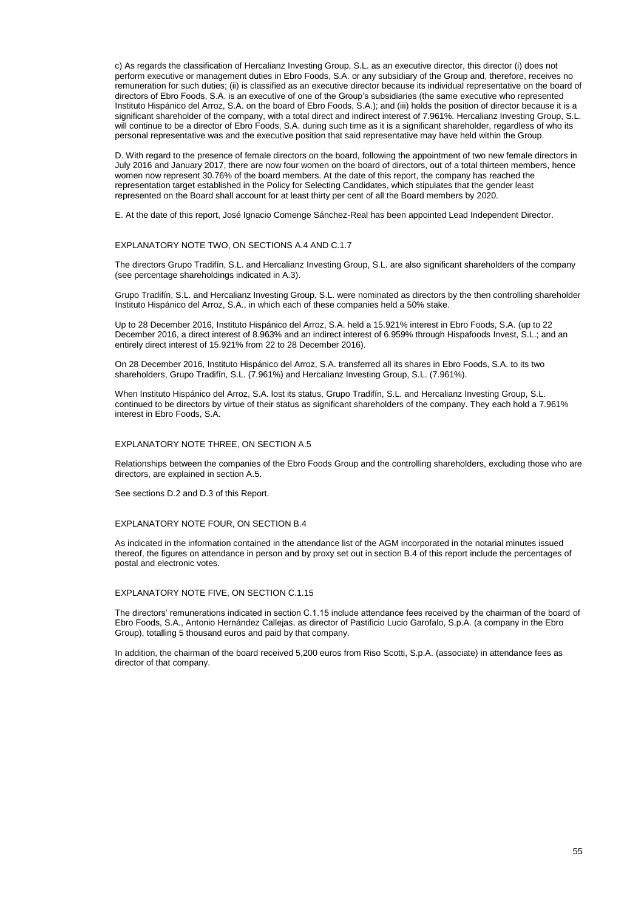c) As regards the classification of Hercalianz Investing Group, S.L. as an executive director, this director (i) does not perform executive or management duties in Ebro Foods, S.A. or any subsidiary of the Group and, therefore, receives no remuneration for such duties; (ii) is classified as an executive director because its individual representative on the board of directors of Ebro Foods, S.A. is an executive of one of the Group's subsidiaries (the same executive who represented Instituto Hispánico del Arroz, S.A. on the board of Ebro Foods, S.A.); and (iii) holds the position of director because it is a significant shareholder of the company, with a total direct and indirect interest of 7.961%. Hercalianz Investing Group, S.L. will continue to be a director of Ebro Foods, S.A. during such time as it is a significant shareholder, regardless of who its personal representative was and the executive position that said representative may have held within the Group.

D. With regard to the presence of female directors on the board, following the appointment of two new female directors in July 2016 and January 2017, there are now four women on the board of directors, out of a total thirteen members, hence women now represent 30.76% of the board members. At the date of this report, the company has reached the representation target established in the Policy for Selecting Candidates, which stipulates that the gender least represented on the Board shall account for at least thirty per cent of all the Board members by 2020.

E. At the date of this report, José Ignacio Comenge Sánchez-Real has been appointed Lead Independent Director.

#### EXPLANATORY NOTE TWO, ON SECTIONS A.4 AND C.1.7

The directors Grupo Tradifín, S.L. and Hercalianz Investing Group, S.L. are also significant shareholders of the company (see percentage shareholdings indicated in A.3).

Grupo Tradifín, S.L. and Hercalianz Investing Group, S.L. were nominated as directors by the then controlling shareholder Instituto Hispánico del Arroz, S.A., in which each of these companies held a 50% stake.

Up to 28 December 2016, Instituto Hispánico del Arroz, S.A. held a 15.921% interest in Ebro Foods, S.A. (up to 22 December 2016, a direct interest of 8.963% and an indirect interest of 6.959% through Hispafoods Invest, S.L.; and an entirely direct interest of 15.921% from 22 to 28 December 2016).

On 28 December 2016, Instituto Hispánico del Arroz, S.A. transferred all its shares in Ebro Foods, S.A. to its two shareholders, Grupo Tradifín, S.L. (7.961%) and Hercalianz Investing Group, S.L. (7.961%).

When Instituto Hispánico del Arroz, S.A. lost its status, Grupo Tradifín, S.L. and Hercalianz Investing Group, S.L. continued to be directors by virtue of their status as significant shareholders of the company. They each hold a 7.961% interest in Ebro Foods, S.A.

### EXPLANATORY NOTE THREE, ON SECTION A.5

Relationships between the companies of the Ebro Foods Group and the controlling shareholders, excluding those who are directors, are explained in section A.5.

See sections D.2 and D.3 of this Report.

#### EXPLANATORY NOTE FOUR, ON SECTION B.4

As indicated in the information contained in the attendance list of the AGM incorporated in the notarial minutes issued thereof, the figures on attendance in person and by proxy set out in section B.4 of this report include the percentages of postal and electronic votes.

#### EXPLANATORY NOTE FIVE, ON SECTION C.1.15

The directors' remunerations indicated in section C.1.15 include attendance fees received by the chairman of the board of Ebro Foods, S.A., Antonio Hernández Callejas, as director of Pastificio Lucio Garofalo, S.p.A. (a company in the Ebro Group), totalling 5 thousand euros and paid by that company.

In addition, the chairman of the board received 5,200 euros from Riso Scotti, S.p.A. (associate) in attendance fees as director of that company.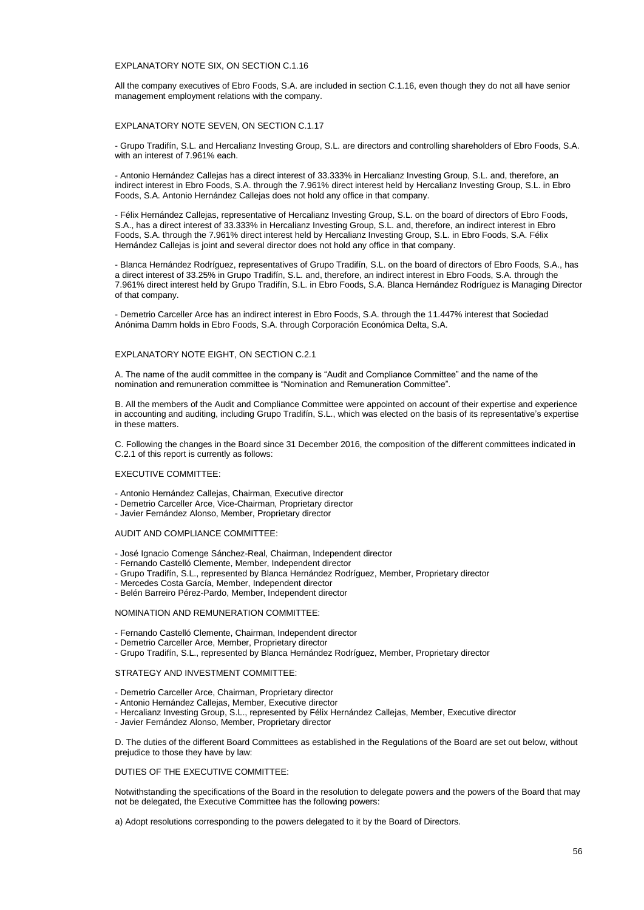### EXPLANATORY NOTE SIX, ON SECTION C.1.16

All the company executives of Ebro Foods, S.A. are included in section C.1.16, even though they do not all have senior management employment relations with the company.

### EXPLANATORY NOTE SEVEN, ON SECTION C.1.17

- Grupo Tradifín, S.L. and Hercalianz Investing Group, S.L. are directors and controlling shareholders of Ebro Foods, S.A. with an interest of 7.961% each.

- Antonio Hernández Callejas has a direct interest of 33.333% in Hercalianz Investing Group, S.L. and, therefore, an indirect interest in Ebro Foods, S.A. through the 7.961% direct interest held by Hercalianz Investing Group, S.L. in Ebro Foods, S.A. Antonio Hernández Callejas does not hold any office in that company.

- Félix Hernández Callejas, representative of Hercalianz Investing Group, S.L. on the board of directors of Ebro Foods, S.A., has a direct interest of 33.333% in Hercalianz Investing Group, S.L. and, therefore, an indirect interest in Ebro Foods, S.A. through the 7.961% direct interest held by Hercalianz Investing Group, S.L. in Ebro Foods, S.A. Félix Hernández Callejas is joint and several director does not hold any office in that company.

- Blanca Hernández Rodríguez, representatives of Grupo Tradifín, S.L. on the board of directors of Ebro Foods, S.A., has a direct interest of 33.25% in Grupo Tradifín, S.L. and, therefore, an indirect interest in Ebro Foods, S.A. through the 7.961% direct interest held by Grupo Tradifín, S.L. in Ebro Foods, S.A. Blanca Hernández Rodríguez is Managing Director of that company.

- Demetrio Carceller Arce has an indirect interest in Ebro Foods, S.A. through the 11.447% interest that Sociedad Anónima Damm holds in Ebro Foods, S.A. through Corporación Económica Delta, S.A.

### EXPLANATORY NOTE EIGHT, ON SECTION C.2.1

A. The name of the audit committee in the company is "Audit and Compliance Committee" and the name of the nomination and remuneration committee is "Nomination and Remuneration Committee".

B. All the members of the Audit and Compliance Committee were appointed on account of their expertise and experience in accounting and auditing, including Grupo Tradifín, S.L., which was elected on the basis of its representative's expertise in these matters.

C. Following the changes in the Board since 31 December 2016, the composition of the different committees indicated in C.2.1 of this report is currently as follows:

#### EXECUTIVE COMMITTEE:

- Antonio Hernández Callejas, Chairman, Executive director
- Demetrio Carceller Arce, Vice-Chairman, Proprietary director
- Javier Fernández Alonso, Member, Proprietary director

#### AUDIT AND COMPLIANCE COMMITTEE:

- José Ignacio Comenge Sánchez-Real, Chairman, Independent director
- Fernando Castelló Clemente, Member, Independent director
- Grupo Tradifín, S.L., represented by Blanca Hernández Rodríguez, Member, Proprietary director
- Mercedes Costa García, Member, Independent director
- Belén Barreiro Pérez-Pardo, Member, Independent director

#### NOMINATION AND REMUNERATION COMMITTEE:

- Fernando Castelló Clemente, Chairman, Independent director
- Demetrio Carceller Arce, Member, Proprietary director
- Grupo Tradifín, S.L., represented by Blanca Hernández Rodríguez, Member, Proprietary director

#### STRATEGY AND INVESTMENT COMMITTEE:

- Demetrio Carceller Arce, Chairman, Proprietary director
- Antonio Hernández Callejas, Member, Executive director
- Hercalianz Investing Group, S.L., represented by Félix Hernández Callejas, Member, Executive director
- Javier Fernández Alonso, Member, Proprietary director

D. The duties of the different Board Committees as established in the Regulations of the Board are set out below, without prejudice to those they have by law:

#### DUTIES OF THE EXECUTIVE COMMITTEE:

Notwithstanding the specifications of the Board in the resolution to delegate powers and the powers of the Board that may not be delegated, the Executive Committee has the following powers:

a) Adopt resolutions corresponding to the powers delegated to it by the Board of Directors.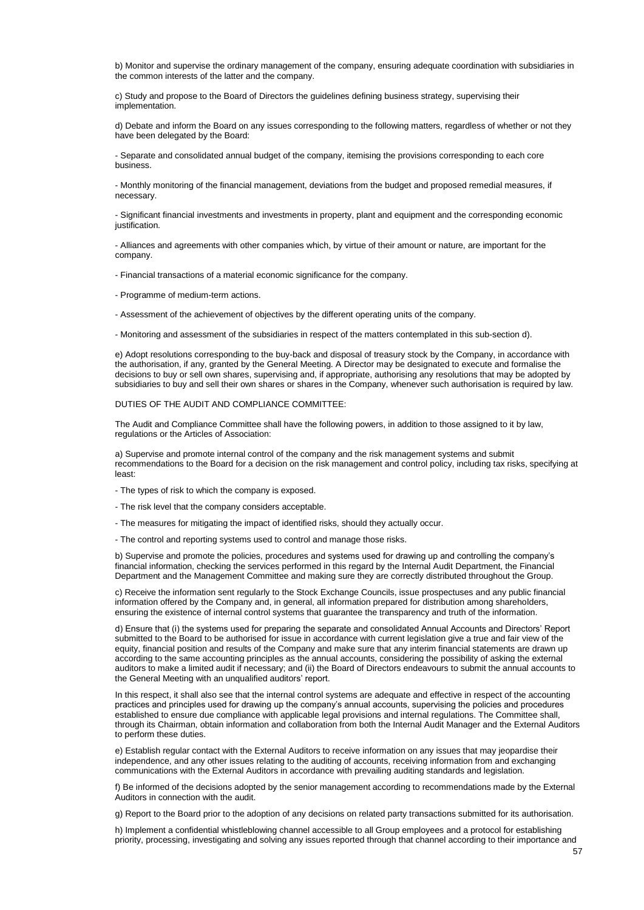b) Monitor and supervise the ordinary management of the company, ensuring adequate coordination with subsidiaries in the common interests of the latter and the company.

c) Study and propose to the Board of Directors the guidelines defining business strategy, supervising their implementation.

d) Debate and inform the Board on any issues corresponding to the following matters, regardless of whether or not they have been delegated by the Board:

- Separate and consolidated annual budget of the company, itemising the provisions corresponding to each core business.

- Monthly monitoring of the financial management, deviations from the budget and proposed remedial measures, if necessary.

- Significant financial investments and investments in property, plant and equipment and the corresponding economic justification.

- Alliances and agreements with other companies which, by virtue of their amount or nature, are important for the company.

- Financial transactions of a material economic significance for the company.

- Programme of medium-term actions.

- Assessment of the achievement of objectives by the different operating units of the company.

- Monitoring and assessment of the subsidiaries in respect of the matters contemplated in this sub-section d).

e) Adopt resolutions corresponding to the buy-back and disposal of treasury stock by the Company, in accordance with the authorisation, if any, granted by the General Meeting. A Director may be designated to execute and formalise the decisions to buy or sell own shares, supervising and, if appropriate, authorising any resolutions that may be adopted by subsidiaries to buy and sell their own shares or shares in the Company, whenever such authorisation is required by law.

DUTIES OF THE AUDIT AND COMPLIANCE COMMITTEE:

The Audit and Compliance Committee shall have the following powers, in addition to those assigned to it by law, regulations or the Articles of Association:

a) Supervise and promote internal control of the company and the risk management systems and submit recommendations to the Board for a decision on the risk management and control policy, including tax risks, specifying at least:

- The types of risk to which the company is exposed.
- The risk level that the company considers acceptable.
- The measures for mitigating the impact of identified risks, should they actually occur.
- The control and reporting systems used to control and manage those risks.

b) Supervise and promote the policies, procedures and systems used for drawing up and controlling the company's financial information, checking the services performed in this regard by the Internal Audit Department, the Financial Department and the Management Committee and making sure they are correctly distributed throughout the Group.

c) Receive the information sent regularly to the Stock Exchange Councils, issue prospectuses and any public financial information offered by the Company and, in general, all information prepared for distribution among shareholders, ensuring the existence of internal control systems that guarantee the transparency and truth of the information.

d) Ensure that (i) the systems used for preparing the separate and consolidated Annual Accounts and Directors' Report submitted to the Board to be authorised for issue in accordance with current legislation give a true and fair view of the equity, financial position and results of the Company and make sure that any interim financial statements are drawn up according to the same accounting principles as the annual accounts, considering the possibility of asking the external auditors to make a limited audit if necessary; and (ii) the Board of Directors endeavours to submit the annual accounts to the General Meeting with an unqualified auditors' report.

In this respect, it shall also see that the internal control systems are adequate and effective in respect of the accounting practices and principles used for drawing up the company's annual accounts, supervising the policies and procedures established to ensure due compliance with applicable legal provisions and internal regulations. The Committee shall, through its Chairman, obtain information and collaboration from both the Internal Audit Manager and the External Auditors to perform these duties.

e) Establish regular contact with the External Auditors to receive information on any issues that may jeopardise their independence, and any other issues relating to the auditing of accounts, receiving information from and exchanging communications with the External Auditors in accordance with prevailing auditing standards and legislation.

f) Be informed of the decisions adopted by the senior management according to recommendations made by the External Auditors in connection with the audit.

g) Report to the Board prior to the adoption of any decisions on related party transactions submitted for its authorisation.

h) Implement a confidential whistleblowing channel accessible to all Group employees and a protocol for establishing priority, processing, investigating and solving any issues reported through that channel according to their importance and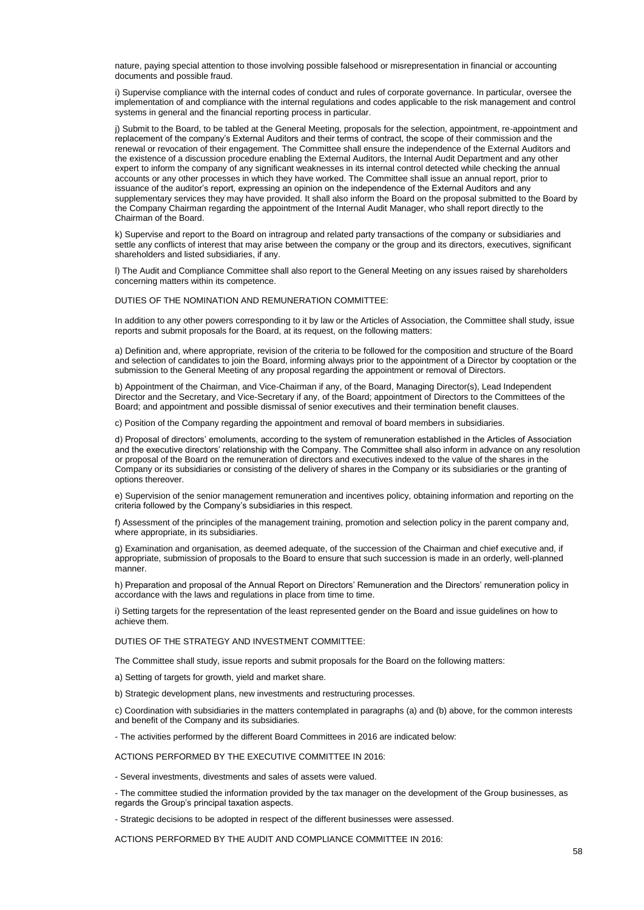nature, paying special attention to those involving possible falsehood or misrepresentation in financial or accounting documents and possible fraud.

i) Supervise compliance with the internal codes of conduct and rules of corporate governance. In particular, oversee the implementation of and compliance with the internal regulations and codes applicable to the risk management and control systems in general and the financial reporting process in particular.

j) Submit to the Board, to be tabled at the General Meeting, proposals for the selection, appointment, re-appointment and replacement of the company's External Auditors and their terms of contract, the scope of their commission and the renewal or revocation of their engagement. The Committee shall ensure the independence of the External Auditors and the existence of a discussion procedure enabling the External Auditors, the Internal Audit Department and any other expert to inform the company of any significant weaknesses in its internal control detected while checking the annual accounts or any other processes in which they have worked. The Committee shall issue an annual report, prior to issuance of the auditor's report, expressing an opinion on the independence of the External Auditors and any supplementary services they may have provided. It shall also inform the Board on the proposal submitted to the Board by the Company Chairman regarding the appointment of the Internal Audit Manager, who shall report directly to the Chairman of the Board.

k) Supervise and report to the Board on intragroup and related party transactions of the company or subsidiaries and settle any conflicts of interest that may arise between the company or the group and its directors, executives, significant shareholders and listed subsidiaries, if any.

l) The Audit and Compliance Committee shall also report to the General Meeting on any issues raised by shareholders concerning matters within its competence.

DUTIES OF THE NOMINATION AND REMUNERATION COMMITTEE:

In addition to any other powers corresponding to it by law or the Articles of Association, the Committee shall study, issue reports and submit proposals for the Board, at its request, on the following matters:

a) Definition and, where appropriate, revision of the criteria to be followed for the composition and structure of the Board and selection of candidates to join the Board, informing always prior to the appointment of a Director by cooptation or the submission to the General Meeting of any proposal regarding the appointment or removal of Directors.

b) Appointment of the Chairman, and Vice-Chairman if any, of the Board, Managing Director(s), Lead Independent Director and the Secretary, and Vice-Secretary if any, of the Board; appointment of Directors to the Committees of the Board; and appointment and possible dismissal of senior executives and their termination benefit clauses.

c) Position of the Company regarding the appointment and removal of board members in subsidiaries.

d) Proposal of directors' emoluments, according to the system of remuneration established in the Articles of Association and the executive directors' relationship with the Company. The Committee shall also inform in advance on any resolution or proposal of the Board on the remuneration of directors and executives indexed to the value of the shares in the Company or its subsidiaries or consisting of the delivery of shares in the Company or its subsidiaries or the granting of options thereover.

e) Supervision of the senior management remuneration and incentives policy, obtaining information and reporting on the criteria followed by the Company's subsidiaries in this respect.

f) Assessment of the principles of the management training, promotion and selection policy in the parent company and, where appropriate, in its subsidiaries.

g) Examination and organisation, as deemed adequate, of the succession of the Chairman and chief executive and, if appropriate, submission of proposals to the Board to ensure that such succession is made in an orderly, well-planned manner.

h) Preparation and proposal of the Annual Report on Directors' Remuneration and the Directors' remuneration policy in accordance with the laws and regulations in place from time to time.

i) Setting targets for the representation of the least represented gender on the Board and issue guidelines on how to achieve them.

#### DUTIES OF THE STRATEGY AND INVESTMENT COMMITTEE:

The Committee shall study, issue reports and submit proposals for the Board on the following matters:

a) Setting of targets for growth, yield and market share.

b) Strategic development plans, new investments and restructuring processes.

c) Coordination with subsidiaries in the matters contemplated in paragraphs (a) and (b) above, for the common interests and benefit of the Company and its subsidiaries.

- The activities performed by the different Board Committees in 2016 are indicated below:

ACTIONS PERFORMED BY THE EXECUTIVE COMMITTEE IN 2016:

- Several investments, divestments and sales of assets were valued.

- The committee studied the information provided by the tax manager on the development of the Group businesses, as regards the Group's principal taxation aspects.

- Strategic decisions to be adopted in respect of the different businesses were assessed.

ACTIONS PERFORMED BY THE AUDIT AND COMPLIANCE COMMITTEE IN 2016: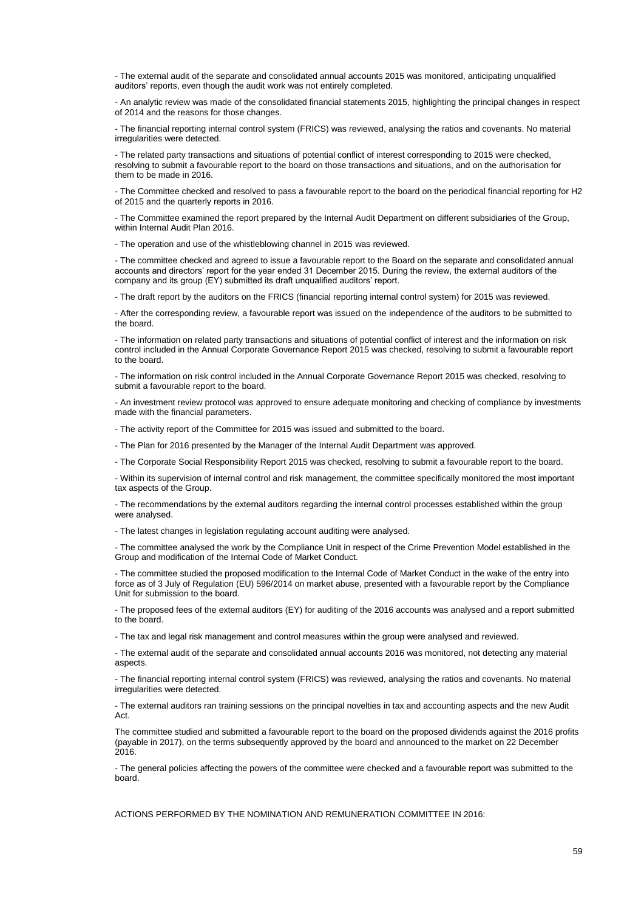- The external audit of the separate and consolidated annual accounts 2015 was monitored, anticipating unqualified auditors' reports, even though the audit work was not entirely completed.

- An analytic review was made of the consolidated financial statements 2015, highlighting the principal changes in respect of 2014 and the reasons for those changes.

- The financial reporting internal control system (FRICS) was reviewed, analysing the ratios and covenants. No material irregularities were detected.

- The related party transactions and situations of potential conflict of interest corresponding to 2015 were checked, resolving to submit a favourable report to the board on those transactions and situations, and on the authorisation for them to be made in 2016.

- The Committee checked and resolved to pass a favourable report to the board on the periodical financial reporting for H2 of 2015 and the quarterly reports in 2016.

- The Committee examined the report prepared by the Internal Audit Department on different subsidiaries of the Group, within Internal Audit Plan 2016.

- The operation and use of the whistleblowing channel in 2015 was reviewed.

- The committee checked and agreed to issue a favourable report to the Board on the separate and consolidated annual accounts and directors' report for the year ended 31 December 2015. During the review, the external auditors of the company and its group (EY) submitted its draft unqualified auditors' report.

- The draft report by the auditors on the FRICS (financial reporting internal control system) for 2015 was reviewed.

- After the corresponding review, a favourable report was issued on the independence of the auditors to be submitted to the board.

- The information on related party transactions and situations of potential conflict of interest and the information on risk control included in the Annual Corporate Governance Report 2015 was checked, resolving to submit a favourable report to the board.

- The information on risk control included in the Annual Corporate Governance Report 2015 was checked, resolving to submit a favourable report to the board.

- An investment review protocol was approved to ensure adequate monitoring and checking of compliance by investments made with the financial parameters.

- The activity report of the Committee for 2015 was issued and submitted to the board.

- The Plan for 2016 presented by the Manager of the Internal Audit Department was approved.

- The Corporate Social Responsibility Report 2015 was checked, resolving to submit a favourable report to the board.

- Within its supervision of internal control and risk management, the committee specifically monitored the most important tax aspects of the Group.

- The recommendations by the external auditors regarding the internal control processes established within the group were analysed.

- The latest changes in legislation regulating account auditing were analysed.

- The committee analysed the work by the Compliance Unit in respect of the Crime Prevention Model established in the Group and modification of the Internal Code of Market Conduct.

- The committee studied the proposed modification to the Internal Code of Market Conduct in the wake of the entry into force as of 3 July of Regulation (EU) 596/2014 on market abuse, presented with a favourable report by the Compliance Unit for submission to the board.

- The proposed fees of the external auditors (EY) for auditing of the 2016 accounts was analysed and a report submitted to the board.

- The tax and legal risk management and control measures within the group were analysed and reviewed.

- The external audit of the separate and consolidated annual accounts 2016 was monitored, not detecting any material aspects.

- The financial reporting internal control system (FRICS) was reviewed, analysing the ratios and covenants. No material irregularities were detected.

- The external auditors ran training sessions on the principal novelties in tax and accounting aspects and the new Audit Act.

The committee studied and submitted a favourable report to the board on the proposed dividends against the 2016 profits (payable in 2017), on the terms subsequently approved by the board and announced to the market on 22 December 2016.

- The general policies affecting the powers of the committee were checked and a favourable report was submitted to the board.

ACTIONS PERFORMED BY THE NOMINATION AND REMUNERATION COMMITTEE IN 2016: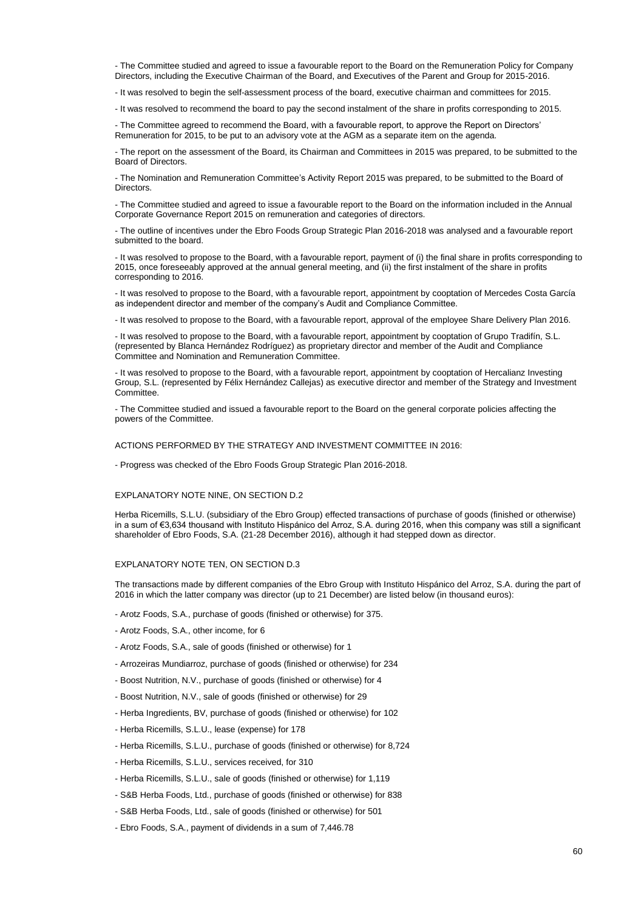- The Committee studied and agreed to issue a favourable report to the Board on the Remuneration Policy for Company Directors, including the Executive Chairman of the Board, and Executives of the Parent and Group for 2015-2016.

- It was resolved to begin the self-assessment process of the board, executive chairman and committees for 2015.

- It was resolved to recommend the board to pay the second instalment of the share in profits corresponding to 2015.

- The Committee agreed to recommend the Board, with a favourable report, to approve the Report on Directors' Remuneration for 2015, to be put to an advisory vote at the AGM as a separate item on the agenda.

- The report on the assessment of the Board, its Chairman and Committees in 2015 was prepared, to be submitted to the Board of Directors.

- The Nomination and Remuneration Committee's Activity Report 2015 was prepared, to be submitted to the Board of **Directors** 

- The Committee studied and agreed to issue a favourable report to the Board on the information included in the Annual Corporate Governance Report 2015 on remuneration and categories of directors.

- The outline of incentives under the Ebro Foods Group Strategic Plan 2016-2018 was analysed and a favourable report submitted to the board.

- It was resolved to propose to the Board, with a favourable report, payment of (i) the final share in profits corresponding to 2015, once foreseeably approved at the annual general meeting, and (ii) the first instalment of the share in profits corresponding to 2016.

- It was resolved to propose to the Board, with a favourable report, appointment by cooptation of Mercedes Costa García as independent director and member of the company's Audit and Compliance Committee.

- It was resolved to propose to the Board, with a favourable report, approval of the employee Share Delivery Plan 2016.

- It was resolved to propose to the Board, with a favourable report, appointment by cooptation of Grupo Tradifín, S.L. (represented by Blanca Hernández Rodríguez) as proprietary director and member of the Audit and Compliance Committee and Nomination and Remuneration Committee.

- It was resolved to propose to the Board, with a favourable report, appointment by cooptation of Hercalianz Investing Group, S.L. (represented by Félix Hernández Callejas) as executive director and member of the Strategy and Investment Committee.

- The Committee studied and issued a favourable report to the Board on the general corporate policies affecting the powers of the Committee.

#### ACTIONS PERFORMED BY THE STRATEGY AND INVESTMENT COMMITTEE IN 2016:

- Progress was checked of the Ebro Foods Group Strategic Plan 2016-2018.

#### EXPLANATORY NOTE NINE, ON SECTION D.2

Herba Ricemills, S.L.U. (subsidiary of the Ebro Group) effected transactions of purchase of goods (finished or otherwise) in a sum of €3,634 thousand with Instituto Hispánico del Arroz, S.A. during 2016, when this company was still a significant shareholder of Ebro Foods, S.A. (21-28 December 2016), although it had stepped down as director.

#### EXPLANATORY NOTE TEN, ON SECTION D.3

The transactions made by different companies of the Ebro Group with Instituto Hispánico del Arroz, S.A. during the part of 2016 in which the latter company was director (up to 21 December) are listed below (in thousand euros):

- Arotz Foods, S.A., purchase of goods (finished or otherwise) for 375.
- Arotz Foods, S.A., other income, for 6
- Arotz Foods, S.A., sale of goods (finished or otherwise) for 1
- Arrozeiras Mundiarroz, purchase of goods (finished or otherwise) for 234
- Boost Nutrition, N.V., purchase of goods (finished or otherwise) for 4
- Boost Nutrition, N.V., sale of goods (finished or otherwise) for 29
- Herba Ingredients, BV, purchase of goods (finished or otherwise) for 102
- Herba Ricemills, S.L.U., lease (expense) for 178
- Herba Ricemills, S.L.U., purchase of goods (finished or otherwise) for 8,724
- Herba Ricemills, S.L.U., services received, for 310
- Herba Ricemills, S.L.U., sale of goods (finished or otherwise) for 1,119
- S&B Herba Foods, Ltd., purchase of goods (finished or otherwise) for 838
- S&B Herba Foods, Ltd., sale of goods (finished or otherwise) for 501
- Ebro Foods, S.A., payment of dividends in a sum of 7,446.78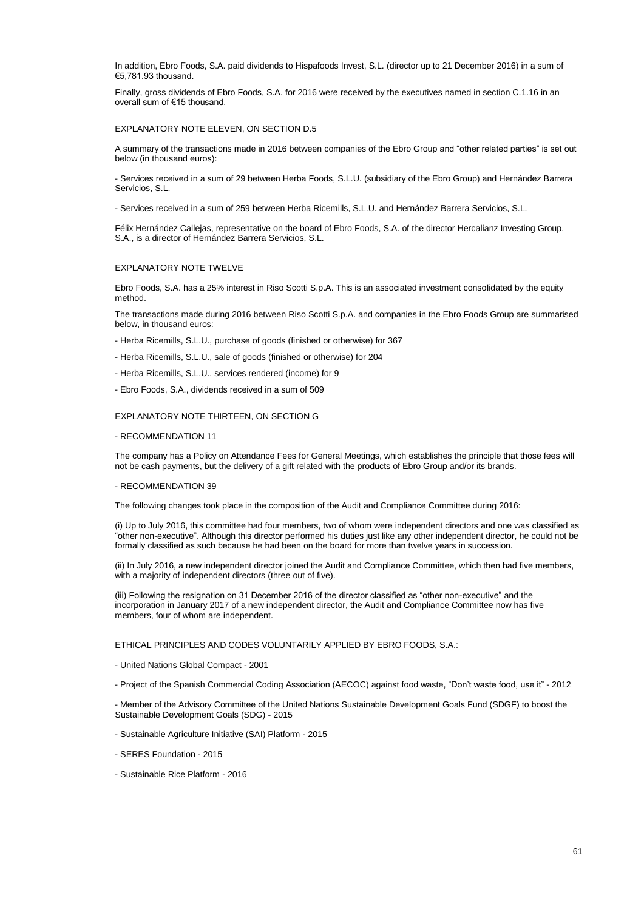In addition, Ebro Foods, S.A. paid dividends to Hispafoods Invest, S.L. (director up to 21 December 2016) in a sum of €5,781.93 thousand.

Finally, gross dividends of Ebro Foods, S.A. for 2016 were received by the executives named in section C.1.16 in an overall sum of €15 thousand.

#### EXPLANATORY NOTE ELEVEN, ON SECTION D.5

A summary of the transactions made in 2016 between companies of the Ebro Group and "other related parties" is set out below (in thousand euros):

- Services received in a sum of 29 between Herba Foods, S.L.U. (subsidiary of the Ebro Group) and Hernández Barrera Servicios, S.L.

- Services received in a sum of 259 between Herba Ricemills, S.L.U. and Hernández Barrera Servicios, S.L.

Félix Hernández Callejas, representative on the board of Ebro Foods, S.A. of the director Hercalianz Investing Group, S.A., is a director of Hernández Barrera Servicios, S.L.

#### EXPLANATORY NOTE TWELVE

Ebro Foods, S.A. has a 25% interest in Riso Scotti S.p.A. This is an associated investment consolidated by the equity method.

The transactions made during 2016 between Riso Scotti S.p.A. and companies in the Ebro Foods Group are summarised below, in thousand euros:

- Herba Ricemills, S.L.U., purchase of goods (finished or otherwise) for 367
- Herba Ricemills, S.L.U., sale of goods (finished or otherwise) for 204
- Herba Ricemills, S.L.U., services rendered (income) for 9
- Ebro Foods, S.A., dividends received in a sum of 509

#### EXPLANATORY NOTE THIRTEEN, ON SECTION G

#### - RECOMMENDATION 11

The company has a Policy on Attendance Fees for General Meetings, which establishes the principle that those fees will not be cash payments, but the delivery of a gift related with the products of Ebro Group and/or its brands.

#### - RECOMMENDATION 39

The following changes took place in the composition of the Audit and Compliance Committee during 2016:

(i) Up to July 2016, this committee had four members, two of whom were independent directors and one was classified as "other non-executive". Although this director performed his duties just like any other independent director, he could not be formally classified as such because he had been on the board for more than twelve years in succession.

(ii) In July 2016, a new independent director joined the Audit and Compliance Committee, which then had five members, with a majority of independent directors (three out of five).

(iii) Following the resignation on 31 December 2016 of the director classified as "other non-executive" and the incorporation in January 2017 of a new independent director, the Audit and Compliance Committee now has five members, four of whom are independent.

ETHICAL PRINCIPLES AND CODES VOLUNTARILY APPLIED BY EBRO FOODS, S.A.:

- United Nations Global Compact - 2001

- Project of the Spanish Commercial Coding Association (AECOC) against food waste, "Don't waste food, use it" - 2012

- Member of the Advisory Committee of the United Nations Sustainable Development Goals Fund (SDGF) to boost the Sustainable Development Goals (SDG) - 2015

- Sustainable Agriculture Initiative (SAI) Platform - 2015

- SERES Foundation 2015
- Sustainable Rice Platform 2016